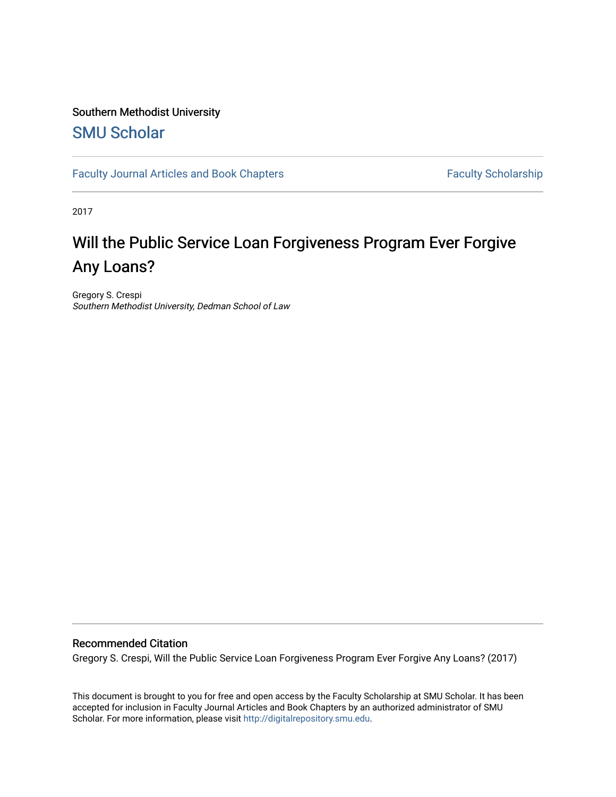# Southern Methodist University

## [SMU Scholar](https://scholar.smu.edu/)

[Faculty Journal Articles and Book Chapters](https://scholar.smu.edu/law_faculty) Faculty Scholarship

2017

# Will the Public Service Loan Forgiveness Program Ever Forgive Any Loans?

Gregory S. Crespi Southern Methodist University, Dedman School of Law

#### Recommended Citation

Gregory S. Crespi, Will the Public Service Loan Forgiveness Program Ever Forgive Any Loans? (2017)

This document is brought to you for free and open access by the Faculty Scholarship at SMU Scholar. It has been accepted for inclusion in Faculty Journal Articles and Book Chapters by an authorized administrator of SMU Scholar. For more information, please visit [http://digitalrepository.smu.edu.](http://digitalrepository.smu.edu/)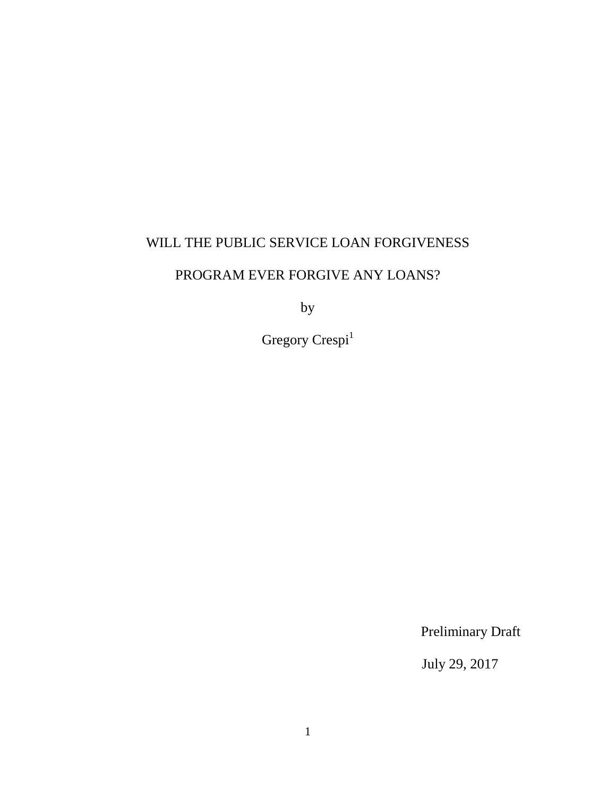### WILL THE PUBLIC SERVICE LOAN FORGIVENESS

## PROGRAM EVER FORGIVE ANY LOANS?

by

Gregory  $\mathbf{C} \mathbf{respi}^1$ 

Preliminary Draft

July 29, 2017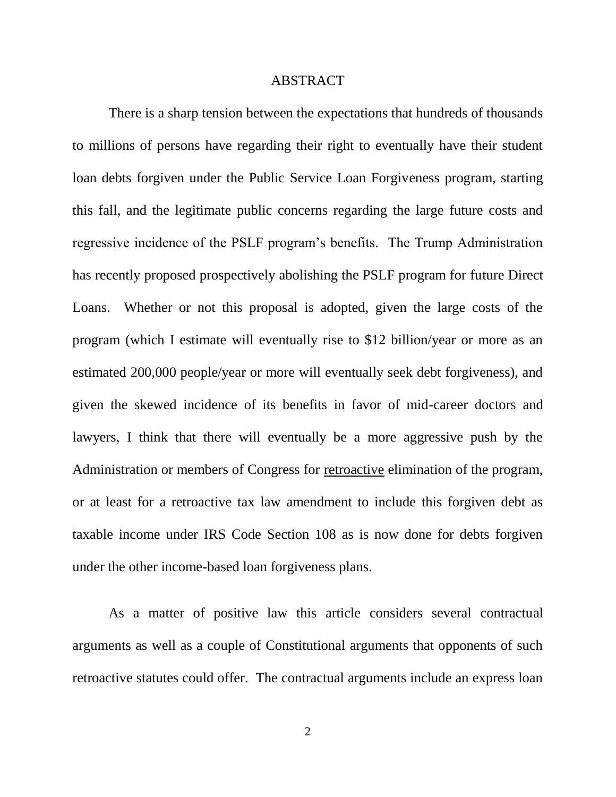#### ABSTRACT

There is a sharp tension between the expectations that hundreds of thousands to millions of persons have regarding their right to eventually have their student loan debts forgiven under the Public Service Loan Forgiveness program, starting this fall, and the legitimate public concerns regarding the large future costs and regressive incidence of the PSLF program's benefits. The Trump Administration has recently proposed prospectively abolishing the PSLF program for future Direct Loans. Whether or not this proposal is adopted, given the large costs of the program (which I estimate will eventually rise to \$12 billion/year or more as an estimated 200,000 people/year or more will eventually seek debt forgiveness), and given the skewed incidence of its benefits in favor of mid-career doctors and lawyers, I think that there will eventually be a more aggressive push by the Administration or members of Congress for retroactive elimination of the program, or at least for a retroactive tax law amendment to include this forgiven debt as taxable income under IRS Code Section 108 as is now done for debts forgiven under the other income-based loan forgiveness plans.

As a matter of positive law this article considers several contractual arguments as well as a couple of Constitutional arguments that opponents of such retroactive statutes could offer. The contractual arguments include an express loan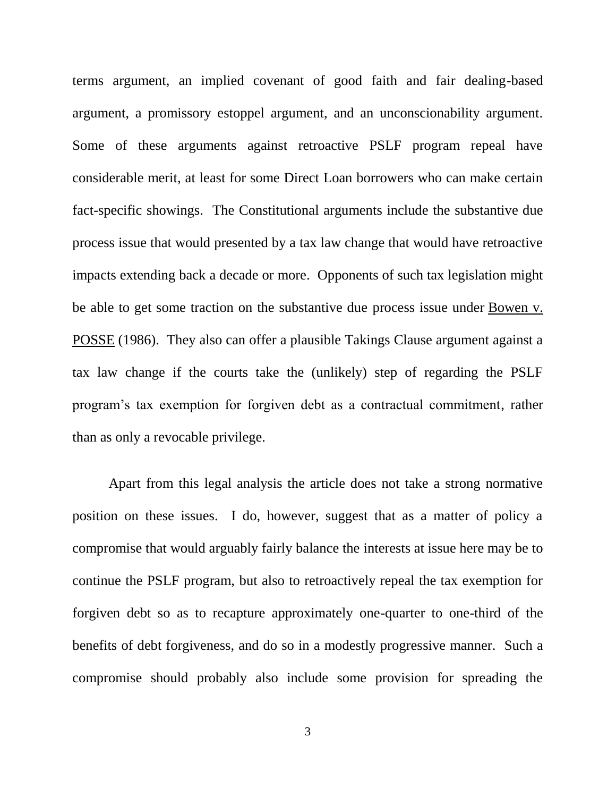terms argument, an implied covenant of good faith and fair dealing-based argument, a promissory estoppel argument, and an unconscionability argument. Some of these arguments against retroactive PSLF program repeal have considerable merit, at least for some Direct Loan borrowers who can make certain fact-specific showings. The Constitutional arguments include the substantive due process issue that would presented by a tax law change that would have retroactive impacts extending back a decade or more. Opponents of such tax legislation might be able to get some traction on the substantive due process issue under Bowen v. POSSE (1986). They also can offer a plausible Takings Clause argument against a tax law change if the courts take the (unlikely) step of regarding the PSLF program's tax exemption for forgiven debt as a contractual commitment, rather than as only a revocable privilege.

Apart from this legal analysis the article does not take a strong normative position on these issues. I do, however, suggest that as a matter of policy a compromise that would arguably fairly balance the interests at issue here may be to continue the PSLF program, but also to retroactively repeal the tax exemption for forgiven debt so as to recapture approximately one-quarter to one-third of the benefits of debt forgiveness, and do so in a modestly progressive manner. Such a compromise should probably also include some provision for spreading the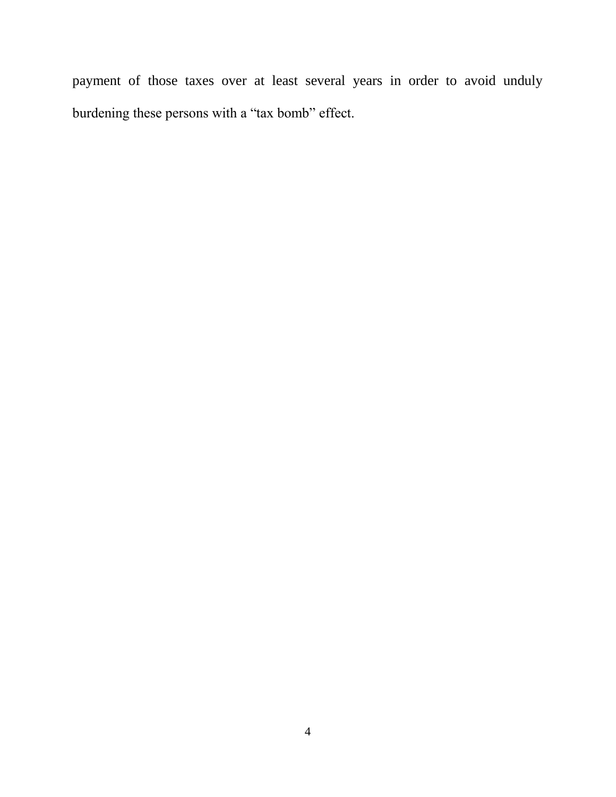payment of those taxes over at least several years in order to avoid unduly burdening these persons with a "tax bomb" effect.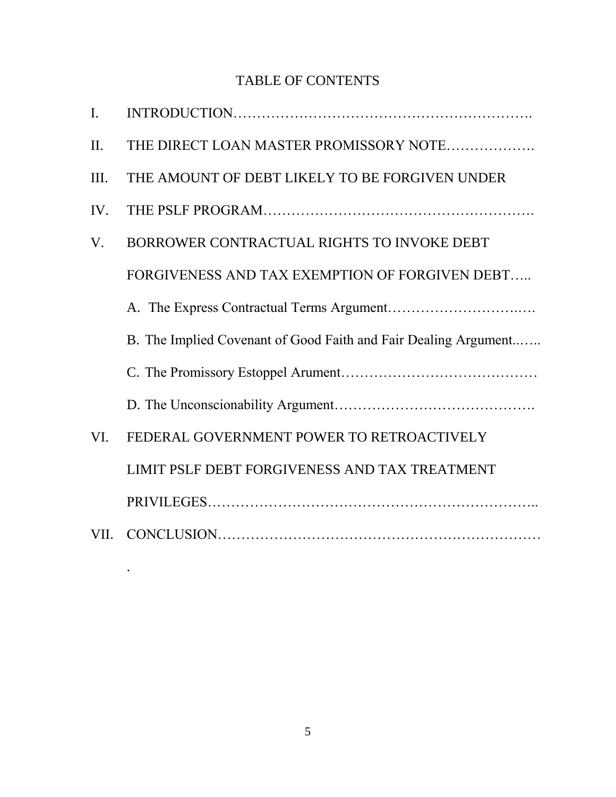## TABLE OF CONTENTS

| $\mathbf{I}$ . |                                                                 |
|----------------|-----------------------------------------------------------------|
| II.            | THE DIRECT LOAN MASTER PROMISSORY NOTE                          |
| Ш.             | THE AMOUNT OF DEBT LIKELY TO BE FORGIVEN UNDER                  |
| IV.            |                                                                 |
| V.             | BORROWER CONTRACTUAL RIGHTS TO INVOKE DEBT                      |
|                | FORGIVENESS AND TAX EXEMPTION OF FORGIVEN DEBT                  |
|                |                                                                 |
|                | B. The Implied Covenant of Good Faith and Fair Dealing Argument |
|                |                                                                 |
|                |                                                                 |
| VI.            | FEDERAL GOVERNMENT POWER TO RETROACTIVELY                       |
|                | LIMIT PSLF DEBT FORGIVENESS AND TAX TREATMENT                   |
|                |                                                                 |
| VII.           |                                                                 |

.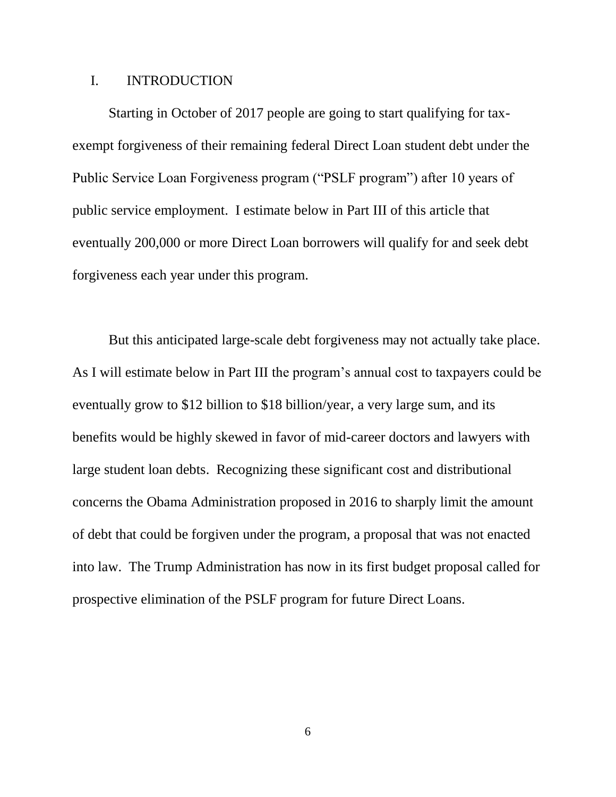#### I. INTRODUCTION

Starting in October of 2017 people are going to start qualifying for taxexempt forgiveness of their remaining federal Direct Loan student debt under the Public Service Loan Forgiveness program ("PSLF program") after 10 years of public service employment. I estimate below in Part III of this article that eventually 200,000 or more Direct Loan borrowers will qualify for and seek debt forgiveness each year under this program.

But this anticipated large-scale debt forgiveness may not actually take place. As I will estimate below in Part III the program's annual cost to taxpayers could be eventually grow to \$12 billion to \$18 billion/year, a very large sum, and its benefits would be highly skewed in favor of mid-career doctors and lawyers with large student loan debts. Recognizing these significant cost and distributional concerns the Obama Administration proposed in 2016 to sharply limit the amount of debt that could be forgiven under the program, a proposal that was not enacted into law. The Trump Administration has now in its first budget proposal called for prospective elimination of the PSLF program for future Direct Loans.

6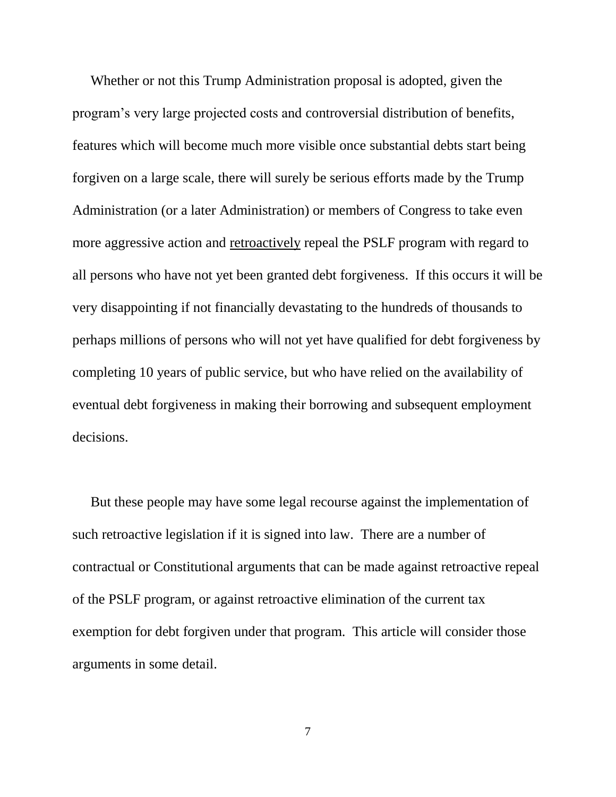Whether or not this Trump Administration proposal is adopted, given the program's very large projected costs and controversial distribution of benefits, features which will become much more visible once substantial debts start being forgiven on a large scale, there will surely be serious efforts made by the Trump Administration (or a later Administration) or members of Congress to take even more aggressive action and retroactively repeal the PSLF program with regard to all persons who have not yet been granted debt forgiveness. If this occurs it will be very disappointing if not financially devastating to the hundreds of thousands to perhaps millions of persons who will not yet have qualified for debt forgiveness by completing 10 years of public service, but who have relied on the availability of eventual debt forgiveness in making their borrowing and subsequent employment decisions.

But these people may have some legal recourse against the implementation of such retroactive legislation if it is signed into law. There are a number of contractual or Constitutional arguments that can be made against retroactive repeal of the PSLF program, or against retroactive elimination of the current tax exemption for debt forgiven under that program. This article will consider those arguments in some detail.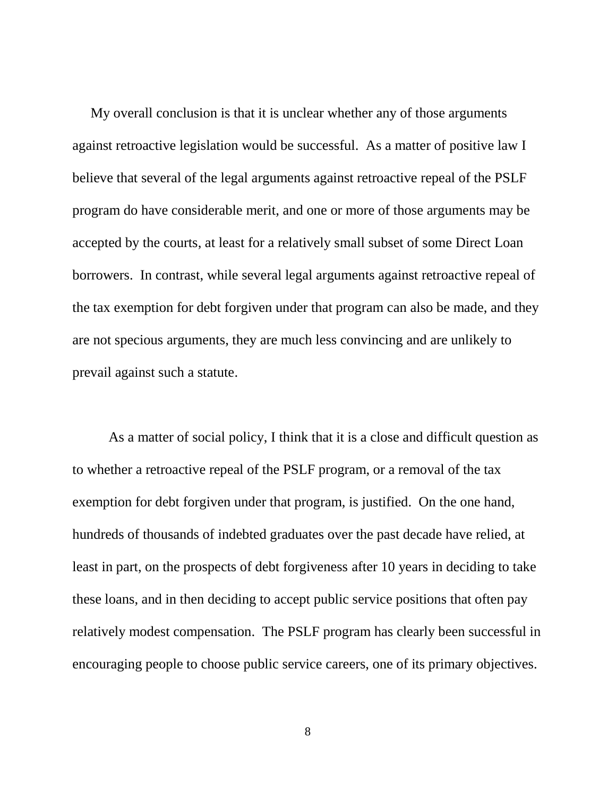My overall conclusion is that it is unclear whether any of those arguments against retroactive legislation would be successful. As a matter of positive law I believe that several of the legal arguments against retroactive repeal of the PSLF program do have considerable merit, and one or more of those arguments may be accepted by the courts, at least for a relatively small subset of some Direct Loan borrowers. In contrast, while several legal arguments against retroactive repeal of the tax exemption for debt forgiven under that program can also be made, and they are not specious arguments, they are much less convincing and are unlikely to prevail against such a statute.

As a matter of social policy, I think that it is a close and difficult question as to whether a retroactive repeal of the PSLF program, or a removal of the tax exemption for debt forgiven under that program, is justified. On the one hand, hundreds of thousands of indebted graduates over the past decade have relied, at least in part, on the prospects of debt forgiveness after 10 years in deciding to take these loans, and in then deciding to accept public service positions that often pay relatively modest compensation. The PSLF program has clearly been successful in encouraging people to choose public service careers, one of its primary objectives.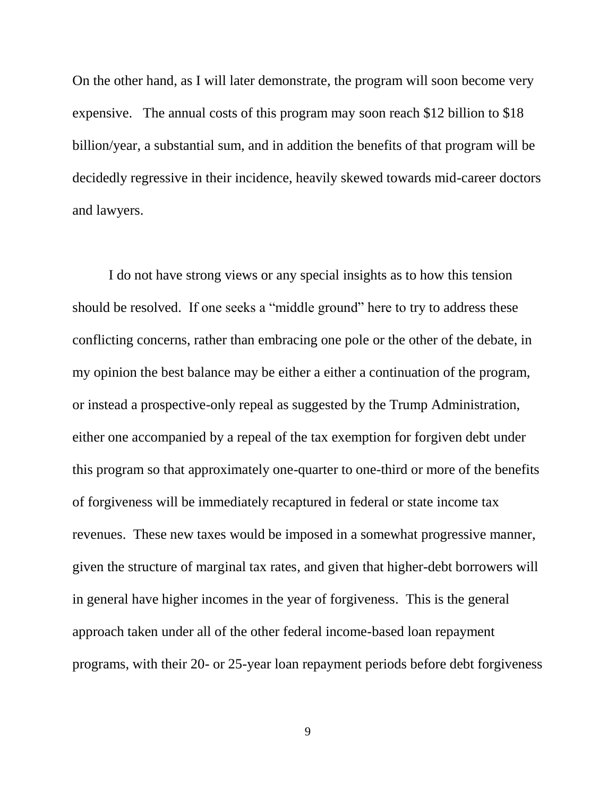On the other hand, as I will later demonstrate, the program will soon become very expensive. The annual costs of this program may soon reach \$12 billion to \$18 billion/year, a substantial sum, and in addition the benefits of that program will be decidedly regressive in their incidence, heavily skewed towards mid-career doctors and lawyers.

I do not have strong views or any special insights as to how this tension should be resolved. If one seeks a "middle ground" here to try to address these conflicting concerns, rather than embracing one pole or the other of the debate, in my opinion the best balance may be either a either a continuation of the program, or instead a prospective-only repeal as suggested by the Trump Administration, either one accompanied by a repeal of the tax exemption for forgiven debt under this program so that approximately one-quarter to one-third or more of the benefits of forgiveness will be immediately recaptured in federal or state income tax revenues. These new taxes would be imposed in a somewhat progressive manner, given the structure of marginal tax rates, and given that higher-debt borrowers will in general have higher incomes in the year of forgiveness. This is the general approach taken under all of the other federal income-based loan repayment programs, with their 20- or 25-year loan repayment periods before debt forgiveness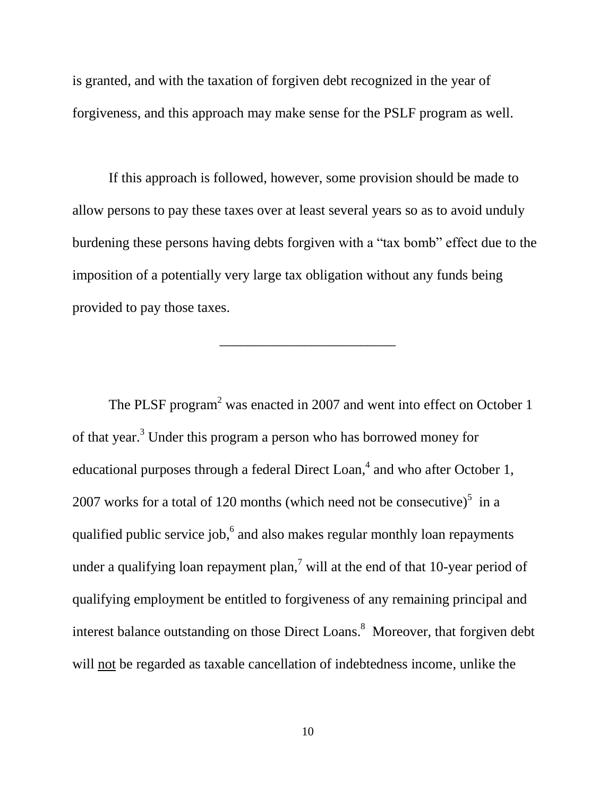is granted, and with the taxation of forgiven debt recognized in the year of forgiveness, and this approach may make sense for the PSLF program as well.

If this approach is followed, however, some provision should be made to allow persons to pay these taxes over at least several years so as to avoid unduly burdening these persons having debts forgiven with a "tax bomb" effect due to the imposition of a potentially very large tax obligation without any funds being provided to pay those taxes.

\_\_\_\_\_\_\_\_\_\_\_\_\_\_\_\_\_\_\_\_\_\_\_\_\_

The PLSF program<sup>2</sup> was enacted in 2007 and went into effect on October 1 of that year. <sup>3</sup> Under this program a person who has borrowed money for educational purposes through a federal Direct Loan,<sup>4</sup> and who after October 1, 2007 works for a total of 120 months (which need not be consecutive) $5$  in a qualified public service job,<sup>6</sup> and also makes regular monthly loan repayments under a qualifying loan repayment plan,<sup>7</sup> will at the end of that 10-year period of qualifying employment be entitled to forgiveness of any remaining principal and interest balance outstanding on those Direct Loans. 8 Moreover, that forgiven debt will not be regarded as taxable cancellation of indebtedness income, unlike the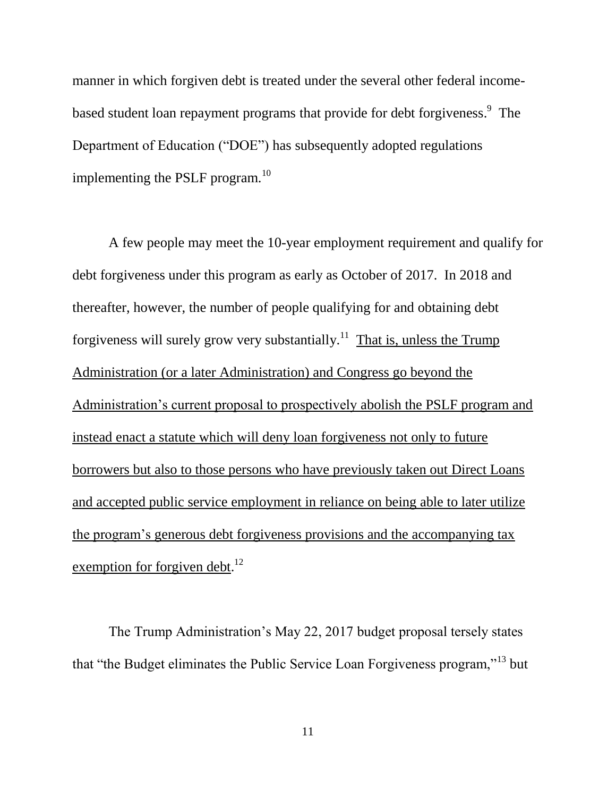manner in which forgiven debt is treated under the several other federal incomebased student loan repayment programs that provide for debt forgiveness.<sup>9</sup> The Department of Education ("DOE") has subsequently adopted regulations implementing the PSLF program. $^{10}$ 

A few people may meet the 10-year employment requirement and qualify for debt forgiveness under this program as early as October of 2017. In 2018 and thereafter, however, the number of people qualifying for and obtaining debt forgiveness will surely grow very substantially.<sup>11</sup> That is, unless the Trump Administration (or a later Administration) and Congress go beyond the Administration's current proposal to prospectively abolish the PSLF program and instead enact a statute which will deny loan forgiveness not only to future borrowers but also to those persons who have previously taken out Direct Loans and accepted public service employment in reliance on being able to later utilize the program's generous debt forgiveness provisions and the accompanying tax exemption for forgiven debt.<sup>12</sup>

The Trump Administration's May 22, 2017 budget proposal tersely states that "the Budget eliminates the Public Service Loan Forgiveness program,"<sup>13</sup> but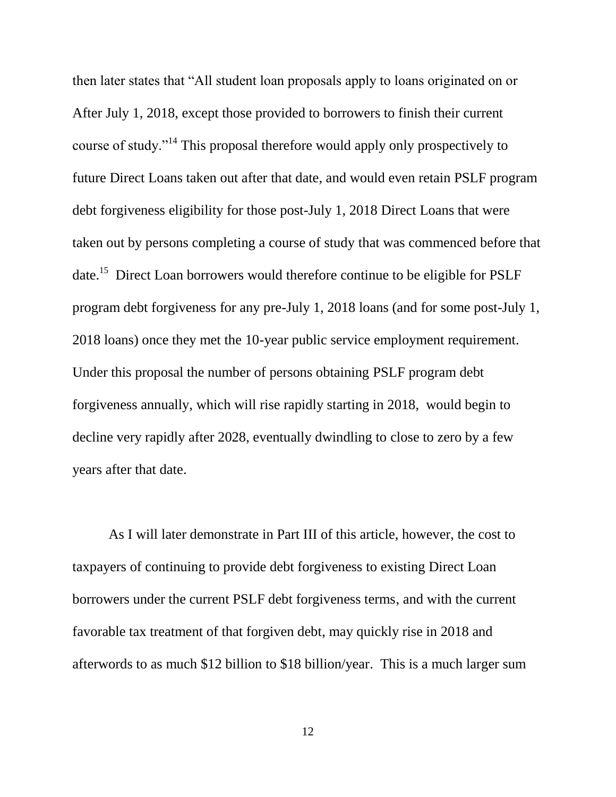then later states that "All student loan proposals apply to loans originated on or After July 1, 2018, except those provided to borrowers to finish their current course of study."<sup>14</sup> This proposal therefore would apply only prospectively to future Direct Loans taken out after that date, and would even retain PSLF program debt forgiveness eligibility for those post-July 1, 2018 Direct Loans that were taken out by persons completing a course of study that was commenced before that date.<sup>15</sup> Direct Loan borrowers would therefore continue to be eligible for PSLF program debt forgiveness for any pre-July 1, 2018 loans (and for some post-July 1, 2018 loans) once they met the 10-year public service employment requirement. Under this proposal the number of persons obtaining PSLF program debt forgiveness annually, which will rise rapidly starting in 2018, would begin to decline very rapidly after 2028, eventually dwindling to close to zero by a few years after that date.

As I will later demonstrate in Part III of this article, however, the cost to taxpayers of continuing to provide debt forgiveness to existing Direct Loan borrowers under the current PSLF debt forgiveness terms, and with the current favorable tax treatment of that forgiven debt, may quickly rise in 2018 and afterwords to as much \$12 billion to \$18 billion/year. This is a much larger sum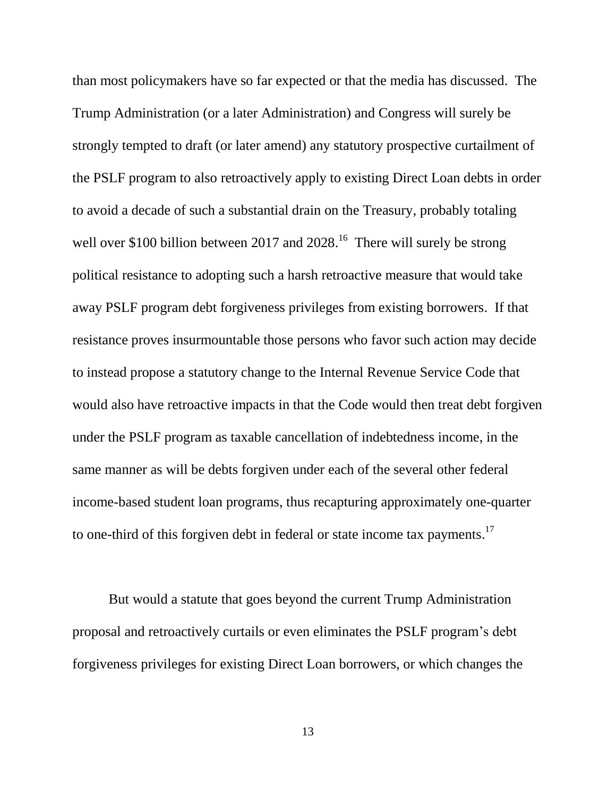than most policymakers have so far expected or that the media has discussed. The Trump Administration (or a later Administration) and Congress will surely be strongly tempted to draft (or later amend) any statutory prospective curtailment of the PSLF program to also retroactively apply to existing Direct Loan debts in order to avoid a decade of such a substantial drain on the Treasury, probably totaling well over \$100 billion between 2017 and 2028.<sup>16</sup> There will surely be strong political resistance to adopting such a harsh retroactive measure that would take away PSLF program debt forgiveness privileges from existing borrowers. If that resistance proves insurmountable those persons who favor such action may decide to instead propose a statutory change to the Internal Revenue Service Code that would also have retroactive impacts in that the Code would then treat debt forgiven under the PSLF program as taxable cancellation of indebtedness income, in the same manner as will be debts forgiven under each of the several other federal income-based student loan programs, thus recapturing approximately one-quarter to one-third of this forgiven debt in federal or state income tax payments.<sup>17</sup>

But would a statute that goes beyond the current Trump Administration proposal and retroactively curtails or even eliminates the PSLF program's debt forgiveness privileges for existing Direct Loan borrowers, or which changes the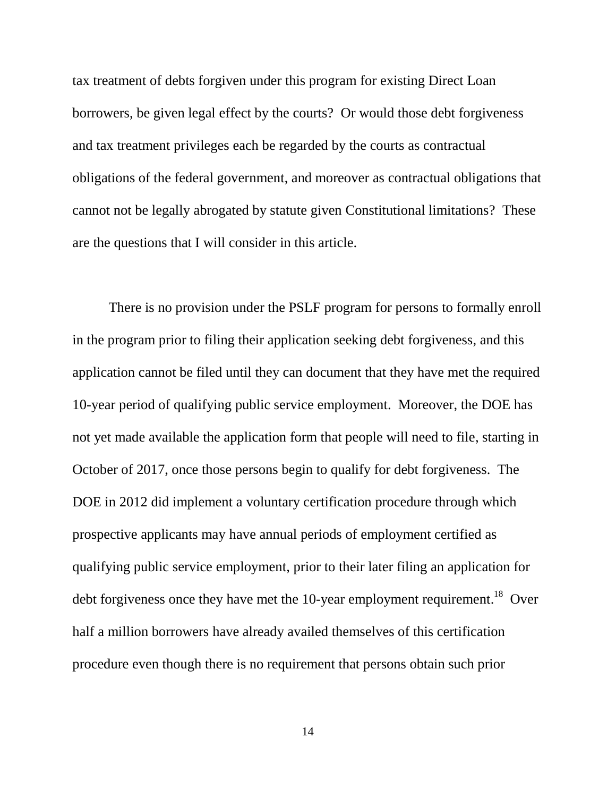tax treatment of debts forgiven under this program for existing Direct Loan borrowers, be given legal effect by the courts? Or would those debt forgiveness and tax treatment privileges each be regarded by the courts as contractual obligations of the federal government, and moreover as contractual obligations that cannot not be legally abrogated by statute given Constitutional limitations? These are the questions that I will consider in this article.

There is no provision under the PSLF program for persons to formally enroll in the program prior to filing their application seeking debt forgiveness, and this application cannot be filed until they can document that they have met the required 10-year period of qualifying public service employment. Moreover, the DOE has not yet made available the application form that people will need to file, starting in October of 2017, once those persons begin to qualify for debt forgiveness. The DOE in 2012 did implement a voluntary certification procedure through which prospective applicants may have annual periods of employment certified as qualifying public service employment, prior to their later filing an application for debt forgiveness once they have met the 10-year employment requirement.<sup>18</sup> Over half a million borrowers have already availed themselves of this certification procedure even though there is no requirement that persons obtain such prior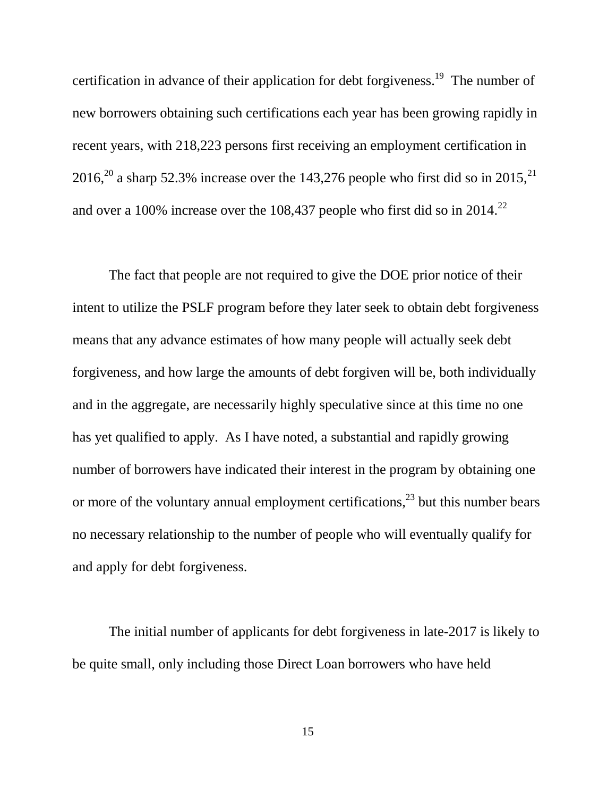certification in advance of their application for debt forgiveness.<sup>19</sup> The number of new borrowers obtaining such certifications each year has been growing rapidly in recent years, with 218,223 persons first receiving an employment certification in 2016,<sup>20</sup> a sharp 52.3% increase over the 143,276 people who first did so in 2015,<sup>21</sup> and over a 100% increase over the 108,437 people who first did so in 2014.<sup>22</sup>

The fact that people are not required to give the DOE prior notice of their intent to utilize the PSLF program before they later seek to obtain debt forgiveness means that any advance estimates of how many people will actually seek debt forgiveness, and how large the amounts of debt forgiven will be, both individually and in the aggregate, are necessarily highly speculative since at this time no one has yet qualified to apply. As I have noted, a substantial and rapidly growing number of borrowers have indicated their interest in the program by obtaining one or more of the voluntary annual employment certifications,  $2<sup>3</sup>$  but this number bears no necessary relationship to the number of people who will eventually qualify for and apply for debt forgiveness.

The initial number of applicants for debt forgiveness in late-2017 is likely to be quite small, only including those Direct Loan borrowers who have held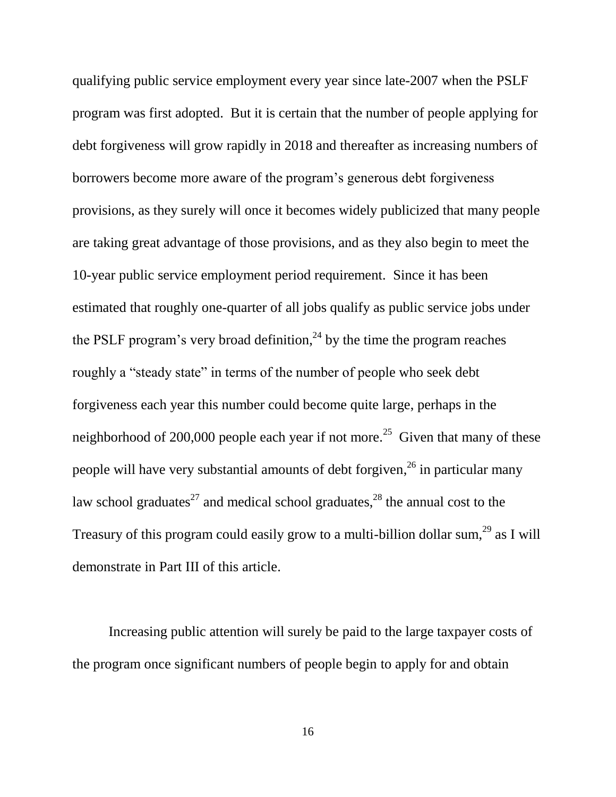qualifying public service employment every year since late-2007 when the PSLF program was first adopted. But it is certain that the number of people applying for debt forgiveness will grow rapidly in 2018 and thereafter as increasing numbers of borrowers become more aware of the program's generous debt forgiveness provisions, as they surely will once it becomes widely publicized that many people are taking great advantage of those provisions, and as they also begin to meet the 10-year public service employment period requirement. Since it has been estimated that roughly one-quarter of all jobs qualify as public service jobs under the PSLF program's very broad definition,  $^{24}$  by the time the program reaches roughly a "steady state" in terms of the number of people who seek debt forgiveness each year this number could become quite large, perhaps in the neighborhood of 200,000 people each year if not more.<sup>25</sup> Given that many of these people will have very substantial amounts of debt forgiven, <sup>26</sup> in particular many law school graduates<sup>27</sup> and medical school graduates,<sup>28</sup> the annual cost to the Treasury of this program could easily grow to a multi-billion dollar sum,<sup>29</sup> as I will demonstrate in Part III of this article.

Increasing public attention will surely be paid to the large taxpayer costs of the program once significant numbers of people begin to apply for and obtain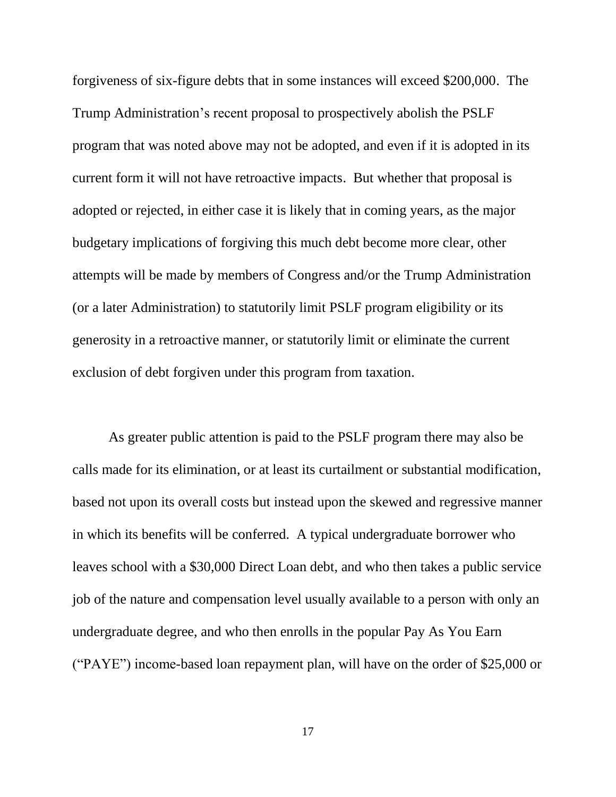forgiveness of six-figure debts that in some instances will exceed \$200,000. The Trump Administration's recent proposal to prospectively abolish the PSLF program that was noted above may not be adopted, and even if it is adopted in its current form it will not have retroactive impacts. But whether that proposal is adopted or rejected, in either case it is likely that in coming years, as the major budgetary implications of forgiving this much debt become more clear, other attempts will be made by members of Congress and/or the Trump Administration (or a later Administration) to statutorily limit PSLF program eligibility or its generosity in a retroactive manner, or statutorily limit or eliminate the current exclusion of debt forgiven under this program from taxation.

As greater public attention is paid to the PSLF program there may also be calls made for its elimination, or at least its curtailment or substantial modification, based not upon its overall costs but instead upon the skewed and regressive manner in which its benefits will be conferred. A typical undergraduate borrower who leaves school with a \$30,000 Direct Loan debt, and who then takes a public service job of the nature and compensation level usually available to a person with only an undergraduate degree, and who then enrolls in the popular Pay As You Earn ("PAYE") income-based loan repayment plan, will have on the order of \$25,000 or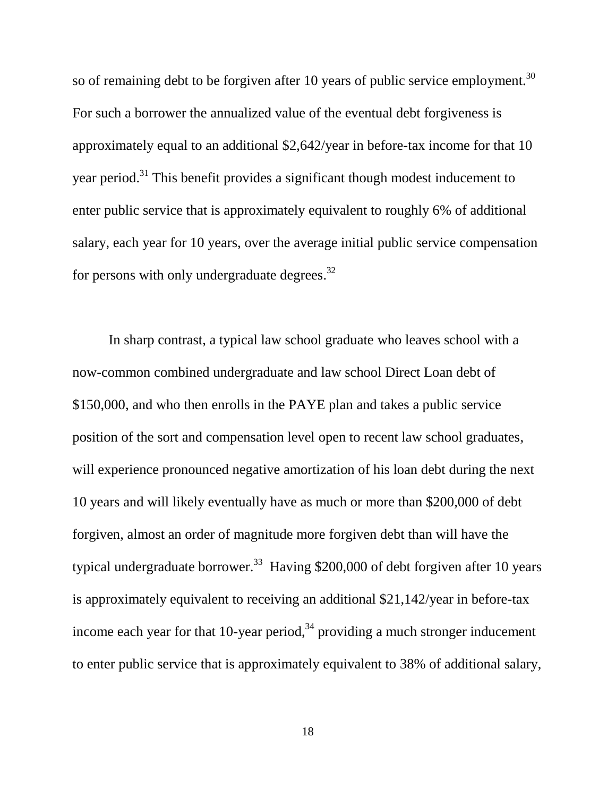so of remaining debt to be forgiven after 10 years of public service employment.<sup>30</sup> For such a borrower the annualized value of the eventual debt forgiveness is approximately equal to an additional \$2,642/year in before-tax income for that 10 year period.<sup>31</sup> This benefit provides a significant though modest inducement to enter public service that is approximately equivalent to roughly 6% of additional salary, each year for 10 years, over the average initial public service compensation for persons with only undergraduate degrees.<sup>32</sup>

In sharp contrast, a typical law school graduate who leaves school with a now-common combined undergraduate and law school Direct Loan debt of \$150,000, and who then enrolls in the PAYE plan and takes a public service position of the sort and compensation level open to recent law school graduates, will experience pronounced negative amortization of his loan debt during the next 10 years and will likely eventually have as much or more than \$200,000 of debt forgiven, almost an order of magnitude more forgiven debt than will have the typical undergraduate borrower.<sup>33</sup> Having \$200,000 of debt forgiven after 10 years is approximately equivalent to receiving an additional \$21,142/year in before-tax income each year for that 10-year period,<sup>34</sup> providing a much stronger inducement to enter public service that is approximately equivalent to 38% of additional salary,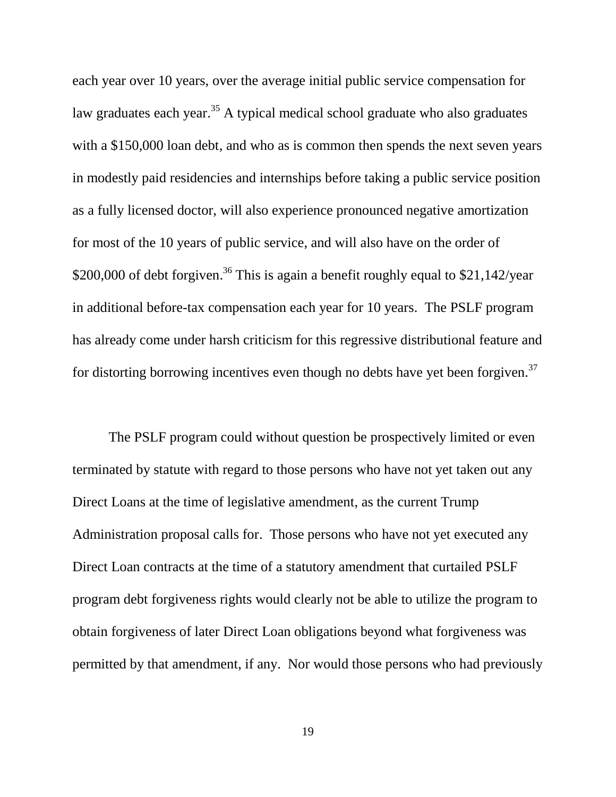each year over 10 years, over the average initial public service compensation for law graduates each year.<sup>35</sup> A typical medical school graduate who also graduates with a \$150,000 loan debt, and who as is common then spends the next seven years in modestly paid residencies and internships before taking a public service position as a fully licensed doctor, will also experience pronounced negative amortization for most of the 10 years of public service, and will also have on the order of \$200,000 of debt forgiven.<sup>36</sup> This is again a benefit roughly equal to \$21,142/year in additional before-tax compensation each year for 10 years. The PSLF program has already come under harsh criticism for this regressive distributional feature and for distorting borrowing incentives even though no debts have yet been forgiven.<sup>37</sup>

The PSLF program could without question be prospectively limited or even terminated by statute with regard to those persons who have not yet taken out any Direct Loans at the time of legislative amendment, as the current Trump Administration proposal calls for. Those persons who have not yet executed any Direct Loan contracts at the time of a statutory amendment that curtailed PSLF program debt forgiveness rights would clearly not be able to utilize the program to obtain forgiveness of later Direct Loan obligations beyond what forgiveness was permitted by that amendment, if any. Nor would those persons who had previously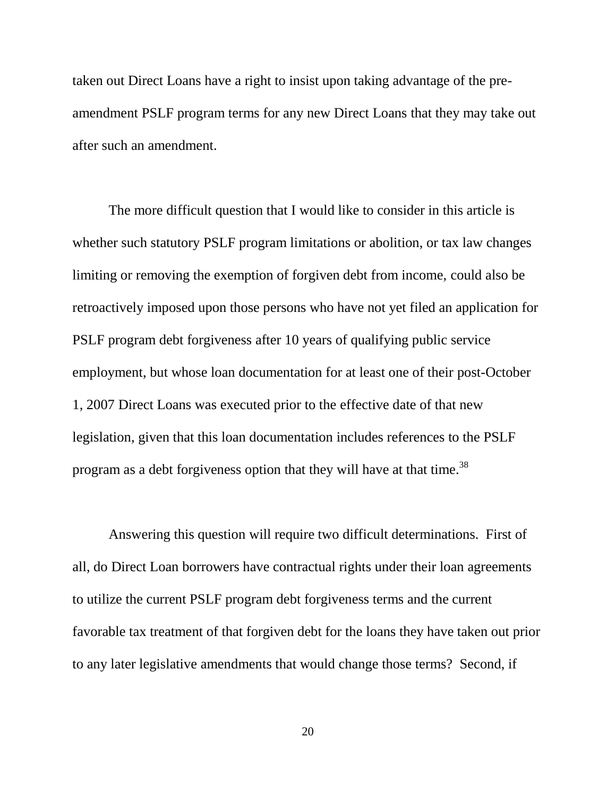taken out Direct Loans have a right to insist upon taking advantage of the preamendment PSLF program terms for any new Direct Loans that they may take out after such an amendment.

The more difficult question that I would like to consider in this article is whether such statutory PSLF program limitations or abolition, or tax law changes limiting or removing the exemption of forgiven debt from income, could also be retroactively imposed upon those persons who have not yet filed an application for PSLF program debt forgiveness after 10 years of qualifying public service employment, but whose loan documentation for at least one of their post-October 1, 2007 Direct Loans was executed prior to the effective date of that new legislation, given that this loan documentation includes references to the PSLF program as a debt forgiveness option that they will have at that time.<sup>38</sup>

Answering this question will require two difficult determinations. First of all, do Direct Loan borrowers have contractual rights under their loan agreements to utilize the current PSLF program debt forgiveness terms and the current favorable tax treatment of that forgiven debt for the loans they have taken out prior to any later legislative amendments that would change those terms? Second, if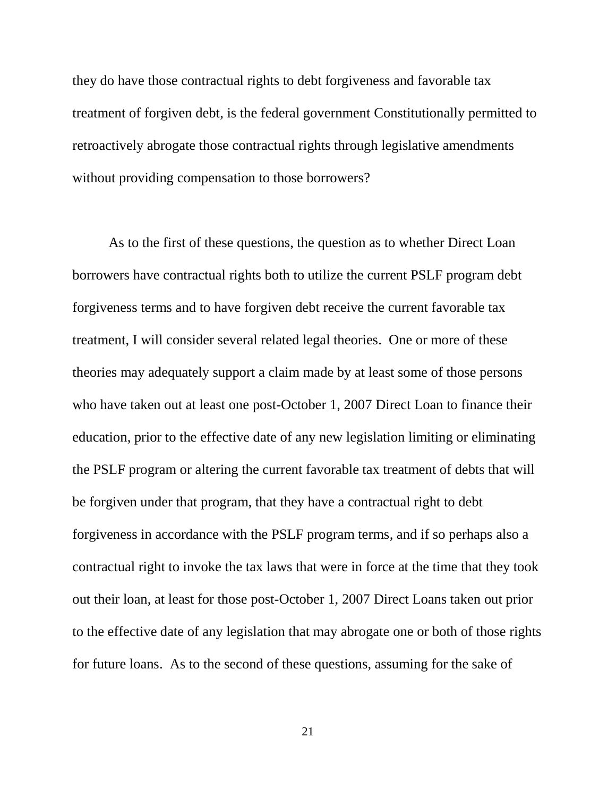they do have those contractual rights to debt forgiveness and favorable tax treatment of forgiven debt, is the federal government Constitutionally permitted to retroactively abrogate those contractual rights through legislative amendments without providing compensation to those borrowers?

As to the first of these questions, the question as to whether Direct Loan borrowers have contractual rights both to utilize the current PSLF program debt forgiveness terms and to have forgiven debt receive the current favorable tax treatment, I will consider several related legal theories. One or more of these theories may adequately support a claim made by at least some of those persons who have taken out at least one post-October 1, 2007 Direct Loan to finance their education, prior to the effective date of any new legislation limiting or eliminating the PSLF program or altering the current favorable tax treatment of debts that will be forgiven under that program, that they have a contractual right to debt forgiveness in accordance with the PSLF program terms, and if so perhaps also a contractual right to invoke the tax laws that were in force at the time that they took out their loan, at least for those post-October 1, 2007 Direct Loans taken out prior to the effective date of any legislation that may abrogate one or both of those rights for future loans. As to the second of these questions, assuming for the sake of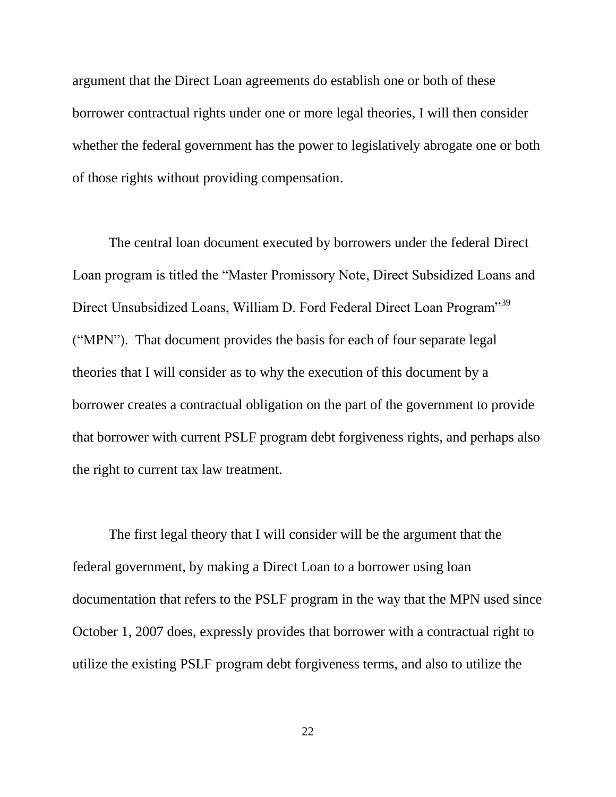argument that the Direct Loan agreements do establish one or both of these borrower contractual rights under one or more legal theories, I will then consider whether the federal government has the power to legislatively abrogate one or both of those rights without providing compensation.

The central loan document executed by borrowers under the federal Direct Loan program is titled the "Master Promissory Note, Direct Subsidized Loans and Direct Unsubsidized Loans, William D. Ford Federal Direct Loan Program<sup>339</sup> ("MPN"). That document provides the basis for each of four separate legal theories that I will consider as to why the execution of this document by a borrower creates a contractual obligation on the part of the government to provide that borrower with current PSLF program debt forgiveness rights, and perhaps also the right to current tax law treatment.

The first legal theory that I will consider will be the argument that the federal government, by making a Direct Loan to a borrower using loan documentation that refers to the PSLF program in the way that the MPN used since October 1, 2007 does, expressly provides that borrower with a contractual right to utilize the existing PSLF program debt forgiveness terms, and also to utilize the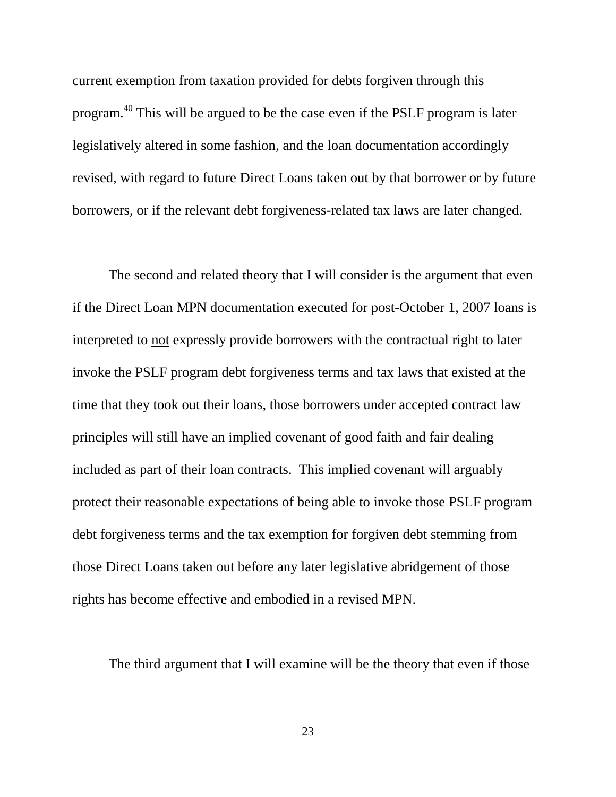current exemption from taxation provided for debts forgiven through this program.<sup>40</sup> This will be argued to be the case even if the PSLF program is later legislatively altered in some fashion, and the loan documentation accordingly revised, with regard to future Direct Loans taken out by that borrower or by future borrowers, or if the relevant debt forgiveness-related tax laws are later changed.

The second and related theory that I will consider is the argument that even if the Direct Loan MPN documentation executed for post-October 1, 2007 loans is interpreted to not expressly provide borrowers with the contractual right to later invoke the PSLF program debt forgiveness terms and tax laws that existed at the time that they took out their loans, those borrowers under accepted contract law principles will still have an implied covenant of good faith and fair dealing included as part of their loan contracts. This implied covenant will arguably protect their reasonable expectations of being able to invoke those PSLF program debt forgiveness terms and the tax exemption for forgiven debt stemming from those Direct Loans taken out before any later legislative abridgement of those rights has become effective and embodied in a revised MPN.

The third argument that I will examine will be the theory that even if those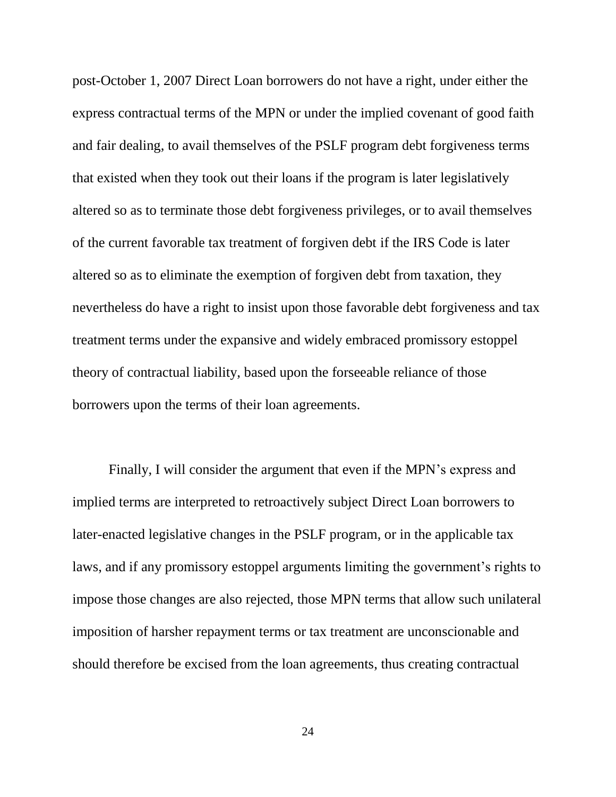post-October 1, 2007 Direct Loan borrowers do not have a right, under either the express contractual terms of the MPN or under the implied covenant of good faith and fair dealing, to avail themselves of the PSLF program debt forgiveness terms that existed when they took out their loans if the program is later legislatively altered so as to terminate those debt forgiveness privileges, or to avail themselves of the current favorable tax treatment of forgiven debt if the IRS Code is later altered so as to eliminate the exemption of forgiven debt from taxation, they nevertheless do have a right to insist upon those favorable debt forgiveness and tax treatment terms under the expansive and widely embraced promissory estoppel theory of contractual liability, based upon the forseeable reliance of those borrowers upon the terms of their loan agreements.

Finally, I will consider the argument that even if the MPN's express and implied terms are interpreted to retroactively subject Direct Loan borrowers to later-enacted legislative changes in the PSLF program, or in the applicable tax laws, and if any promissory estoppel arguments limiting the government's rights to impose those changes are also rejected, those MPN terms that allow such unilateral imposition of harsher repayment terms or tax treatment are unconscionable and should therefore be excised from the loan agreements, thus creating contractual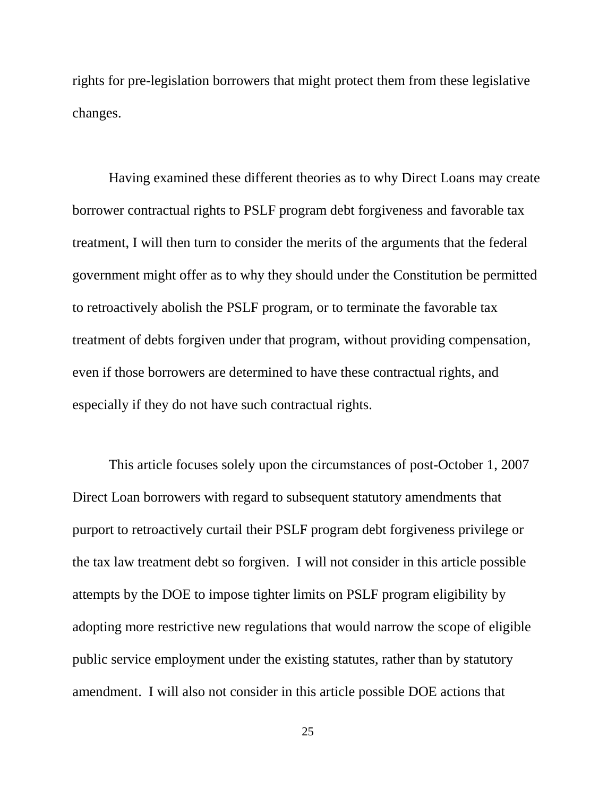rights for pre-legislation borrowers that might protect them from these legislative changes.

Having examined these different theories as to why Direct Loans may create borrower contractual rights to PSLF program debt forgiveness and favorable tax treatment, I will then turn to consider the merits of the arguments that the federal government might offer as to why they should under the Constitution be permitted to retroactively abolish the PSLF program, or to terminate the favorable tax treatment of debts forgiven under that program, without providing compensation, even if those borrowers are determined to have these contractual rights, and especially if they do not have such contractual rights.

This article focuses solely upon the circumstances of post-October 1, 2007 Direct Loan borrowers with regard to subsequent statutory amendments that purport to retroactively curtail their PSLF program debt forgiveness privilege or the tax law treatment debt so forgiven. I will not consider in this article possible attempts by the DOE to impose tighter limits on PSLF program eligibility by adopting more restrictive new regulations that would narrow the scope of eligible public service employment under the existing statutes, rather than by statutory amendment. I will also not consider in this article possible DOE actions that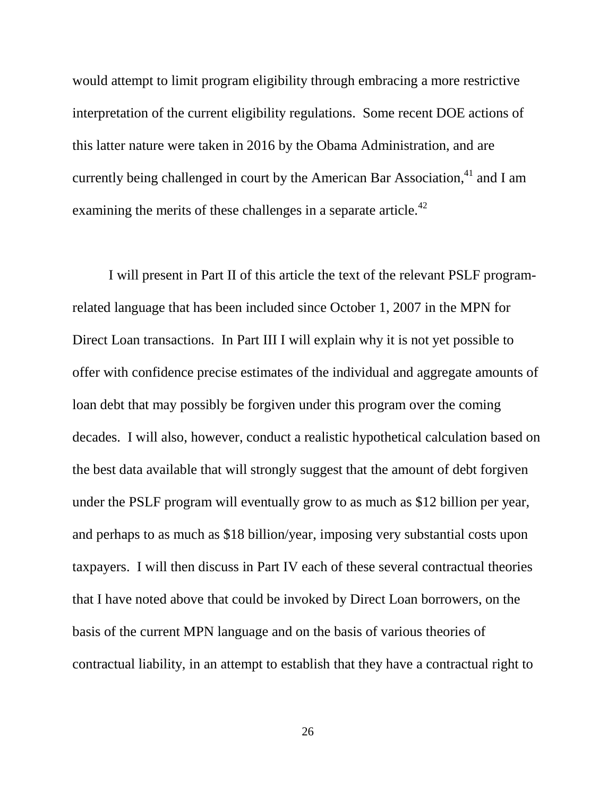would attempt to limit program eligibility through embracing a more restrictive interpretation of the current eligibility regulations. Some recent DOE actions of this latter nature were taken in 2016 by the Obama Administration, and are currently being challenged in court by the American Bar Association, $41$  and I am examining the merits of these challenges in a separate article.<sup>42</sup>

I will present in Part II of this article the text of the relevant PSLF programrelated language that has been included since October 1, 2007 in the MPN for Direct Loan transactions. In Part III I will explain why it is not yet possible to offer with confidence precise estimates of the individual and aggregate amounts of loan debt that may possibly be forgiven under this program over the coming decades. I will also, however, conduct a realistic hypothetical calculation based on the best data available that will strongly suggest that the amount of debt forgiven under the PSLF program will eventually grow to as much as \$12 billion per year, and perhaps to as much as \$18 billion/year, imposing very substantial costs upon taxpayers. I will then discuss in Part IV each of these several contractual theories that I have noted above that could be invoked by Direct Loan borrowers, on the basis of the current MPN language and on the basis of various theories of contractual liability, in an attempt to establish that they have a contractual right to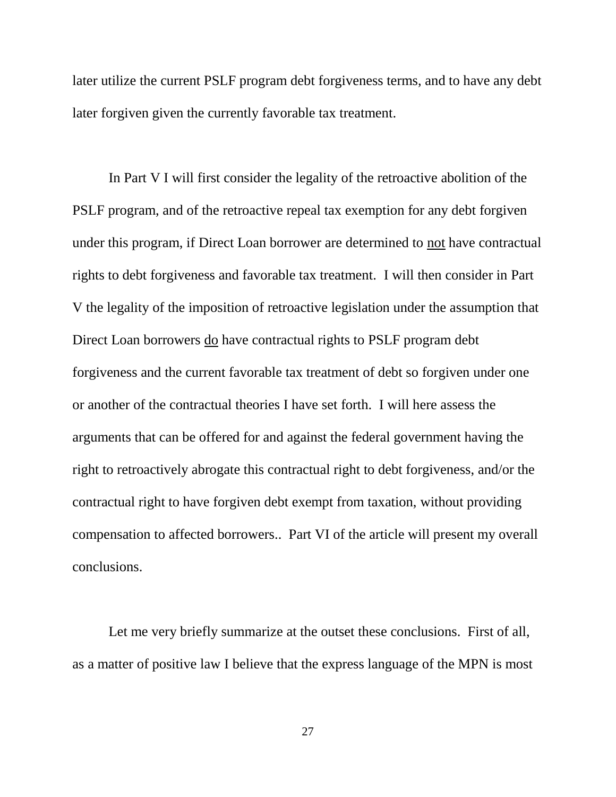later utilize the current PSLF program debt forgiveness terms, and to have any debt later forgiven given the currently favorable tax treatment.

In Part V I will first consider the legality of the retroactive abolition of the PSLF program, and of the retroactive repeal tax exemption for any debt forgiven under this program, if Direct Loan borrower are determined to not have contractual rights to debt forgiveness and favorable tax treatment. I will then consider in Part V the legality of the imposition of retroactive legislation under the assumption that Direct Loan borrowers do have contractual rights to PSLF program debt forgiveness and the current favorable tax treatment of debt so forgiven under one or another of the contractual theories I have set forth. I will here assess the arguments that can be offered for and against the federal government having the right to retroactively abrogate this contractual right to debt forgiveness, and/or the contractual right to have forgiven debt exempt from taxation, without providing compensation to affected borrowers.. Part VI of the article will present my overall conclusions.

Let me very briefly summarize at the outset these conclusions. First of all, as a matter of positive law I believe that the express language of the MPN is most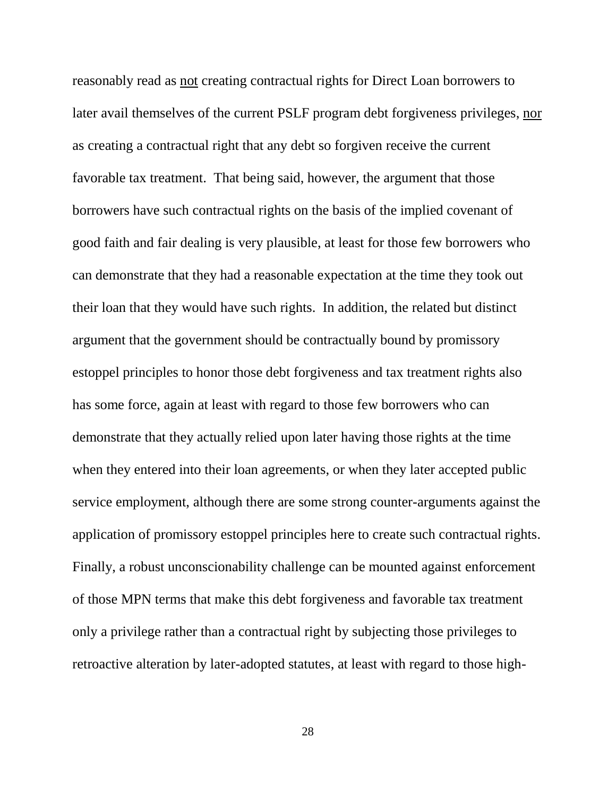reasonably read as not creating contractual rights for Direct Loan borrowers to later avail themselves of the current PSLF program debt forgiveness privileges, nor as creating a contractual right that any debt so forgiven receive the current favorable tax treatment. That being said, however, the argument that those borrowers have such contractual rights on the basis of the implied covenant of good faith and fair dealing is very plausible, at least for those few borrowers who can demonstrate that they had a reasonable expectation at the time they took out their loan that they would have such rights. In addition, the related but distinct argument that the government should be contractually bound by promissory estoppel principles to honor those debt forgiveness and tax treatment rights also has some force, again at least with regard to those few borrowers who can demonstrate that they actually relied upon later having those rights at the time when they entered into their loan agreements, or when they later accepted public service employment, although there are some strong counter-arguments against the application of promissory estoppel principles here to create such contractual rights. Finally, a robust unconscionability challenge can be mounted against enforcement of those MPN terms that make this debt forgiveness and favorable tax treatment only a privilege rather than a contractual right by subjecting those privileges to retroactive alteration by later-adopted statutes, at least with regard to those high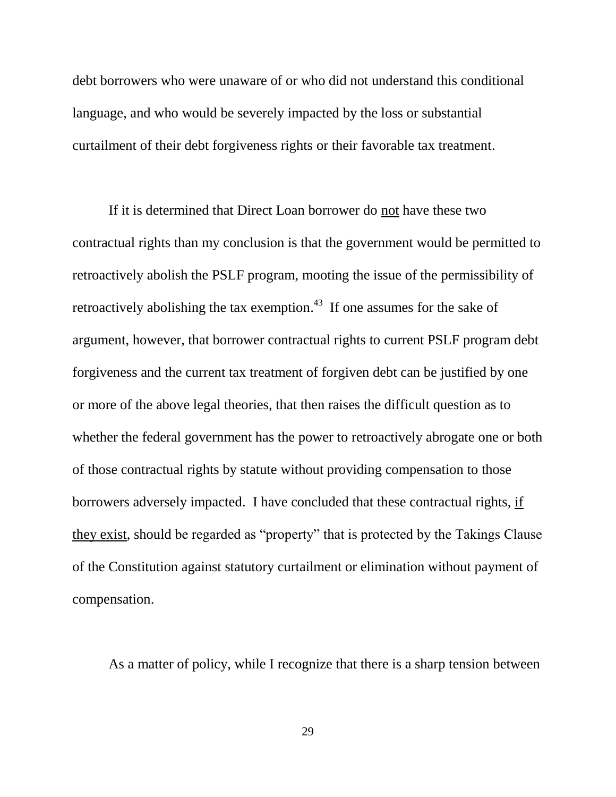debt borrowers who were unaware of or who did not understand this conditional language, and who would be severely impacted by the loss or substantial curtailment of their debt forgiveness rights or their favorable tax treatment.

If it is determined that Direct Loan borrower do not have these two contractual rights than my conclusion is that the government would be permitted to retroactively abolish the PSLF program, mooting the issue of the permissibility of retroactively abolishing the tax exemption.<sup>43</sup> If one assumes for the sake of argument, however, that borrower contractual rights to current PSLF program debt forgiveness and the current tax treatment of forgiven debt can be justified by one or more of the above legal theories, that then raises the difficult question as to whether the federal government has the power to retroactively abrogate one or both of those contractual rights by statute without providing compensation to those borrowers adversely impacted. I have concluded that these contractual rights, if they exist, should be regarded as "property" that is protected by the Takings Clause of the Constitution against statutory curtailment or elimination without payment of compensation.

As a matter of policy, while I recognize that there is a sharp tension between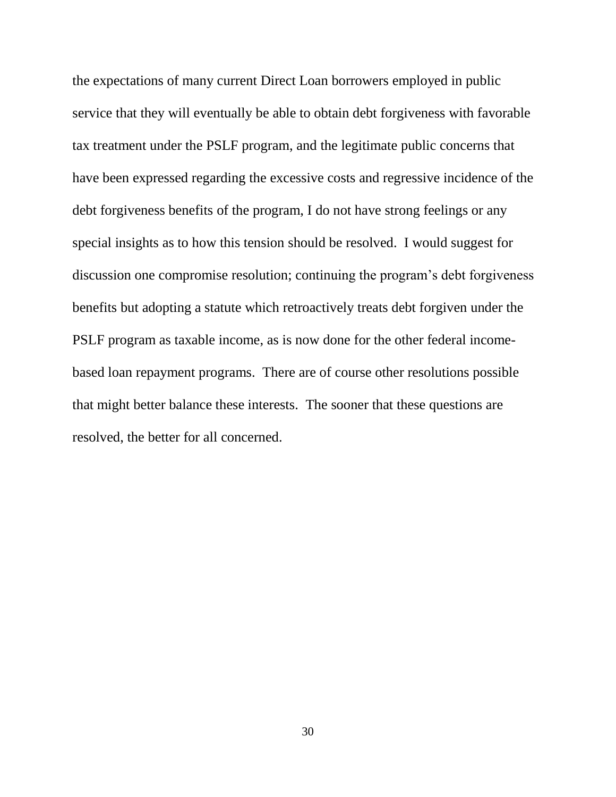the expectations of many current Direct Loan borrowers employed in public service that they will eventually be able to obtain debt forgiveness with favorable tax treatment under the PSLF program, and the legitimate public concerns that have been expressed regarding the excessive costs and regressive incidence of the debt forgiveness benefits of the program, I do not have strong feelings or any special insights as to how this tension should be resolved. I would suggest for discussion one compromise resolution; continuing the program's debt forgiveness benefits but adopting a statute which retroactively treats debt forgiven under the PSLF program as taxable income, as is now done for the other federal incomebased loan repayment programs. There are of course other resolutions possible that might better balance these interests. The sooner that these questions are resolved, the better for all concerned.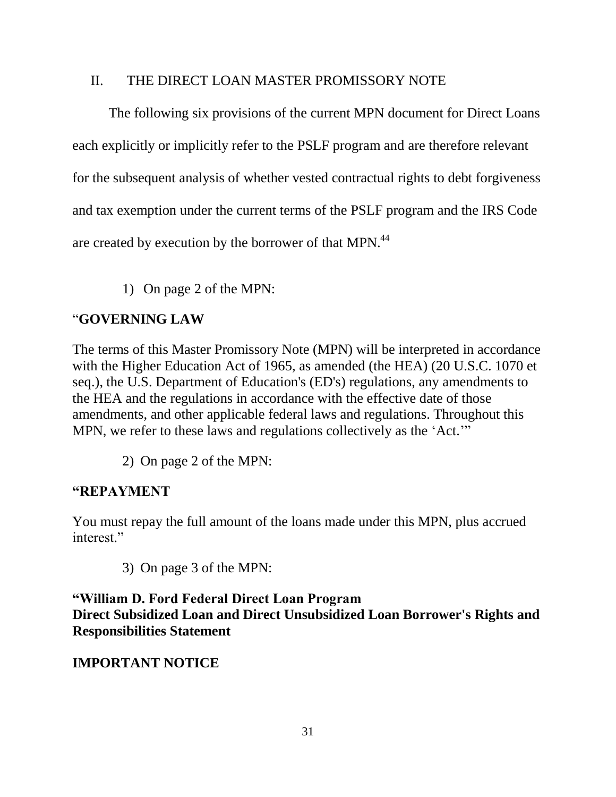#### II. THE DIRECT LOAN MASTER PROMISSORY NOTE

The following six provisions of the current MPN document for Direct Loans each explicitly or implicitly refer to the PSLF program and are therefore relevant for the subsequent analysis of whether vested contractual rights to debt forgiveness and tax exemption under the current terms of the PSLF program and the IRS Code are created by execution by the borrower of that MPN.<sup>44</sup>

1) On page 2 of the MPN:

#### "**GOVERNING LAW**

The terms of this Master Promissory Note (MPN) will be interpreted in accordance with the Higher Education Act of 1965, as amended (the HEA) (20 U.S.C. 1070 et seq.), the U.S. Department of Education's (ED's) regulations, any amendments to the HEA and the regulations in accordance with the effective date of those amendments, and other applicable federal laws and regulations. Throughout this MPN, we refer to these laws and regulations collectively as the 'Act.'"

2) On page 2 of the MPN:

#### **"REPAYMENT**

You must repay the full amount of the loans made under this MPN, plus accrued interest."

3) On page 3 of the MPN:

**"William D. Ford Federal Direct Loan Program Direct Subsidized Loan and Direct Unsubsidized Loan Borrower's Rights and Responsibilities Statement**

#### **IMPORTANT NOTICE**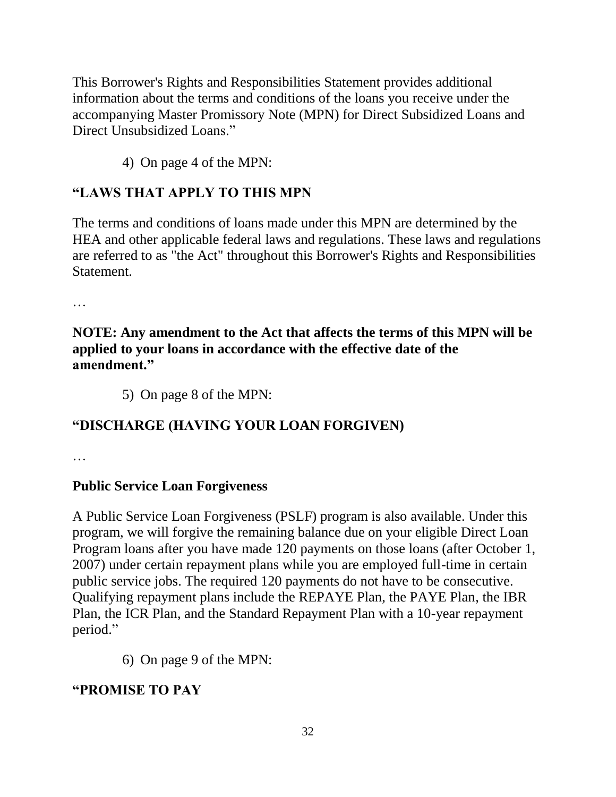This Borrower's Rights and Responsibilities Statement provides additional information about the terms and conditions of the loans you receive under the accompanying Master Promissory Note (MPN) for Direct Subsidized Loans and Direct Unsubsidized Loans."

4) On page 4 of the MPN:

## **"LAWS THAT APPLY TO THIS MPN**

The terms and conditions of loans made under this MPN are determined by the HEA and other applicable federal laws and regulations. These laws and regulations are referred to as "the Act" throughout this Borrower's Rights and Responsibilities Statement.

…

### **NOTE: Any amendment to the Act that affects the terms of this MPN will be applied to your loans in accordance with the effective date of the amendment."**

5) On page 8 of the MPN:

## **"DISCHARGE (HAVING YOUR LOAN FORGIVEN)**

…

### **Public Service Loan Forgiveness**

A Public Service Loan Forgiveness (PSLF) program is also available. Under this program, we will forgive the remaining balance due on your eligible Direct Loan Program loans after you have made 120 payments on those loans (after October 1, 2007) under certain repayment plans while you are employed full-time in certain public service jobs. The required 120 payments do not have to be consecutive. Qualifying repayment plans include the REPAYE Plan, the PAYE Plan, the IBR Plan, the ICR Plan, and the Standard Repayment Plan with a 10-year repayment period."

6) On page 9 of the MPN:

### **"PROMISE TO PAY**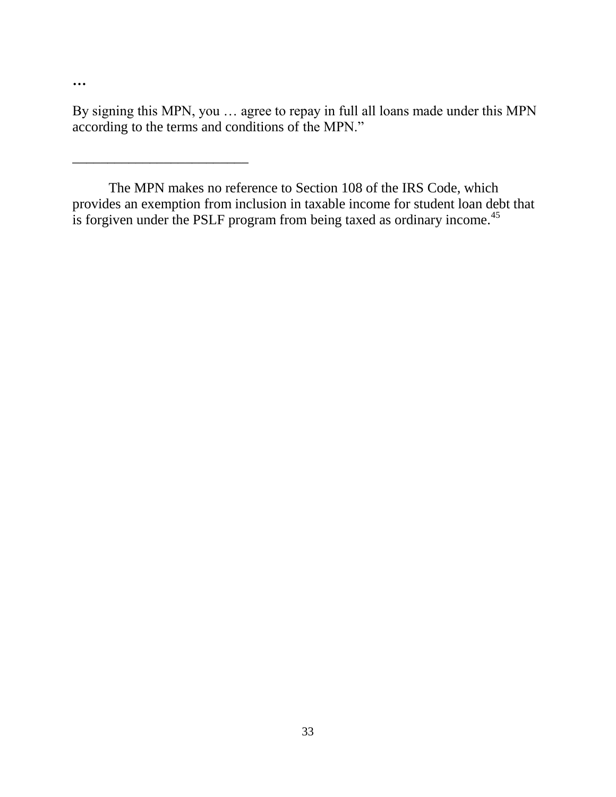By signing this MPN, you … agree to repay in full all loans made under this MPN according to the terms and conditions of the MPN."

**…**

\_\_\_\_\_\_\_\_\_\_\_\_\_\_\_\_\_\_\_\_\_\_\_\_\_

The MPN makes no reference to Section 108 of the IRS Code, which provides an exemption from inclusion in taxable income for student loan debt that is forgiven under the PSLF program from being taxed as ordinary income.<sup>45</sup>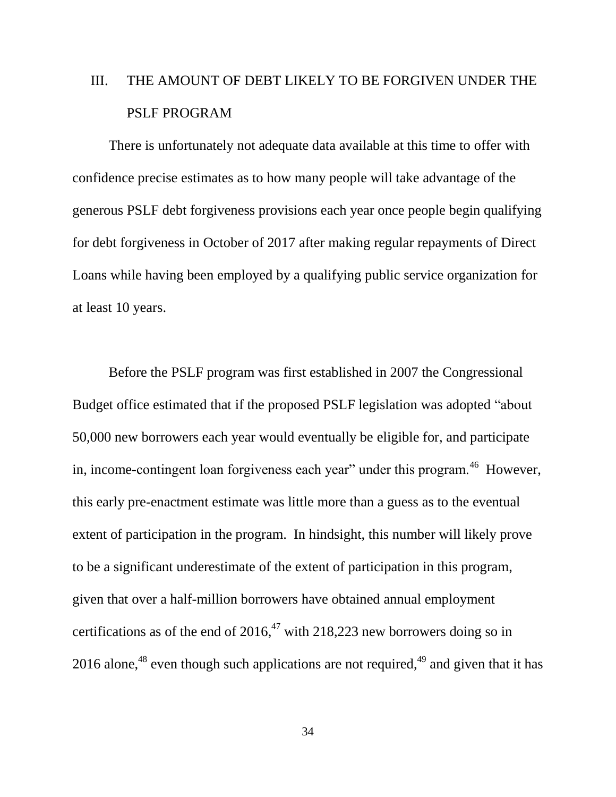# III. THE AMOUNT OF DEBT LIKELY TO BE FORGIVEN UNDER THE PSLF PROGRAM

There is unfortunately not adequate data available at this time to offer with confidence precise estimates as to how many people will take advantage of the generous PSLF debt forgiveness provisions each year once people begin qualifying for debt forgiveness in October of 2017 after making regular repayments of Direct Loans while having been employed by a qualifying public service organization for at least 10 years.

Before the PSLF program was first established in 2007 the Congressional Budget office estimated that if the proposed PSLF legislation was adopted "about 50,000 new borrowers each year would eventually be eligible for, and participate in, income-contingent loan forgiveness each year" under this program.  $46$  However, this early pre-enactment estimate was little more than a guess as to the eventual extent of participation in the program. In hindsight, this number will likely prove to be a significant underestimate of the extent of participation in this program, given that over a half-million borrowers have obtained annual employment certifications as of the end of  $2016<sup>47</sup>$  with 218,223 new borrowers doing so in 2016 alone,<sup>48</sup> even though such applications are not required,<sup> $49$ </sup> and given that it has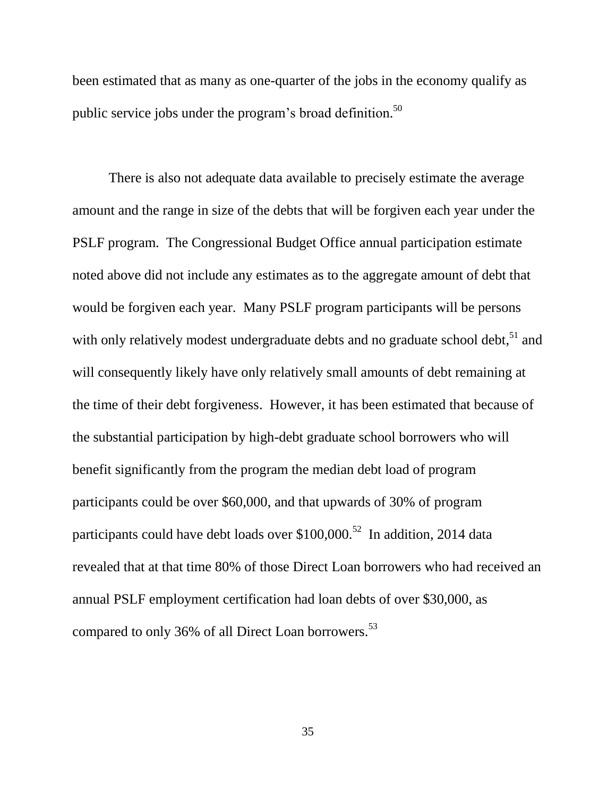been estimated that as many as one-quarter of the jobs in the economy qualify as public service jobs under the program's broad definition.<sup>50</sup>

There is also not adequate data available to precisely estimate the average amount and the range in size of the debts that will be forgiven each year under the PSLF program. The Congressional Budget Office annual participation estimate noted above did not include any estimates as to the aggregate amount of debt that would be forgiven each year. Many PSLF program participants will be persons with only relatively modest undergraduate debts and no graduate school debt,<sup>51</sup> and will consequently likely have only relatively small amounts of debt remaining at the time of their debt forgiveness. However, it has been estimated that because of the substantial participation by high-debt graduate school borrowers who will benefit significantly from the program the median debt load of program participants could be over \$60,000, and that upwards of 30% of program participants could have debt loads over \$100,000.<sup>52</sup> In addition, 2014 data revealed that at that time 80% of those Direct Loan borrowers who had received an annual PSLF employment certification had loan debts of over \$30,000, as compared to only 36% of all Direct Loan borrowers.<sup>53</sup>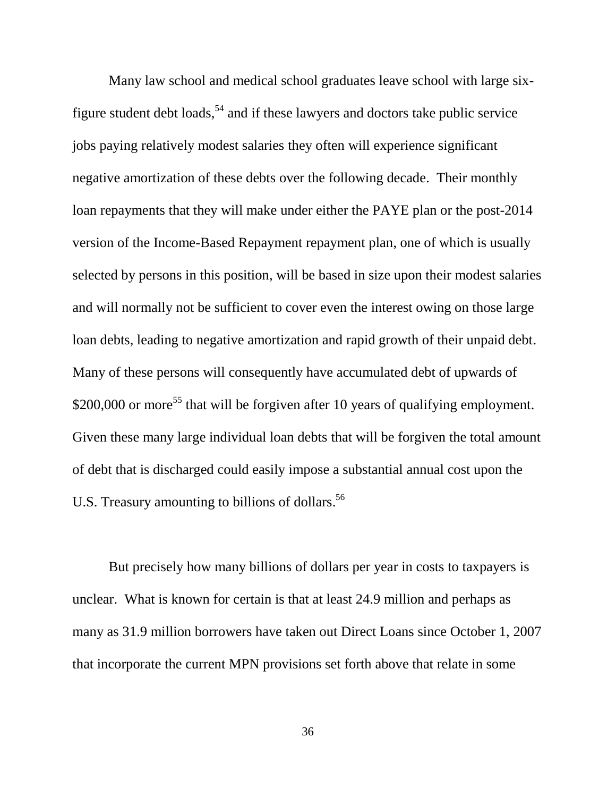Many law school and medical school graduates leave school with large sixfigure student debt loads,  $54$  and if these lawyers and doctors take public service jobs paying relatively modest salaries they often will experience significant negative amortization of these debts over the following decade. Their monthly loan repayments that they will make under either the PAYE plan or the post-2014 version of the Income-Based Repayment repayment plan, one of which is usually selected by persons in this position, will be based in size upon their modest salaries and will normally not be sufficient to cover even the interest owing on those large loan debts, leading to negative amortization and rapid growth of their unpaid debt. Many of these persons will consequently have accumulated debt of upwards of \$200,000 or more<sup>55</sup> that will be forgiven after 10 years of qualifying employment. Given these many large individual loan debts that will be forgiven the total amount of debt that is discharged could easily impose a substantial annual cost upon the U.S. Treasury amounting to billions of dollars.<sup>56</sup>

But precisely how many billions of dollars per year in costs to taxpayers is unclear. What is known for certain is that at least 24.9 million and perhaps as many as 31.9 million borrowers have taken out Direct Loans since October 1, 2007 that incorporate the current MPN provisions set forth above that relate in some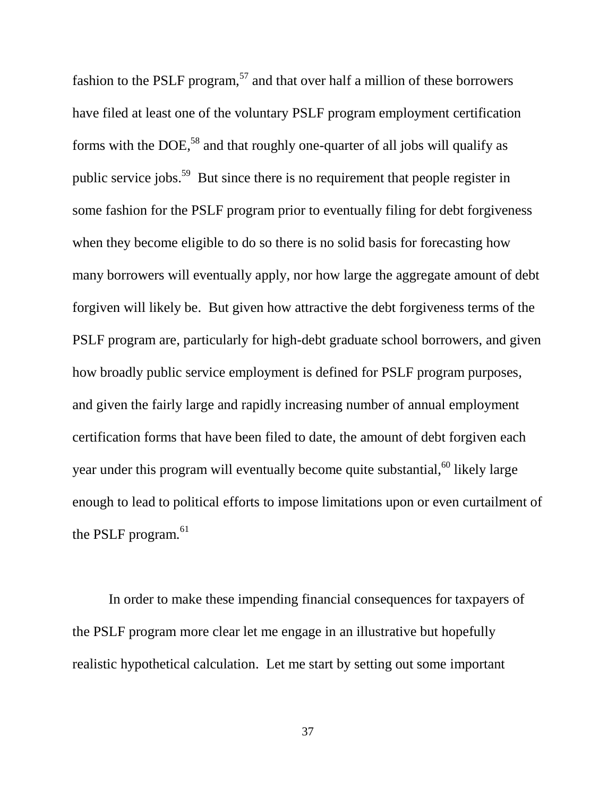fashion to the PSLF program,<sup>57</sup> and that over half a million of these borrowers have filed at least one of the voluntary PSLF program employment certification forms with the DOE,<sup>58</sup> and that roughly one-quarter of all jobs will qualify as public service jobs.<sup>59</sup> But since there is no requirement that people register in some fashion for the PSLF program prior to eventually filing for debt forgiveness when they become eligible to do so there is no solid basis for forecasting how many borrowers will eventually apply, nor how large the aggregate amount of debt forgiven will likely be. But given how attractive the debt forgiveness terms of the PSLF program are, particularly for high-debt graduate school borrowers, and given how broadly public service employment is defined for PSLF program purposes, and given the fairly large and rapidly increasing number of annual employment certification forms that have been filed to date, the amount of debt forgiven each year under this program will eventually become quite substantial,  $60$  likely large enough to lead to political efforts to impose limitations upon or even curtailment of the PSLF program.<sup>61</sup>

In order to make these impending financial consequences for taxpayers of the PSLF program more clear let me engage in an illustrative but hopefully realistic hypothetical calculation. Let me start by setting out some important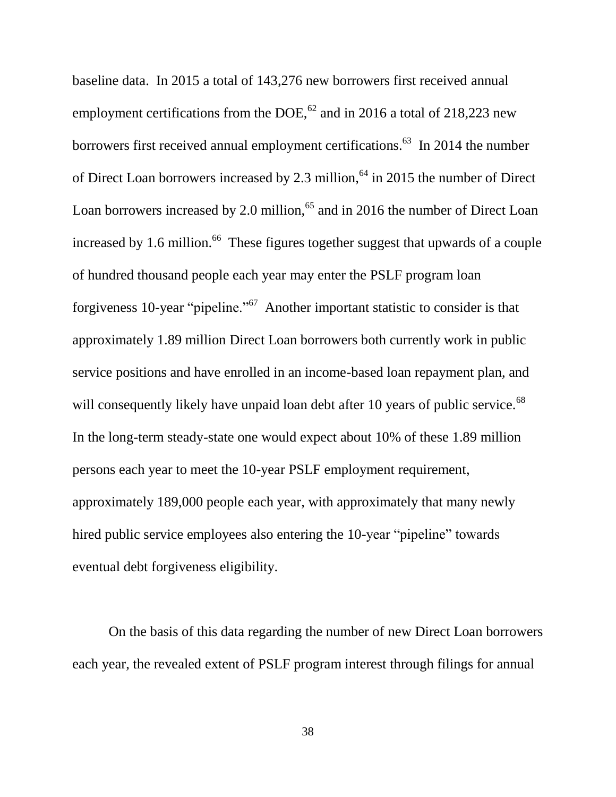baseline data. In 2015 a total of 143,276 new borrowers first received annual employment certifications from the DOE,  $^{62}$  and in 2016 a total of 218,223 new borrowers first received annual employment certifications.<sup>63</sup> In 2014 the number of Direct Loan borrowers increased by 2.3 million,  $64$  in 2015 the number of Direct Loan borrowers increased by 2.0 million, $65$  and in 2016 the number of Direct Loan increased by 1.6 million.<sup>66</sup> These figures together suggest that upwards of a couple of hundred thousand people each year may enter the PSLF program loan forgiveness 10-year "pipeline."<sup>67</sup> Another important statistic to consider is that approximately 1.89 million Direct Loan borrowers both currently work in public service positions and have enrolled in an income-based loan repayment plan, and will consequently likely have unpaid loan debt after 10 years of public service. $^{68}$ In the long-term steady-state one would expect about 10% of these 1.89 million persons each year to meet the 10-year PSLF employment requirement, approximately 189,000 people each year, with approximately that many newly hired public service employees also entering the 10-year "pipeline" towards eventual debt forgiveness eligibility.

On the basis of this data regarding the number of new Direct Loan borrowers each year, the revealed extent of PSLF program interest through filings for annual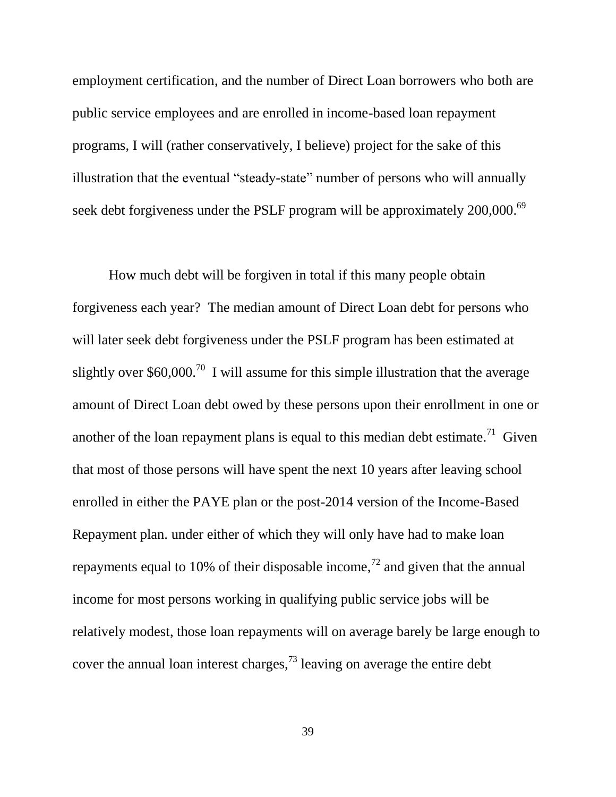employment certification, and the number of Direct Loan borrowers who both are public service employees and are enrolled in income-based loan repayment programs, I will (rather conservatively, I believe) project for the sake of this illustration that the eventual "steady-state" number of persons who will annually seek debt forgiveness under the PSLF program will be approximately 200,000.<sup>69</sup>

How much debt will be forgiven in total if this many people obtain forgiveness each year? The median amount of Direct Loan debt for persons who will later seek debt forgiveness under the PSLF program has been estimated at slightly over \$60,000.<sup>70</sup> I will assume for this simple illustration that the average amount of Direct Loan debt owed by these persons upon their enrollment in one or another of the loan repayment plans is equal to this median debt estimate.<sup>71</sup> Given that most of those persons will have spent the next 10 years after leaving school enrolled in either the PAYE plan or the post-2014 version of the Income-Based Repayment plan. under either of which they will only have had to make loan repayments equal to 10% of their disposable income,<sup> $72$ </sup> and given that the annual income for most persons working in qualifying public service jobs will be relatively modest, those loan repayments will on average barely be large enough to cover the annual loan interest charges,  $^{73}$  leaving on average the entire debt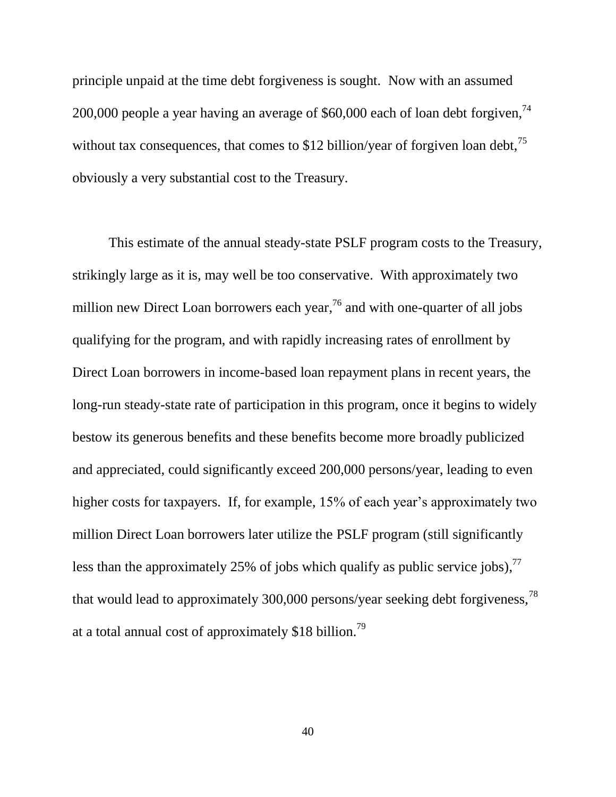principle unpaid at the time debt forgiveness is sought. Now with an assumed 200,000 people a year having an average of  $$60,000$  each of loan debt forgiven,<sup>74</sup> without tax consequences, that comes to \$12 billion/year of forgiven loan debt,  $75$ obviously a very substantial cost to the Treasury.

This estimate of the annual steady-state PSLF program costs to the Treasury, strikingly large as it is, may well be too conservative. With approximately two million new Direct Loan borrowers each year,  $76$  and with one-quarter of all jobs qualifying for the program, and with rapidly increasing rates of enrollment by Direct Loan borrowers in income-based loan repayment plans in recent years, the long-run steady-state rate of participation in this program, once it begins to widely bestow its generous benefits and these benefits become more broadly publicized and appreciated, could significantly exceed 200,000 persons/year, leading to even higher costs for taxpayers. If, for example, 15% of each year's approximately two million Direct Loan borrowers later utilize the PSLF program (still significantly less than the approximately 25% of jobs which qualify as public service jobs),  $77$ that would lead to approximately 300,000 persons/year seeking debt forgiveness,<sup>78</sup> at a total annual cost of approximately \$18 billion.<sup>79</sup>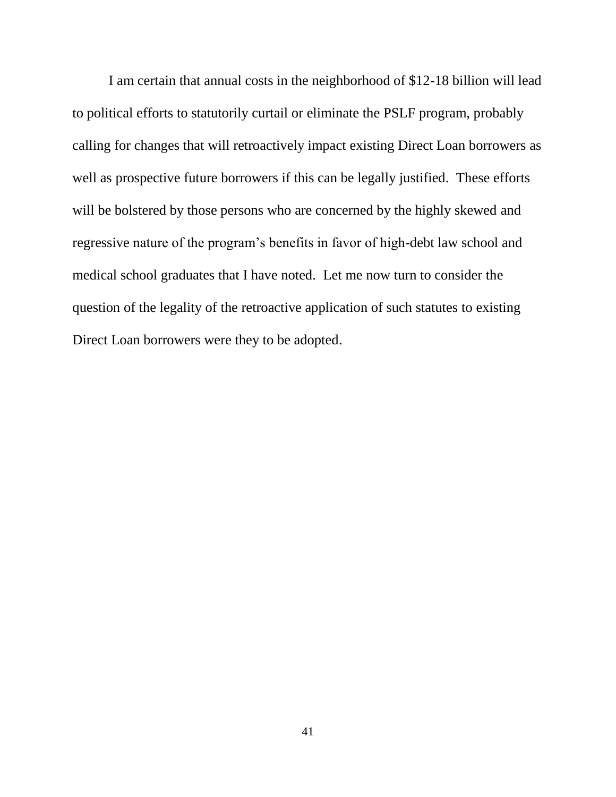I am certain that annual costs in the neighborhood of \$12-18 billion will lead to political efforts to statutorily curtail or eliminate the PSLF program, probably calling for changes that will retroactively impact existing Direct Loan borrowers as well as prospective future borrowers if this can be legally justified. These efforts will be bolstered by those persons who are concerned by the highly skewed and regressive nature of the program's benefits in favor of high-debt law school and medical school graduates that I have noted. Let me now turn to consider the question of the legality of the retroactive application of such statutes to existing Direct Loan borrowers were they to be adopted.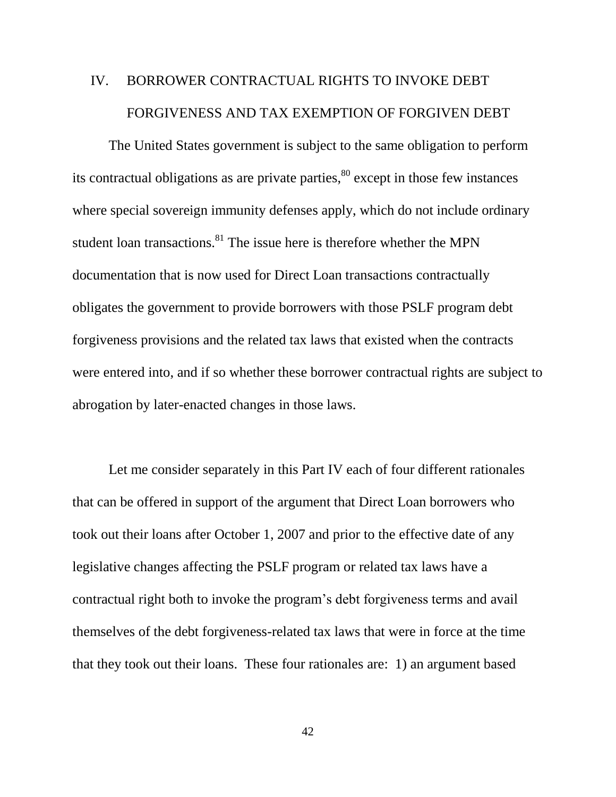# IV. BORROWER CONTRACTUAL RIGHTS TO INVOKE DEBT FORGIVENESS AND TAX EXEMPTION OF FORGIVEN DEBT

The United States government is subject to the same obligation to perform its contractual obligations as are private parties, $80$  except in those few instances where special sovereign immunity defenses apply, which do not include ordinary student loan transactions.<sup>81</sup> The issue here is therefore whether the MPN documentation that is now used for Direct Loan transactions contractually obligates the government to provide borrowers with those PSLF program debt forgiveness provisions and the related tax laws that existed when the contracts were entered into, and if so whether these borrower contractual rights are subject to abrogation by later-enacted changes in those laws.

Let me consider separately in this Part IV each of four different rationales that can be offered in support of the argument that Direct Loan borrowers who took out their loans after October 1, 2007 and prior to the effective date of any legislative changes affecting the PSLF program or related tax laws have a contractual right both to invoke the program's debt forgiveness terms and avail themselves of the debt forgiveness-related tax laws that were in force at the time that they took out their loans. These four rationales are: 1) an argument based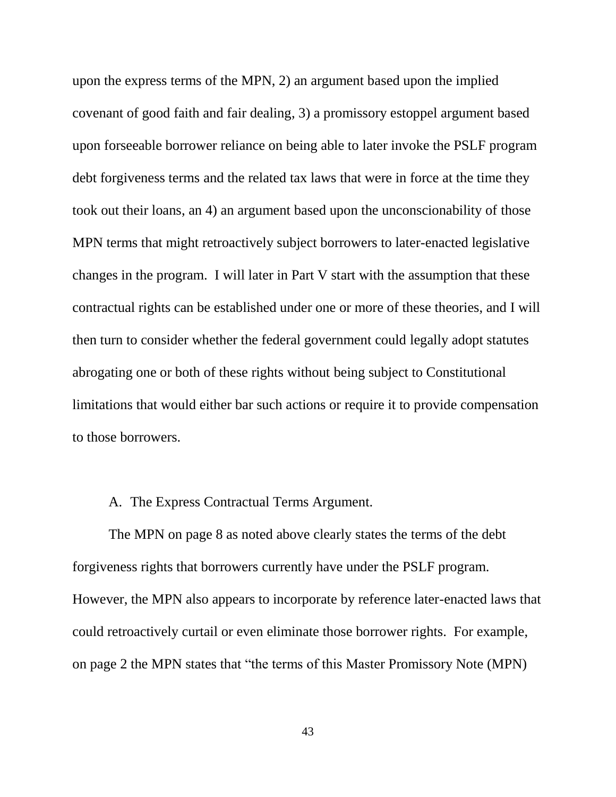upon the express terms of the MPN, 2) an argument based upon the implied covenant of good faith and fair dealing, 3) a promissory estoppel argument based upon forseeable borrower reliance on being able to later invoke the PSLF program debt forgiveness terms and the related tax laws that were in force at the time they took out their loans, an 4) an argument based upon the unconscionability of those MPN terms that might retroactively subject borrowers to later-enacted legislative changes in the program. I will later in Part V start with the assumption that these contractual rights can be established under one or more of these theories, and I will then turn to consider whether the federal government could legally adopt statutes abrogating one or both of these rights without being subject to Constitutional limitations that would either bar such actions or require it to provide compensation to those borrowers.

#### A. The Express Contractual Terms Argument.

The MPN on page 8 as noted above clearly states the terms of the debt forgiveness rights that borrowers currently have under the PSLF program. However, the MPN also appears to incorporate by reference later-enacted laws that could retroactively curtail or even eliminate those borrower rights. For example, on page 2 the MPN states that "the terms of this Master Promissory Note (MPN)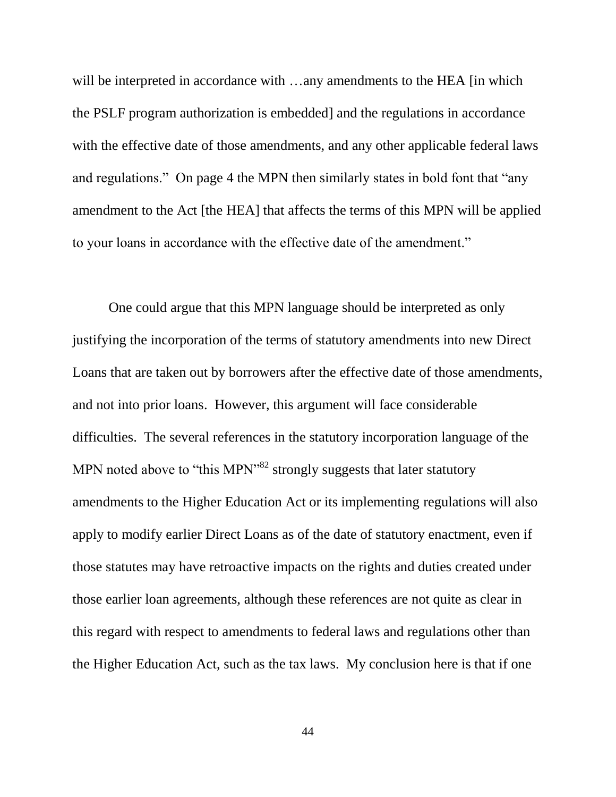will be interpreted in accordance with …any amendments to the HEA [in which the PSLF program authorization is embedded] and the regulations in accordance with the effective date of those amendments, and any other applicable federal laws and regulations." On page 4 the MPN then similarly states in bold font that "any amendment to the Act [the HEA] that affects the terms of this MPN will be applied to your loans in accordance with the effective date of the amendment."

One could argue that this MPN language should be interpreted as only justifying the incorporation of the terms of statutory amendments into new Direct Loans that are taken out by borrowers after the effective date of those amendments, and not into prior loans. However, this argument will face considerable difficulties. The several references in the statutory incorporation language of the MPN noted above to "this MPN"<sup>82</sup> strongly suggests that later statutory amendments to the Higher Education Act or its implementing regulations will also apply to modify earlier Direct Loans as of the date of statutory enactment, even if those statutes may have retroactive impacts on the rights and duties created under those earlier loan agreements, although these references are not quite as clear in this regard with respect to amendments to federal laws and regulations other than the Higher Education Act, such as the tax laws. My conclusion here is that if one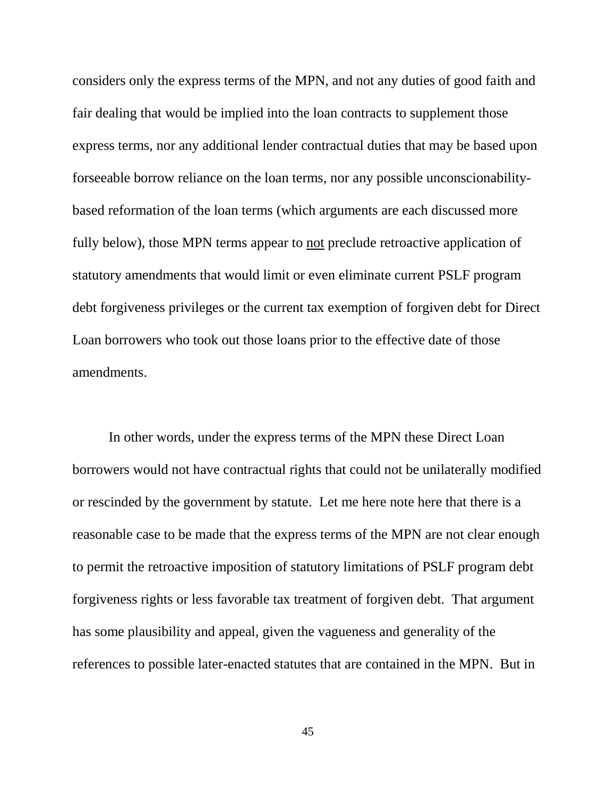considers only the express terms of the MPN, and not any duties of good faith and fair dealing that would be implied into the loan contracts to supplement those express terms, nor any additional lender contractual duties that may be based upon forseeable borrow reliance on the loan terms, nor any possible unconscionabilitybased reformation of the loan terms (which arguments are each discussed more fully below), those MPN terms appear to not preclude retroactive application of statutory amendments that would limit or even eliminate current PSLF program debt forgiveness privileges or the current tax exemption of forgiven debt for Direct Loan borrowers who took out those loans prior to the effective date of those amendments.

In other words, under the express terms of the MPN these Direct Loan borrowers would not have contractual rights that could not be unilaterally modified or rescinded by the government by statute. Let me here note here that there is a reasonable case to be made that the express terms of the MPN are not clear enough to permit the retroactive imposition of statutory limitations of PSLF program debt forgiveness rights or less favorable tax treatment of forgiven debt. That argument has some plausibility and appeal, given the vagueness and generality of the references to possible later-enacted statutes that are contained in the MPN. But in

45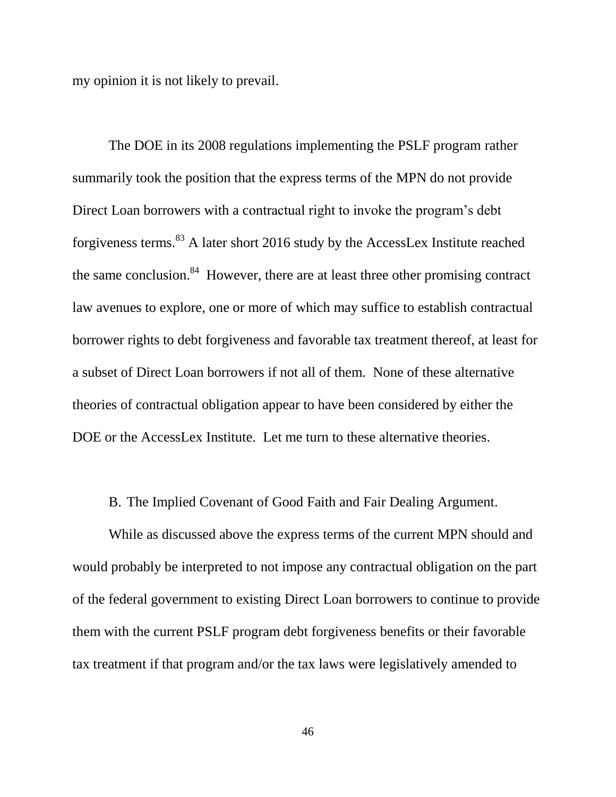my opinion it is not likely to prevail.

The DOE in its 2008 regulations implementing the PSLF program rather summarily took the position that the express terms of the MPN do not provide Direct Loan borrowers with a contractual right to invoke the program's debt forgiveness terms.<sup>83</sup> A later short 2016 study by the AccessLex Institute reached the same conclusion.<sup>84</sup> However, there are at least three other promising contract law avenues to explore, one or more of which may suffice to establish contractual borrower rights to debt forgiveness and favorable tax treatment thereof, at least for a subset of Direct Loan borrowers if not all of them. None of these alternative theories of contractual obligation appear to have been considered by either the DOE or the AccessLex Institute. Let me turn to these alternative theories.

B. The Implied Covenant of Good Faith and Fair Dealing Argument.

While as discussed above the express terms of the current MPN should and would probably be interpreted to not impose any contractual obligation on the part of the federal government to existing Direct Loan borrowers to continue to provide them with the current PSLF program debt forgiveness benefits or their favorable tax treatment if that program and/or the tax laws were legislatively amended to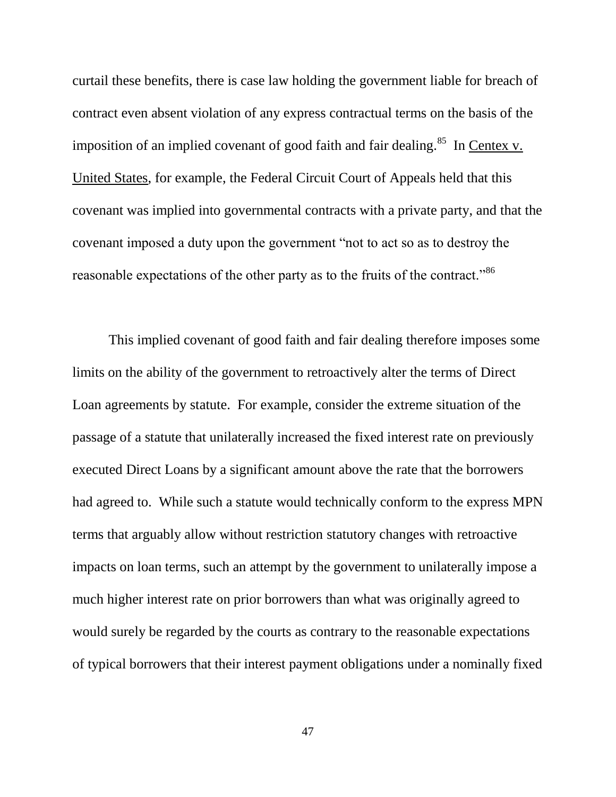curtail these benefits, there is case law holding the government liable for breach of contract even absent violation of any express contractual terms on the basis of the imposition of an implied covenant of good faith and fair dealing.<sup>85</sup> In Centex v. United States, for example, the Federal Circuit Court of Appeals held that this covenant was implied into governmental contracts with a private party, and that the covenant imposed a duty upon the government "not to act so as to destroy the reasonable expectations of the other party as to the fruits of the contract."<sup>86</sup>

This implied covenant of good faith and fair dealing therefore imposes some limits on the ability of the government to retroactively alter the terms of Direct Loan agreements by statute. For example, consider the extreme situation of the passage of a statute that unilaterally increased the fixed interest rate on previously executed Direct Loans by a significant amount above the rate that the borrowers had agreed to. While such a statute would technically conform to the express MPN terms that arguably allow without restriction statutory changes with retroactive impacts on loan terms, such an attempt by the government to unilaterally impose a much higher interest rate on prior borrowers than what was originally agreed to would surely be regarded by the courts as contrary to the reasonable expectations of typical borrowers that their interest payment obligations under a nominally fixed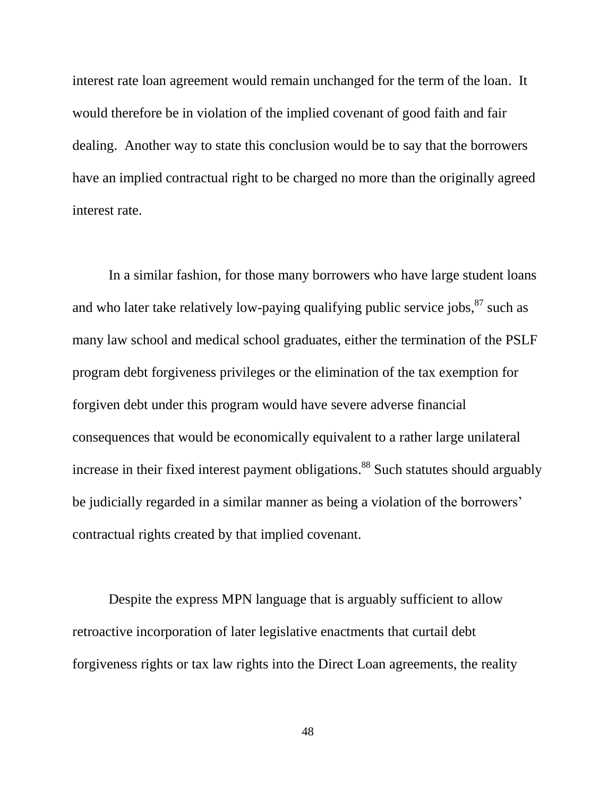interest rate loan agreement would remain unchanged for the term of the loan. It would therefore be in violation of the implied covenant of good faith and fair dealing. Another way to state this conclusion would be to say that the borrowers have an implied contractual right to be charged no more than the originally agreed interest rate.

In a similar fashion, for those many borrowers who have large student loans and who later take relatively low-paying qualifying public service jobs,  $87$  such as many law school and medical school graduates, either the termination of the PSLF program debt forgiveness privileges or the elimination of the tax exemption for forgiven debt under this program would have severe adverse financial consequences that would be economically equivalent to a rather large unilateral increase in their fixed interest payment obligations.<sup>88</sup> Such statutes should arguably be judicially regarded in a similar manner as being a violation of the borrowers' contractual rights created by that implied covenant.

Despite the express MPN language that is arguably sufficient to allow retroactive incorporation of later legislative enactments that curtail debt forgiveness rights or tax law rights into the Direct Loan agreements, the reality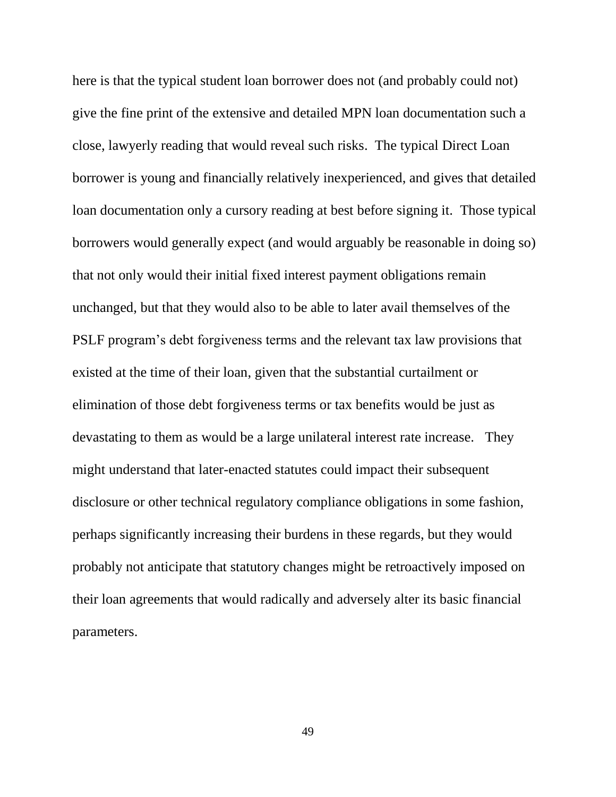here is that the typical student loan borrower does not (and probably could not) give the fine print of the extensive and detailed MPN loan documentation such a close, lawyerly reading that would reveal such risks. The typical Direct Loan borrower is young and financially relatively inexperienced, and gives that detailed loan documentation only a cursory reading at best before signing it. Those typical borrowers would generally expect (and would arguably be reasonable in doing so) that not only would their initial fixed interest payment obligations remain unchanged, but that they would also to be able to later avail themselves of the PSLF program's debt forgiveness terms and the relevant tax law provisions that existed at the time of their loan, given that the substantial curtailment or elimination of those debt forgiveness terms or tax benefits would be just as devastating to them as would be a large unilateral interest rate increase. They might understand that later-enacted statutes could impact their subsequent disclosure or other technical regulatory compliance obligations in some fashion, perhaps significantly increasing their burdens in these regards, but they would probably not anticipate that statutory changes might be retroactively imposed on their loan agreements that would radically and adversely alter its basic financial parameters.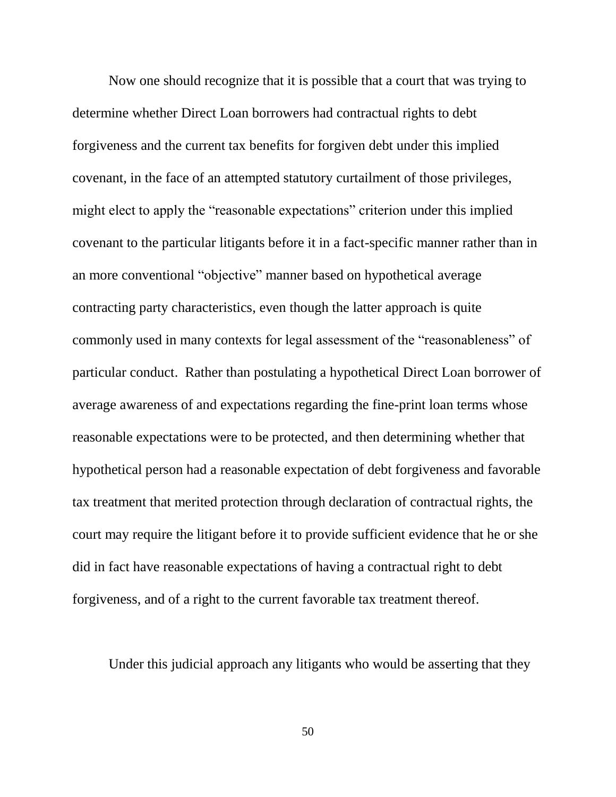Now one should recognize that it is possible that a court that was trying to determine whether Direct Loan borrowers had contractual rights to debt forgiveness and the current tax benefits for forgiven debt under this implied covenant, in the face of an attempted statutory curtailment of those privileges, might elect to apply the "reasonable expectations" criterion under this implied covenant to the particular litigants before it in a fact-specific manner rather than in an more conventional "objective" manner based on hypothetical average contracting party characteristics, even though the latter approach is quite commonly used in many contexts for legal assessment of the "reasonableness" of particular conduct. Rather than postulating a hypothetical Direct Loan borrower of average awareness of and expectations regarding the fine-print loan terms whose reasonable expectations were to be protected, and then determining whether that hypothetical person had a reasonable expectation of debt forgiveness and favorable tax treatment that merited protection through declaration of contractual rights, the court may require the litigant before it to provide sufficient evidence that he or she did in fact have reasonable expectations of having a contractual right to debt forgiveness, and of a right to the current favorable tax treatment thereof.

Under this judicial approach any litigants who would be asserting that they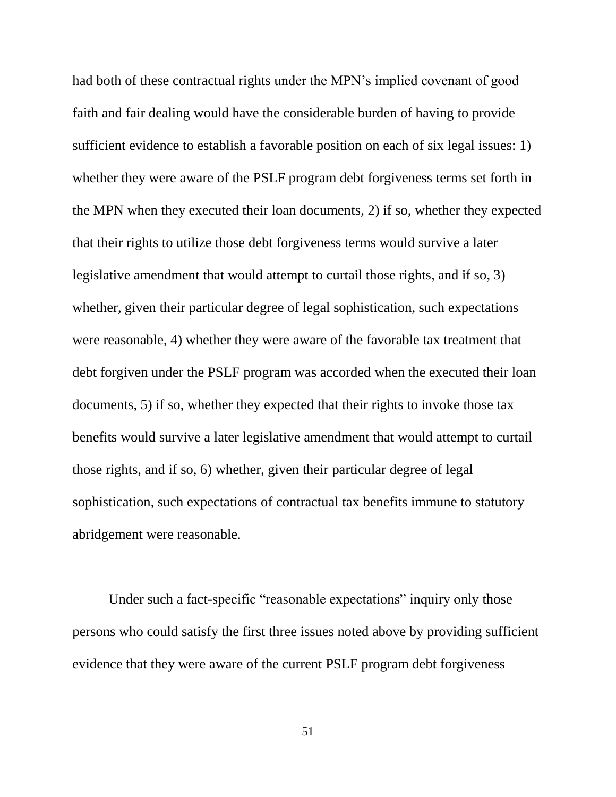had both of these contractual rights under the MPN's implied covenant of good faith and fair dealing would have the considerable burden of having to provide sufficient evidence to establish a favorable position on each of six legal issues: 1) whether they were aware of the PSLF program debt forgiveness terms set forth in the MPN when they executed their loan documents, 2) if so, whether they expected that their rights to utilize those debt forgiveness terms would survive a later legislative amendment that would attempt to curtail those rights, and if so, 3) whether, given their particular degree of legal sophistication, such expectations were reasonable, 4) whether they were aware of the favorable tax treatment that debt forgiven under the PSLF program was accorded when the executed their loan documents, 5) if so, whether they expected that their rights to invoke those tax benefits would survive a later legislative amendment that would attempt to curtail those rights, and if so, 6) whether, given their particular degree of legal sophistication, such expectations of contractual tax benefits immune to statutory abridgement were reasonable.

Under such a fact-specific "reasonable expectations" inquiry only those persons who could satisfy the first three issues noted above by providing sufficient evidence that they were aware of the current PSLF program debt forgiveness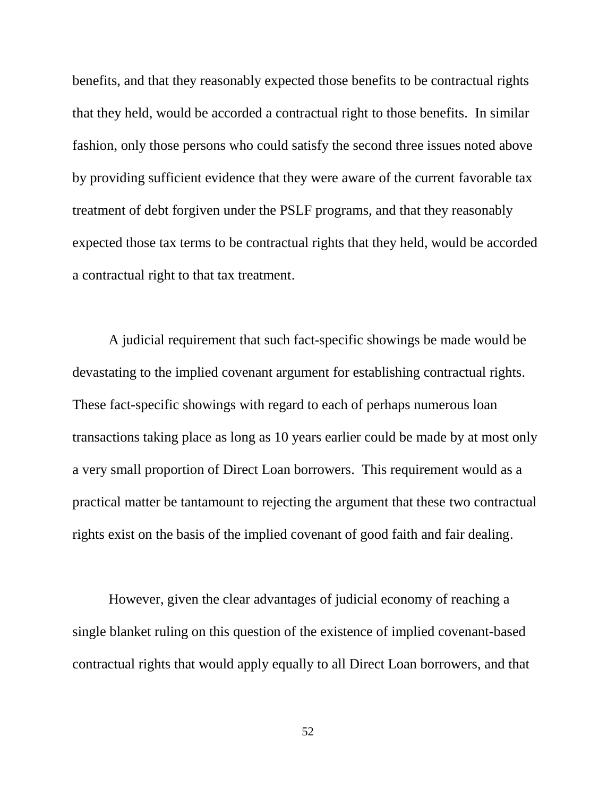benefits, and that they reasonably expected those benefits to be contractual rights that they held, would be accorded a contractual right to those benefits. In similar fashion, only those persons who could satisfy the second three issues noted above by providing sufficient evidence that they were aware of the current favorable tax treatment of debt forgiven under the PSLF programs, and that they reasonably expected those tax terms to be contractual rights that they held, would be accorded a contractual right to that tax treatment.

A judicial requirement that such fact-specific showings be made would be devastating to the implied covenant argument for establishing contractual rights. These fact-specific showings with regard to each of perhaps numerous loan transactions taking place as long as 10 years earlier could be made by at most only a very small proportion of Direct Loan borrowers. This requirement would as a practical matter be tantamount to rejecting the argument that these two contractual rights exist on the basis of the implied covenant of good faith and fair dealing.

However, given the clear advantages of judicial economy of reaching a single blanket ruling on this question of the existence of implied covenant-based contractual rights that would apply equally to all Direct Loan borrowers, and that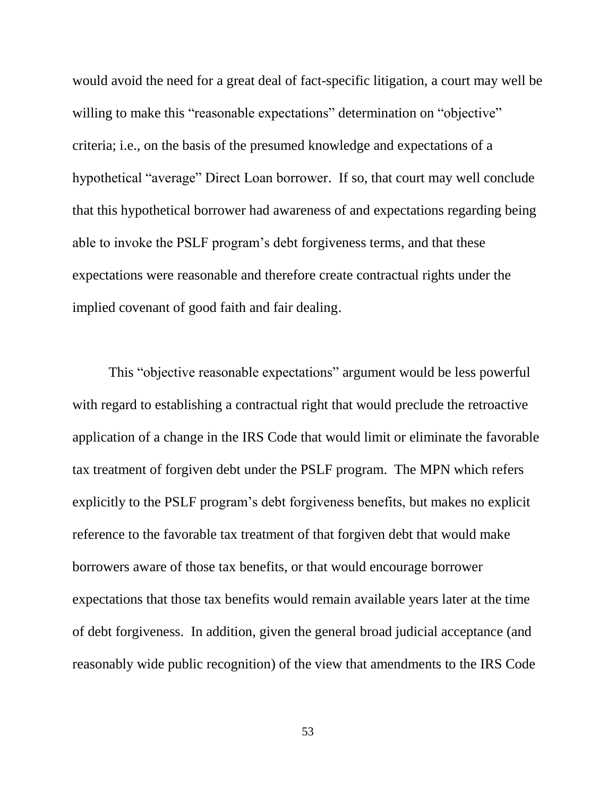would avoid the need for a great deal of fact-specific litigation, a court may well be willing to make this "reasonable expectations" determination on "objective" criteria; i.e., on the basis of the presumed knowledge and expectations of a hypothetical "average" Direct Loan borrower. If so, that court may well conclude that this hypothetical borrower had awareness of and expectations regarding being able to invoke the PSLF program's debt forgiveness terms, and that these expectations were reasonable and therefore create contractual rights under the implied covenant of good faith and fair dealing.

This "objective reasonable expectations" argument would be less powerful with regard to establishing a contractual right that would preclude the retroactive application of a change in the IRS Code that would limit or eliminate the favorable tax treatment of forgiven debt under the PSLF program. The MPN which refers explicitly to the PSLF program's debt forgiveness benefits, but makes no explicit reference to the favorable tax treatment of that forgiven debt that would make borrowers aware of those tax benefits, or that would encourage borrower expectations that those tax benefits would remain available years later at the time of debt forgiveness. In addition, given the general broad judicial acceptance (and reasonably wide public recognition) of the view that amendments to the IRS Code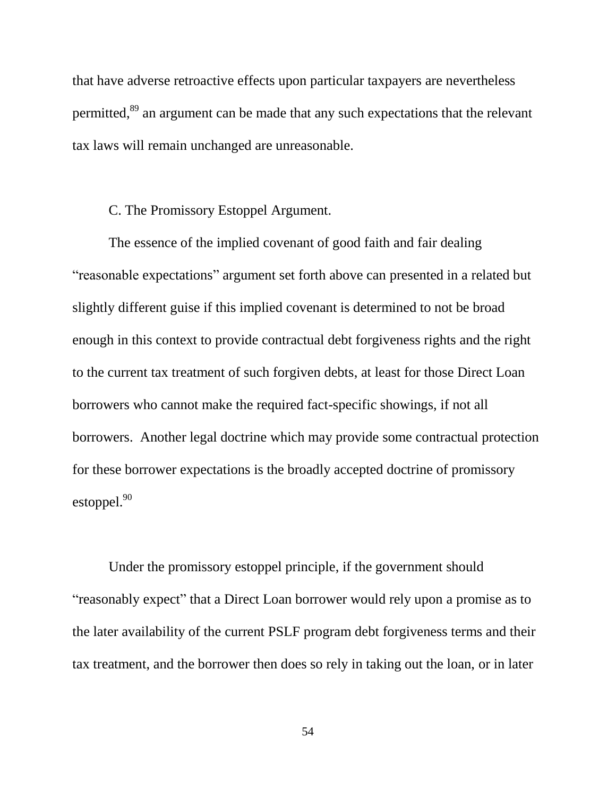that have adverse retroactive effects upon particular taxpayers are nevertheless permitted,<sup>89</sup> an argument can be made that any such expectations that the relevant tax laws will remain unchanged are unreasonable.

## C. The Promissory Estoppel Argument.

The essence of the implied covenant of good faith and fair dealing "reasonable expectations" argument set forth above can presented in a related but slightly different guise if this implied covenant is determined to not be broad enough in this context to provide contractual debt forgiveness rights and the right to the current tax treatment of such forgiven debts, at least for those Direct Loan borrowers who cannot make the required fact-specific showings, if not all borrowers. Another legal doctrine which may provide some contractual protection for these borrower expectations is the broadly accepted doctrine of promissory estoppel.<sup>90</sup>

Under the promissory estoppel principle, if the government should "reasonably expect" that a Direct Loan borrower would rely upon a promise as to the later availability of the current PSLF program debt forgiveness terms and their tax treatment, and the borrower then does so rely in taking out the loan, or in later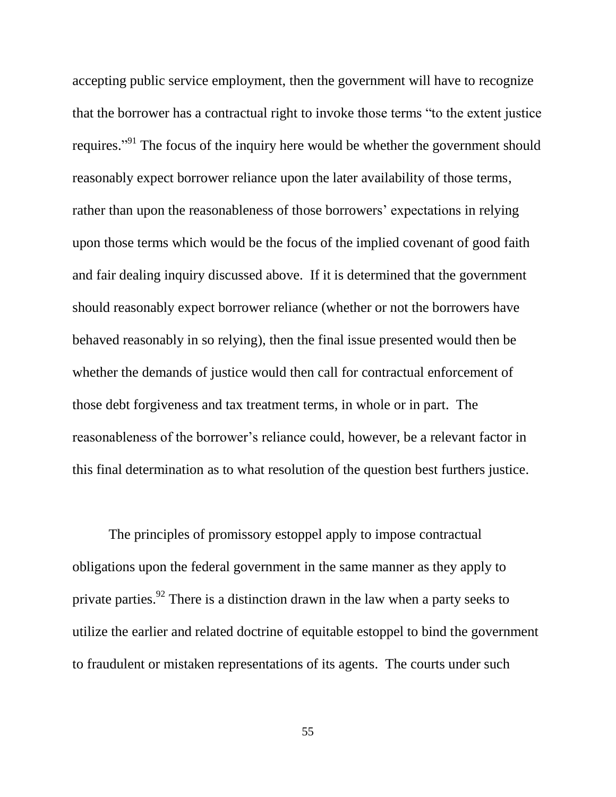accepting public service employment, then the government will have to recognize that the borrower has a contractual right to invoke those terms "to the extent justice requires."<sup>91</sup> The focus of the inquiry here would be whether the government should reasonably expect borrower reliance upon the later availability of those terms, rather than upon the reasonableness of those borrowers' expectations in relying upon those terms which would be the focus of the implied covenant of good faith and fair dealing inquiry discussed above. If it is determined that the government should reasonably expect borrower reliance (whether or not the borrowers have behaved reasonably in so relying), then the final issue presented would then be whether the demands of justice would then call for contractual enforcement of those debt forgiveness and tax treatment terms, in whole or in part. The reasonableness of the borrower's reliance could, however, be a relevant factor in this final determination as to what resolution of the question best furthers justice.

The principles of promissory estoppel apply to impose contractual obligations upon the federal government in the same manner as they apply to private parties.<sup>92</sup> There is a distinction drawn in the law when a party seeks to utilize the earlier and related doctrine of equitable estoppel to bind the government to fraudulent or mistaken representations of its agents. The courts under such

55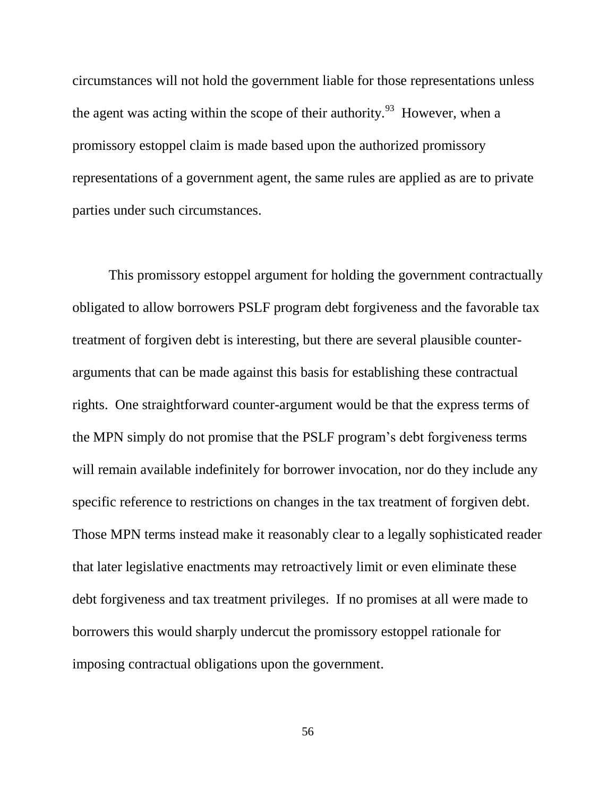circumstances will not hold the government liable for those representations unless the agent was acting within the scope of their authority.<sup>93</sup> However, when a promissory estoppel claim is made based upon the authorized promissory representations of a government agent, the same rules are applied as are to private parties under such circumstances.

This promissory estoppel argument for holding the government contractually obligated to allow borrowers PSLF program debt forgiveness and the favorable tax treatment of forgiven debt is interesting, but there are several plausible counterarguments that can be made against this basis for establishing these contractual rights. One straightforward counter-argument would be that the express terms of the MPN simply do not promise that the PSLF program's debt forgiveness terms will remain available indefinitely for borrower invocation, nor do they include any specific reference to restrictions on changes in the tax treatment of forgiven debt. Those MPN terms instead make it reasonably clear to a legally sophisticated reader that later legislative enactments may retroactively limit or even eliminate these debt forgiveness and tax treatment privileges. If no promises at all were made to borrowers this would sharply undercut the promissory estoppel rationale for imposing contractual obligations upon the government.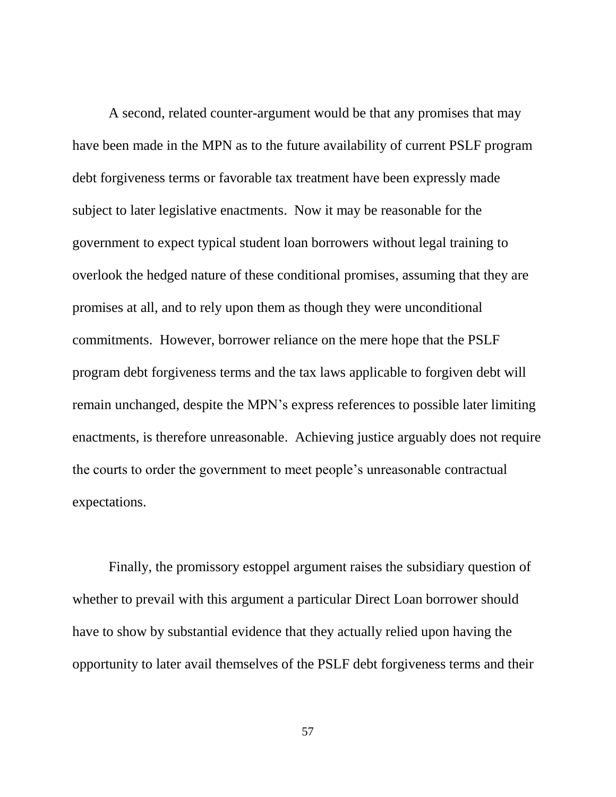A second, related counter-argument would be that any promises that may have been made in the MPN as to the future availability of current PSLF program debt forgiveness terms or favorable tax treatment have been expressly made subject to later legislative enactments. Now it may be reasonable for the government to expect typical student loan borrowers without legal training to overlook the hedged nature of these conditional promises, assuming that they are promises at all, and to rely upon them as though they were unconditional commitments. However, borrower reliance on the mere hope that the PSLF program debt forgiveness terms and the tax laws applicable to forgiven debt will remain unchanged, despite the MPN's express references to possible later limiting enactments, is therefore unreasonable. Achieving justice arguably does not require the courts to order the government to meet people's unreasonable contractual expectations.

Finally, the promissory estoppel argument raises the subsidiary question of whether to prevail with this argument a particular Direct Loan borrower should have to show by substantial evidence that they actually relied upon having the opportunity to later avail themselves of the PSLF debt forgiveness terms and their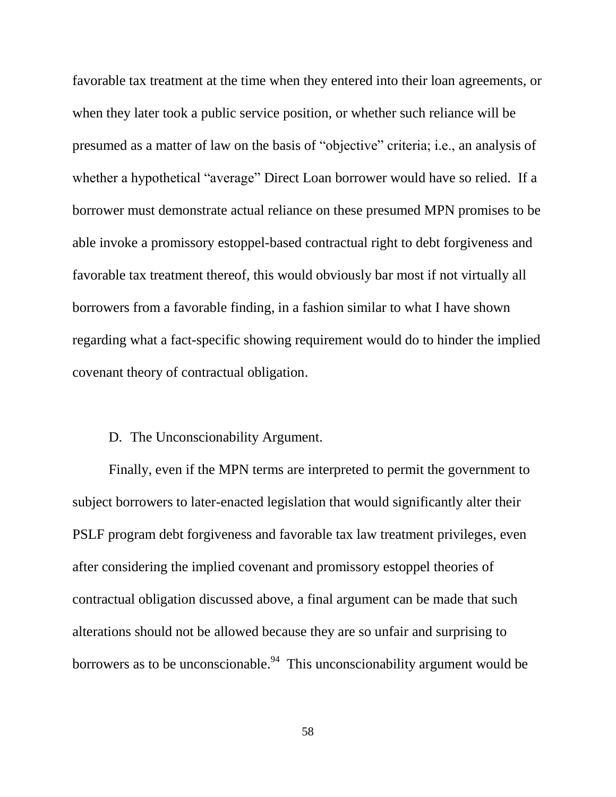favorable tax treatment at the time when they entered into their loan agreements, or when they later took a public service position, or whether such reliance will be presumed as a matter of law on the basis of "objective" criteria; i.e., an analysis of whether a hypothetical "average" Direct Loan borrower would have so relied. If a borrower must demonstrate actual reliance on these presumed MPN promises to be able invoke a promissory estoppel-based contractual right to debt forgiveness and favorable tax treatment thereof, this would obviously bar most if not virtually all borrowers from a favorable finding, in a fashion similar to what I have shown regarding what a fact-specific showing requirement would do to hinder the implied covenant theory of contractual obligation.

#### D. The Unconscionability Argument.

Finally, even if the MPN terms are interpreted to permit the government to subject borrowers to later-enacted legislation that would significantly alter their PSLF program debt forgiveness and favorable tax law treatment privileges, even after considering the implied covenant and promissory estoppel theories of contractual obligation discussed above, a final argument can be made that such alterations should not be allowed because they are so unfair and surprising to borrowers as to be unconscionable.<sup>94</sup> This unconscionability argument would be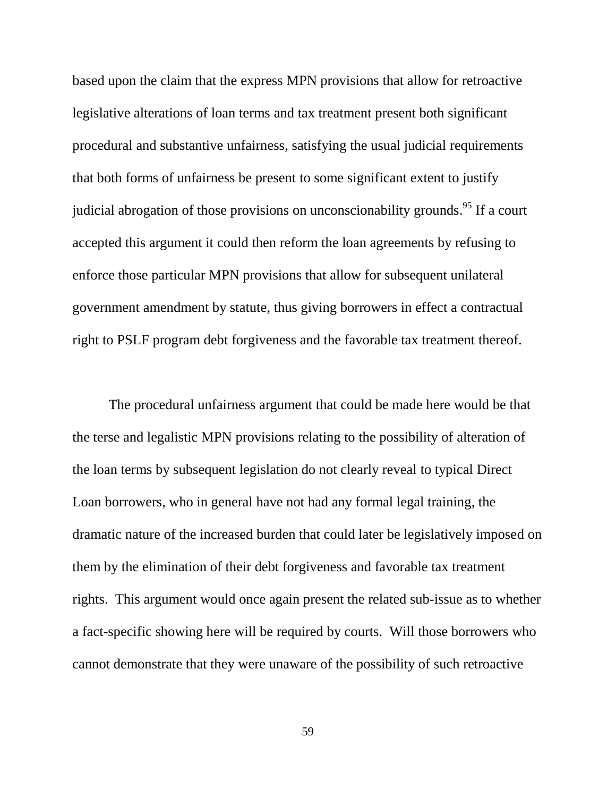based upon the claim that the express MPN provisions that allow for retroactive legislative alterations of loan terms and tax treatment present both significant procedural and substantive unfairness, satisfying the usual judicial requirements that both forms of unfairness be present to some significant extent to justify judicial abrogation of those provisions on unconscionability grounds.<sup>95</sup> If a court accepted this argument it could then reform the loan agreements by refusing to enforce those particular MPN provisions that allow for subsequent unilateral government amendment by statute, thus giving borrowers in effect a contractual right to PSLF program debt forgiveness and the favorable tax treatment thereof.

The procedural unfairness argument that could be made here would be that the terse and legalistic MPN provisions relating to the possibility of alteration of the loan terms by subsequent legislation do not clearly reveal to typical Direct Loan borrowers, who in general have not had any formal legal training, the dramatic nature of the increased burden that could later be legislatively imposed on them by the elimination of their debt forgiveness and favorable tax treatment rights. This argument would once again present the related sub-issue as to whether a fact-specific showing here will be required by courts. Will those borrowers who cannot demonstrate that they were unaware of the possibility of such retroactive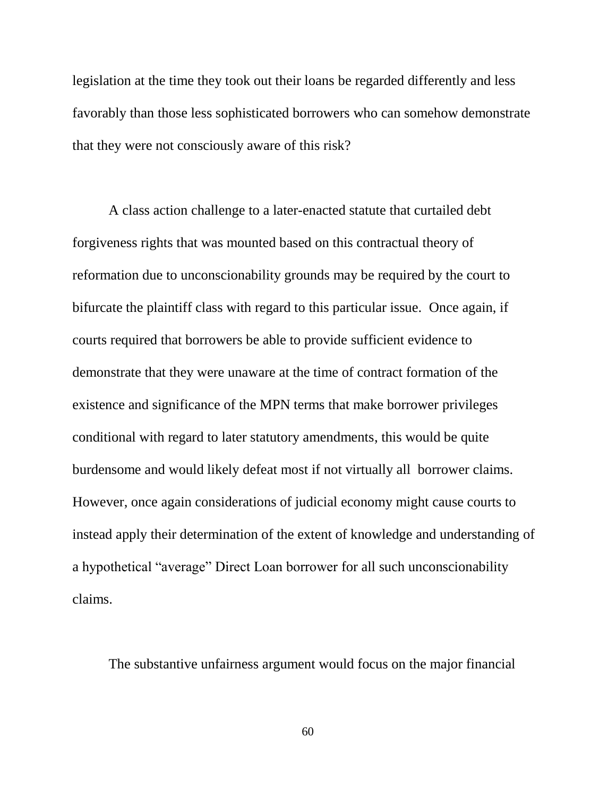legislation at the time they took out their loans be regarded differently and less favorably than those less sophisticated borrowers who can somehow demonstrate that they were not consciously aware of this risk?

A class action challenge to a later-enacted statute that curtailed debt forgiveness rights that was mounted based on this contractual theory of reformation due to unconscionability grounds may be required by the court to bifurcate the plaintiff class with regard to this particular issue. Once again, if courts required that borrowers be able to provide sufficient evidence to demonstrate that they were unaware at the time of contract formation of the existence and significance of the MPN terms that make borrower privileges conditional with regard to later statutory amendments, this would be quite burdensome and would likely defeat most if not virtually all borrower claims. However, once again considerations of judicial economy might cause courts to instead apply their determination of the extent of knowledge and understanding of a hypothetical "average" Direct Loan borrower for all such unconscionability claims.

The substantive unfairness argument would focus on the major financial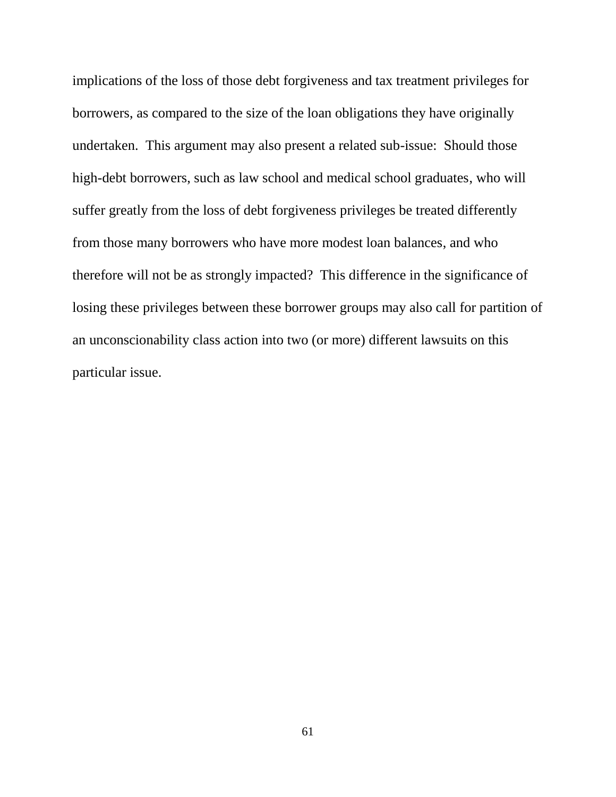implications of the loss of those debt forgiveness and tax treatment privileges for borrowers, as compared to the size of the loan obligations they have originally undertaken. This argument may also present a related sub-issue: Should those high-debt borrowers, such as law school and medical school graduates, who will suffer greatly from the loss of debt forgiveness privileges be treated differently from those many borrowers who have more modest loan balances, and who therefore will not be as strongly impacted? This difference in the significance of losing these privileges between these borrower groups may also call for partition of an unconscionability class action into two (or more) different lawsuits on this particular issue.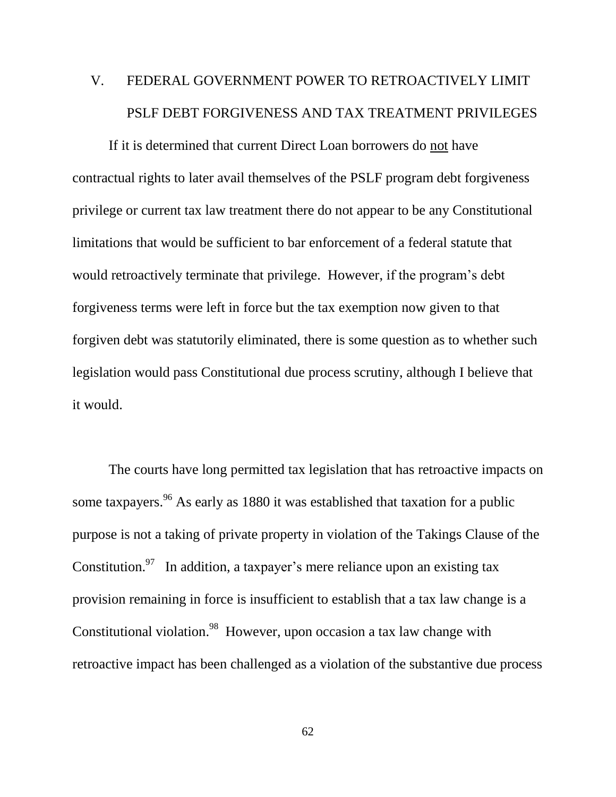# V. FEDERAL GOVERNMENT POWER TO RETROACTIVELY LIMIT PSLF DEBT FORGIVENESS AND TAX TREATMENT PRIVILEGES

If it is determined that current Direct Loan borrowers do not have contractual rights to later avail themselves of the PSLF program debt forgiveness privilege or current tax law treatment there do not appear to be any Constitutional limitations that would be sufficient to bar enforcement of a federal statute that would retroactively terminate that privilege. However, if the program's debt forgiveness terms were left in force but the tax exemption now given to that forgiven debt was statutorily eliminated, there is some question as to whether such legislation would pass Constitutional due process scrutiny, although I believe that it would.

The courts have long permitted tax legislation that has retroactive impacts on some taxpayers. <sup>96</sup> As early as 1880 it was established that taxation for a public purpose is not a taking of private property in violation of the Takings Clause of the Constitution.<sup>97</sup> In addition, a taxpayer's mere reliance upon an existing tax provision remaining in force is insufficient to establish that a tax law change is a Constitutional violation.<sup>98</sup> However, upon occasion a tax law change with retroactive impact has been challenged as a violation of the substantive due process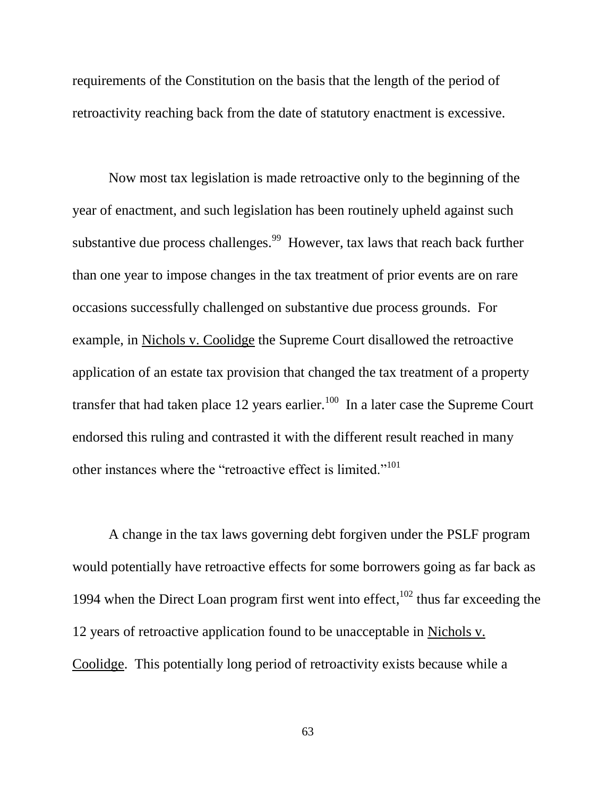requirements of the Constitution on the basis that the length of the period of retroactivity reaching back from the date of statutory enactment is excessive.

Now most tax legislation is made retroactive only to the beginning of the year of enactment, and such legislation has been routinely upheld against such substantive due process challenges.<sup>99</sup> However, tax laws that reach back further than one year to impose changes in the tax treatment of prior events are on rare occasions successfully challenged on substantive due process grounds. For example, in Nichols v. Coolidge the Supreme Court disallowed the retroactive application of an estate tax provision that changed the tax treatment of a property transfer that had taken place 12 years earlier.<sup>100</sup> In a later case the Supreme Court endorsed this ruling and contrasted it with the different result reached in many other instances where the "retroactive effect is limited."<sup>101</sup>

A change in the tax laws governing debt forgiven under the PSLF program would potentially have retroactive effects for some borrowers going as far back as 1994 when the Direct Loan program first went into effect,  $102$  thus far exceeding the 12 years of retroactive application found to be unacceptable in Nichols v. Coolidge. This potentially long period of retroactivity exists because while a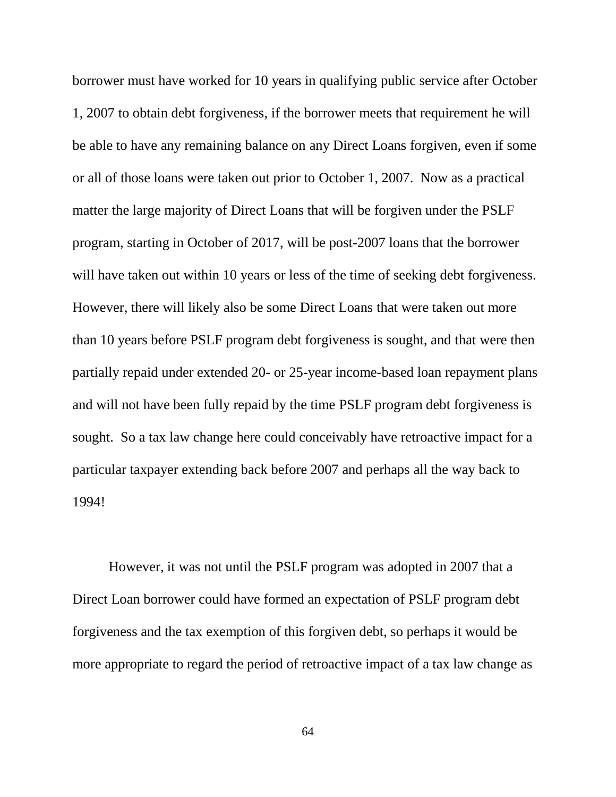borrower must have worked for 10 years in qualifying public service after October 1, 2007 to obtain debt forgiveness, if the borrower meets that requirement he will be able to have any remaining balance on any Direct Loans forgiven, even if some or all of those loans were taken out prior to October 1, 2007. Now as a practical matter the large majority of Direct Loans that will be forgiven under the PSLF program, starting in October of 2017, will be post-2007 loans that the borrower will have taken out within 10 years or less of the time of seeking debt forgiveness. However, there will likely also be some Direct Loans that were taken out more than 10 years before PSLF program debt forgiveness is sought, and that were then partially repaid under extended 20- or 25-year income-based loan repayment plans and will not have been fully repaid by the time PSLF program debt forgiveness is sought. So a tax law change here could conceivably have retroactive impact for a particular taxpayer extending back before 2007 and perhaps all the way back to 1994!

However, it was not until the PSLF program was adopted in 2007 that a Direct Loan borrower could have formed an expectation of PSLF program debt forgiveness and the tax exemption of this forgiven debt, so perhaps it would be more appropriate to regard the period of retroactive impact of a tax law change as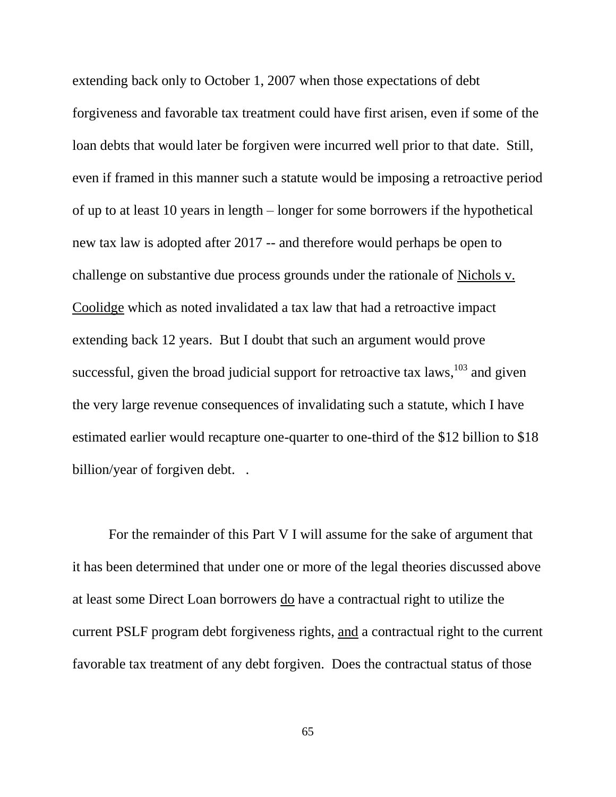extending back only to October 1, 2007 when those expectations of debt forgiveness and favorable tax treatment could have first arisen, even if some of the loan debts that would later be forgiven were incurred well prior to that date. Still, even if framed in this manner such a statute would be imposing a retroactive period of up to at least 10 years in length – longer for some borrowers if the hypothetical new tax law is adopted after 2017 -- and therefore would perhaps be open to challenge on substantive due process grounds under the rationale of Nichols v. Coolidge which as noted invalidated a tax law that had a retroactive impact extending back 12 years. But I doubt that such an argument would prove successful, given the broad judicial support for retroactive tax laws,  $^{103}$  and given the very large revenue consequences of invalidating such a statute, which I have estimated earlier would recapture one-quarter to one-third of the \$12 billion to \$18 billion/year of forgiven debt...

For the remainder of this Part V I will assume for the sake of argument that it has been determined that under one or more of the legal theories discussed above at least some Direct Loan borrowers do have a contractual right to utilize the current PSLF program debt forgiveness rights, and a contractual right to the current favorable tax treatment of any debt forgiven. Does the contractual status of those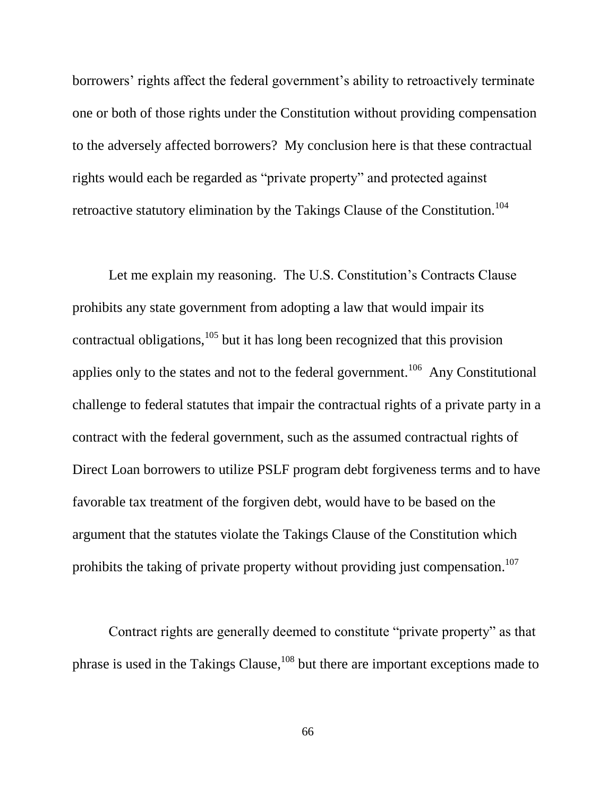borrowers' rights affect the federal government's ability to retroactively terminate one or both of those rights under the Constitution without providing compensation to the adversely affected borrowers? My conclusion here is that these contractual rights would each be regarded as "private property" and protected against retroactive statutory elimination by the Takings Clause of the Constitution.<sup>104</sup>

Let me explain my reasoning. The U.S. Constitution's Contracts Clause prohibits any state government from adopting a law that would impair its contractual obligations, $105$  but it has long been recognized that this provision applies only to the states and not to the federal government.<sup>106</sup> Any Constitutional challenge to federal statutes that impair the contractual rights of a private party in a contract with the federal government, such as the assumed contractual rights of Direct Loan borrowers to utilize PSLF program debt forgiveness terms and to have favorable tax treatment of the forgiven debt, would have to be based on the argument that the statutes violate the Takings Clause of the Constitution which prohibits the taking of private property without providing just compensation.<sup>107</sup>

Contract rights are generally deemed to constitute "private property" as that phrase is used in the Takings Clause, $108$  but there are important exceptions made to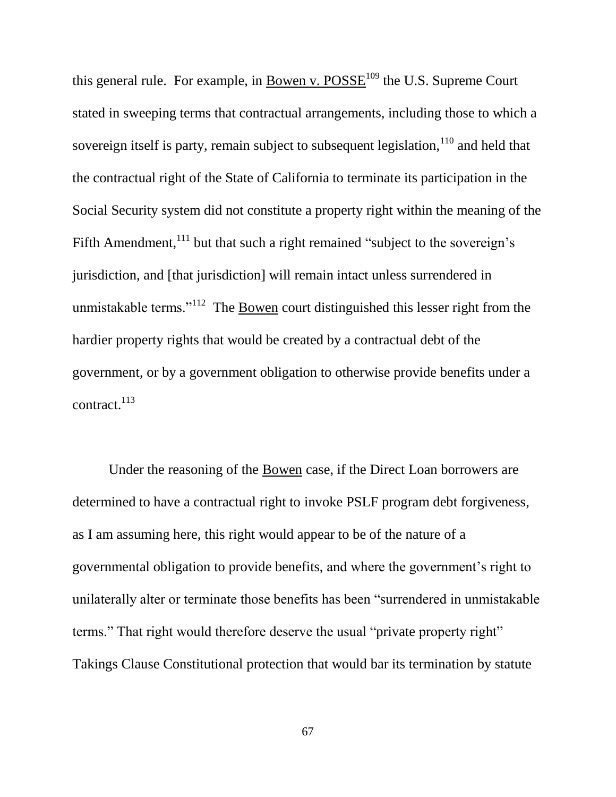this general rule. For example, in Bowen v.  $POSSE<sup>109</sup>$  the U.S. Supreme Court stated in sweeping terms that contractual arrangements, including those to which a sovereign itself is party, remain subject to subsequent legislation,  $110$  and held that the contractual right of the State of California to terminate its participation in the Social Security system did not constitute a property right within the meaning of the Fifth Amendment, $111$  but that such a right remained "subject to the sovereign's jurisdiction, and [that jurisdiction] will remain intact unless surrendered in unmistakable terms."<sup>112</sup> The **Bowen** court distinguished this lesser right from the hardier property rights that would be created by a contractual debt of the government, or by a government obligation to otherwise provide benefits under a contract.<sup>113</sup>

Under the reasoning of the Bowen case, if the Direct Loan borrowers are determined to have a contractual right to invoke PSLF program debt forgiveness, as I am assuming here, this right would appear to be of the nature of a governmental obligation to provide benefits, and where the government's right to unilaterally alter or terminate those benefits has been "surrendered in unmistakable terms." That right would therefore deserve the usual "private property right" Takings Clause Constitutional protection that would bar its termination by statute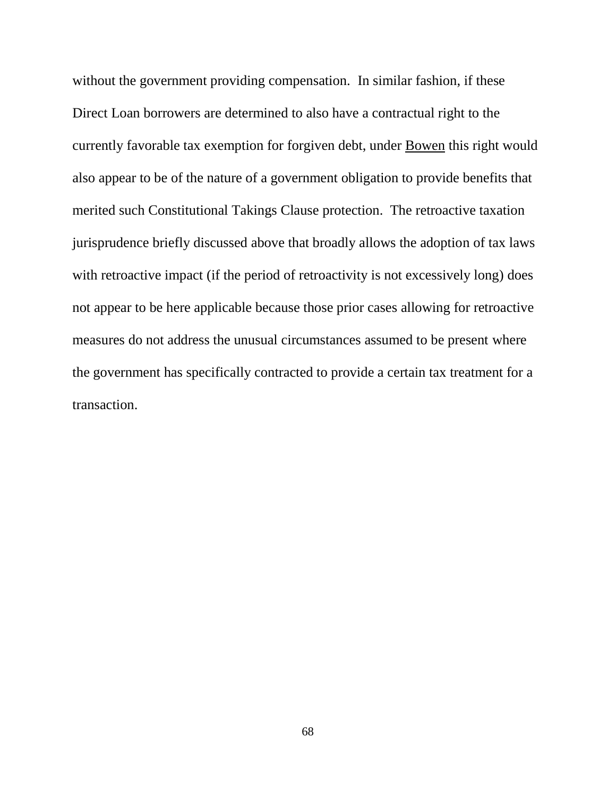without the government providing compensation. In similar fashion, if these Direct Loan borrowers are determined to also have a contractual right to the currently favorable tax exemption for forgiven debt, under Bowen this right would also appear to be of the nature of a government obligation to provide benefits that merited such Constitutional Takings Clause protection. The retroactive taxation jurisprudence briefly discussed above that broadly allows the adoption of tax laws with retroactive impact (if the period of retroactivity is not excessively long) does not appear to be here applicable because those prior cases allowing for retroactive measures do not address the unusual circumstances assumed to be present where the government has specifically contracted to provide a certain tax treatment for a transaction.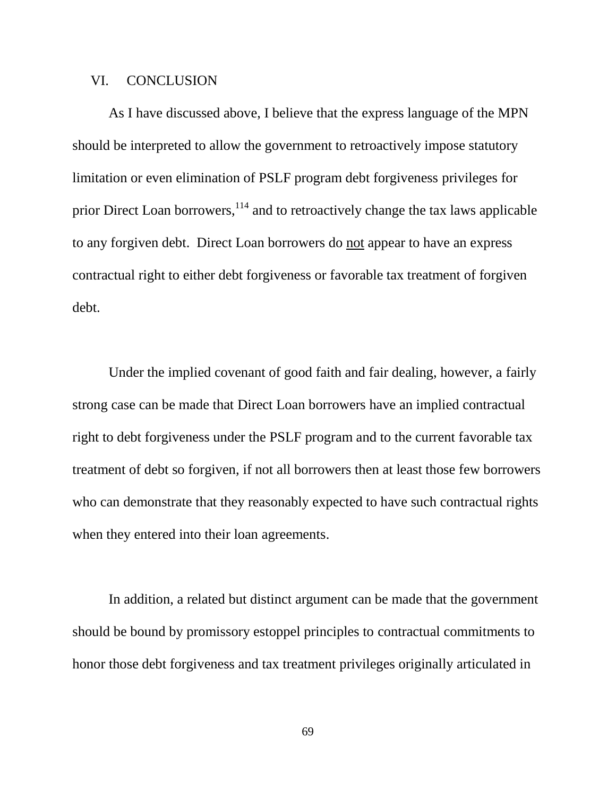## VI. CONCLUSION

As I have discussed above, I believe that the express language of the MPN should be interpreted to allow the government to retroactively impose statutory limitation or even elimination of PSLF program debt forgiveness privileges for prior Direct Loan borrowers, <sup>114</sup> and to retroactively change the tax laws applicable to any forgiven debt. Direct Loan borrowers do not appear to have an express contractual right to either debt forgiveness or favorable tax treatment of forgiven debt.

Under the implied covenant of good faith and fair dealing, however, a fairly strong case can be made that Direct Loan borrowers have an implied contractual right to debt forgiveness under the PSLF program and to the current favorable tax treatment of debt so forgiven, if not all borrowers then at least those few borrowers who can demonstrate that they reasonably expected to have such contractual rights when they entered into their loan agreements.

In addition, a related but distinct argument can be made that the government should be bound by promissory estoppel principles to contractual commitments to honor those debt forgiveness and tax treatment privileges originally articulated in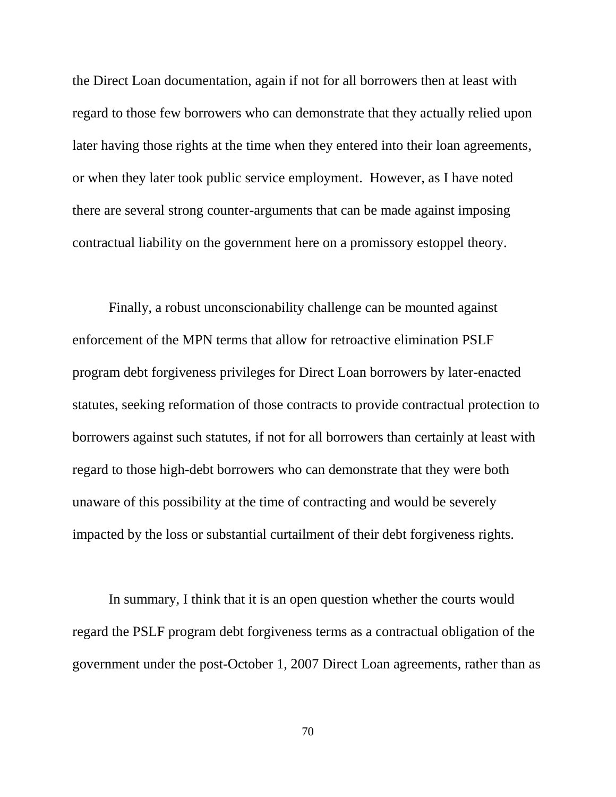the Direct Loan documentation, again if not for all borrowers then at least with regard to those few borrowers who can demonstrate that they actually relied upon later having those rights at the time when they entered into their loan agreements, or when they later took public service employment. However, as I have noted there are several strong counter-arguments that can be made against imposing contractual liability on the government here on a promissory estoppel theory.

Finally, a robust unconscionability challenge can be mounted against enforcement of the MPN terms that allow for retroactive elimination PSLF program debt forgiveness privileges for Direct Loan borrowers by later-enacted statutes, seeking reformation of those contracts to provide contractual protection to borrowers against such statutes, if not for all borrowers than certainly at least with regard to those high-debt borrowers who can demonstrate that they were both unaware of this possibility at the time of contracting and would be severely impacted by the loss or substantial curtailment of their debt forgiveness rights.

In summary, I think that it is an open question whether the courts would regard the PSLF program debt forgiveness terms as a contractual obligation of the government under the post-October 1, 2007 Direct Loan agreements, rather than as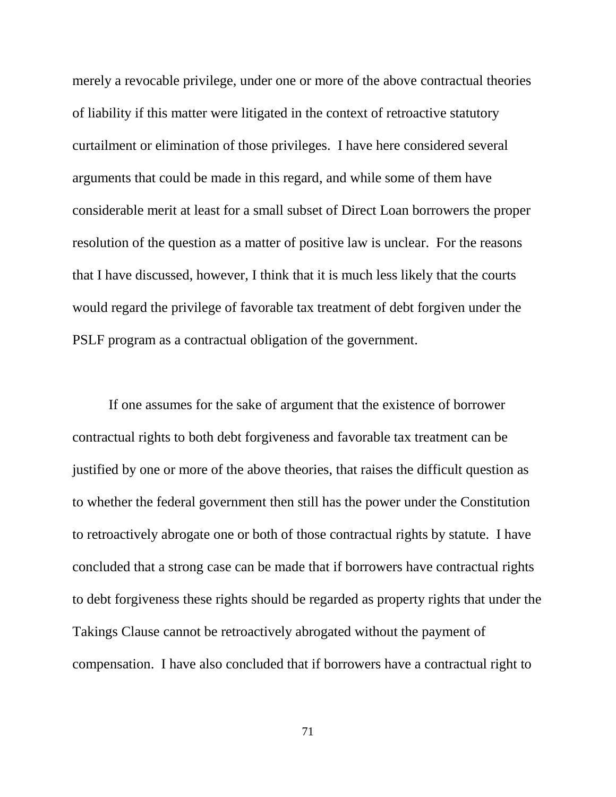merely a revocable privilege, under one or more of the above contractual theories of liability if this matter were litigated in the context of retroactive statutory curtailment or elimination of those privileges. I have here considered several arguments that could be made in this regard, and while some of them have considerable merit at least for a small subset of Direct Loan borrowers the proper resolution of the question as a matter of positive law is unclear. For the reasons that I have discussed, however, I think that it is much less likely that the courts would regard the privilege of favorable tax treatment of debt forgiven under the PSLF program as a contractual obligation of the government.

If one assumes for the sake of argument that the existence of borrower contractual rights to both debt forgiveness and favorable tax treatment can be justified by one or more of the above theories, that raises the difficult question as to whether the federal government then still has the power under the Constitution to retroactively abrogate one or both of those contractual rights by statute. I have concluded that a strong case can be made that if borrowers have contractual rights to debt forgiveness these rights should be regarded as property rights that under the Takings Clause cannot be retroactively abrogated without the payment of compensation. I have also concluded that if borrowers have a contractual right to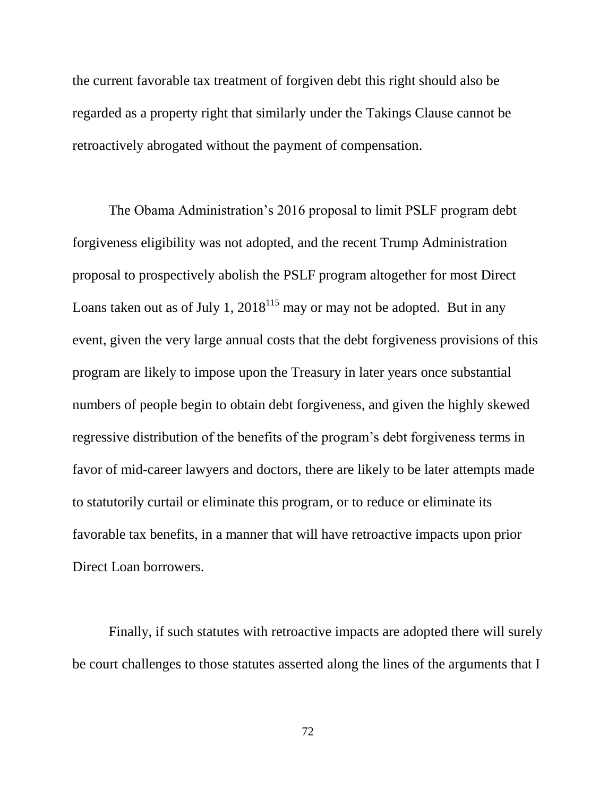the current favorable tax treatment of forgiven debt this right should also be regarded as a property right that similarly under the Takings Clause cannot be retroactively abrogated without the payment of compensation.

The Obama Administration's 2016 proposal to limit PSLF program debt forgiveness eligibility was not adopted, and the recent Trump Administration proposal to prospectively abolish the PSLF program altogether for most Direct Loans taken out as of July 1,  $2018^{115}$  may or may not be adopted. But in any event, given the very large annual costs that the debt forgiveness provisions of this program are likely to impose upon the Treasury in later years once substantial numbers of people begin to obtain debt forgiveness, and given the highly skewed regressive distribution of the benefits of the program's debt forgiveness terms in favor of mid-career lawyers and doctors, there are likely to be later attempts made to statutorily curtail or eliminate this program, or to reduce or eliminate its favorable tax benefits, in a manner that will have retroactive impacts upon prior Direct Loan borrowers.

Finally, if such statutes with retroactive impacts are adopted there will surely be court challenges to those statutes asserted along the lines of the arguments that I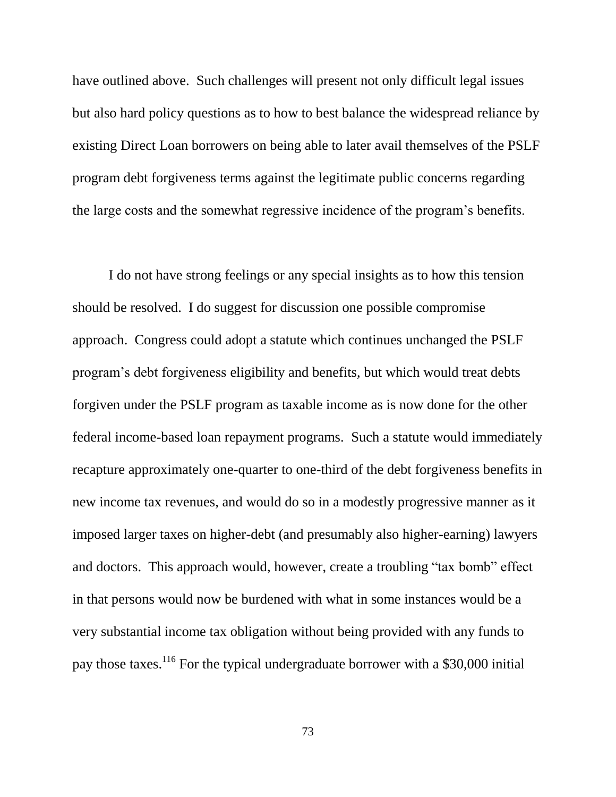have outlined above. Such challenges will present not only difficult legal issues but also hard policy questions as to how to best balance the widespread reliance by existing Direct Loan borrowers on being able to later avail themselves of the PSLF program debt forgiveness terms against the legitimate public concerns regarding the large costs and the somewhat regressive incidence of the program's benefits.

I do not have strong feelings or any special insights as to how this tension should be resolved. I do suggest for discussion one possible compromise approach. Congress could adopt a statute which continues unchanged the PSLF program's debt forgiveness eligibility and benefits, but which would treat debts forgiven under the PSLF program as taxable income as is now done for the other federal income-based loan repayment programs. Such a statute would immediately recapture approximately one-quarter to one-third of the debt forgiveness benefits in new income tax revenues, and would do so in a modestly progressive manner as it imposed larger taxes on higher-debt (and presumably also higher-earning) lawyers and doctors. This approach would, however, create a troubling "tax bomb" effect in that persons would now be burdened with what in some instances would be a very substantial income tax obligation without being provided with any funds to pay those taxes.<sup>116</sup> For the typical undergraduate borrower with a \$30,000 initial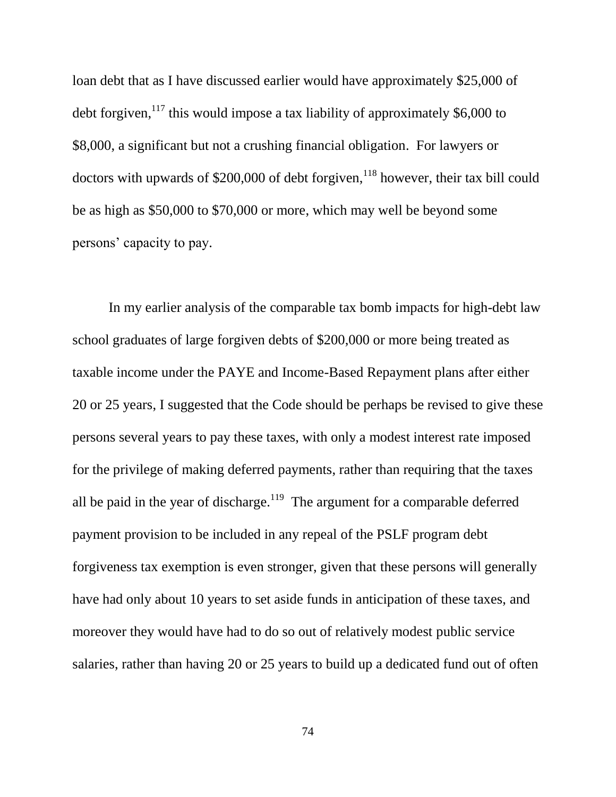loan debt that as I have discussed earlier would have approximately \$25,000 of debt forgiven,  $117$  this would impose a tax liability of approximately \$6,000 to \$8,000, a significant but not a crushing financial obligation. For lawyers or doctors with upwards of  $$200,000$  of debt forgiven,<sup>118</sup> however, their tax bill could be as high as \$50,000 to \$70,000 or more, which may well be beyond some persons' capacity to pay.

In my earlier analysis of the comparable tax bomb impacts for high-debt law school graduates of large forgiven debts of \$200,000 or more being treated as taxable income under the PAYE and Income-Based Repayment plans after either 20 or 25 years, I suggested that the Code should be perhaps be revised to give these persons several years to pay these taxes, with only a modest interest rate imposed for the privilege of making deferred payments, rather than requiring that the taxes all be paid in the year of discharge.<sup>119</sup> The argument for a comparable deferred payment provision to be included in any repeal of the PSLF program debt forgiveness tax exemption is even stronger, given that these persons will generally have had only about 10 years to set aside funds in anticipation of these taxes, and moreover they would have had to do so out of relatively modest public service salaries, rather than having 20 or 25 years to build up a dedicated fund out of often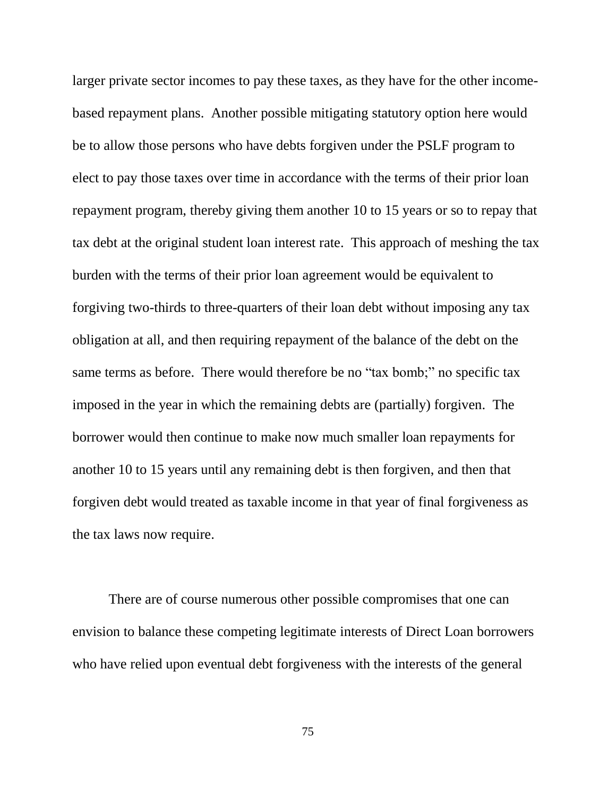larger private sector incomes to pay these taxes, as they have for the other incomebased repayment plans. Another possible mitigating statutory option here would be to allow those persons who have debts forgiven under the PSLF program to elect to pay those taxes over time in accordance with the terms of their prior loan repayment program, thereby giving them another 10 to 15 years or so to repay that tax debt at the original student loan interest rate. This approach of meshing the tax burden with the terms of their prior loan agreement would be equivalent to forgiving two-thirds to three-quarters of their loan debt without imposing any tax obligation at all, and then requiring repayment of the balance of the debt on the same terms as before. There would therefore be no "tax bomb;" no specific tax imposed in the year in which the remaining debts are (partially) forgiven. The borrower would then continue to make now much smaller loan repayments for another 10 to 15 years until any remaining debt is then forgiven, and then that forgiven debt would treated as taxable income in that year of final forgiveness as the tax laws now require.

There are of course numerous other possible compromises that one can envision to balance these competing legitimate interests of Direct Loan borrowers who have relied upon eventual debt forgiveness with the interests of the general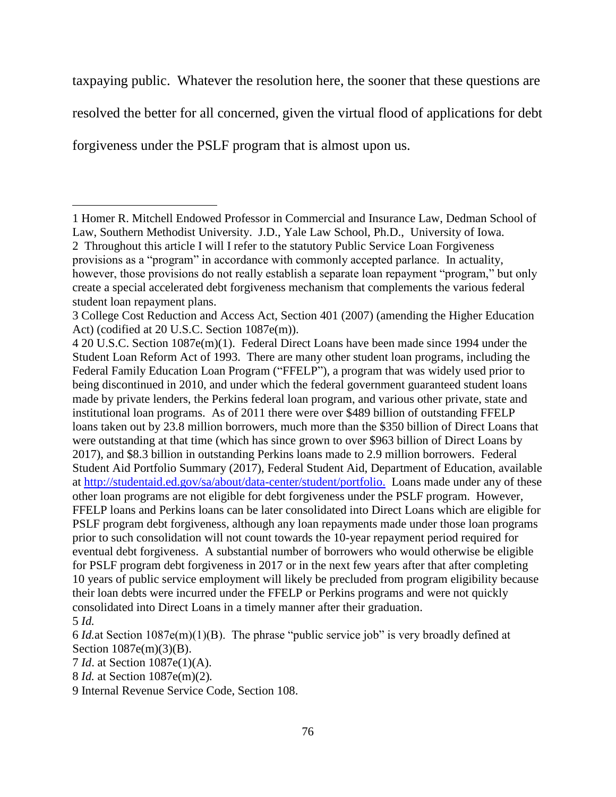taxpaying public. Whatever the resolution here, the sooner that these questions are

resolved the better for all concerned, given the virtual flood of applications for debt

forgiveness under the PSLF program that is almost upon us.

 $\overline{a}$ 

<sup>1</sup> Homer R. Mitchell Endowed Professor in Commercial and Insurance Law, Dedman School of Law, Southern Methodist University. J.D., Yale Law School, Ph.D., University of Iowa. 2 Throughout this article I will I refer to the statutory Public Service Loan Forgiveness provisions as a "program" in accordance with commonly accepted parlance. In actuality, however, those provisions do not really establish a separate loan repayment "program," but only create a special accelerated debt forgiveness mechanism that complements the various federal student loan repayment plans.

<sup>3</sup> College Cost Reduction and Access Act, Section 401 (2007) (amending the Higher Education Act) (codified at 20 U.S.C. Section 1087e(m)).

<sup>4</sup> 20 U.S.C. Section 1087e(m)(1). Federal Direct Loans have been made since 1994 under the Student Loan Reform Act of 1993. There are many other student loan programs, including the Federal Family Education Loan Program ("FFELP"), a program that was widely used prior to being discontinued in 2010, and under which the federal government guaranteed student loans made by private lenders, the Perkins federal loan program, and various other private, state and institutional loan programs. As of 2011 there were over \$489 billion of outstanding FFELP loans taken out by 23.8 million borrowers, much more than the \$350 billion of Direct Loans that were outstanding at that time (which has since grown to over \$963 billion of Direct Loans by 2017), and \$8.3 billion in outstanding Perkins loans made to 2.9 million borrowers. Federal Student Aid Portfolio Summary (2017), Federal Student Aid, Department of Education, available at [http://studentaid.ed.gov/sa/about/data-center/student/portfolio.](http://studentaid.ed.gov/sa/about/data-center/student/portfolio) Loans made under any of these other loan programs are not eligible for debt forgiveness under the PSLF program. However, FFELP loans and Perkins loans can be later consolidated into Direct Loans which are eligible for PSLF program debt forgiveness, although any loan repayments made under those loan programs prior to such consolidation will not count towards the 10-year repayment period required for eventual debt forgiveness. A substantial number of borrowers who would otherwise be eligible for PSLF program debt forgiveness in 2017 or in the next few years after that after completing 10 years of public service employment will likely be precluded from program eligibility because their loan debts were incurred under the FFELP or Perkins programs and were not quickly consolidated into Direct Loans in a timely manner after their graduation. 5 *Id.*

<sup>6</sup> *Id.*at Section 1087e(m)(1)(B). The phrase "public service job" is very broadly defined at Section 1087e(m)(3)(B).

<sup>7</sup> *Id*. at Section 1087e(1)(A).

<sup>8</sup> *Id.* at Section 1087e(m)(2)*.*

<sup>9</sup> Internal Revenue Service Code, Section 108.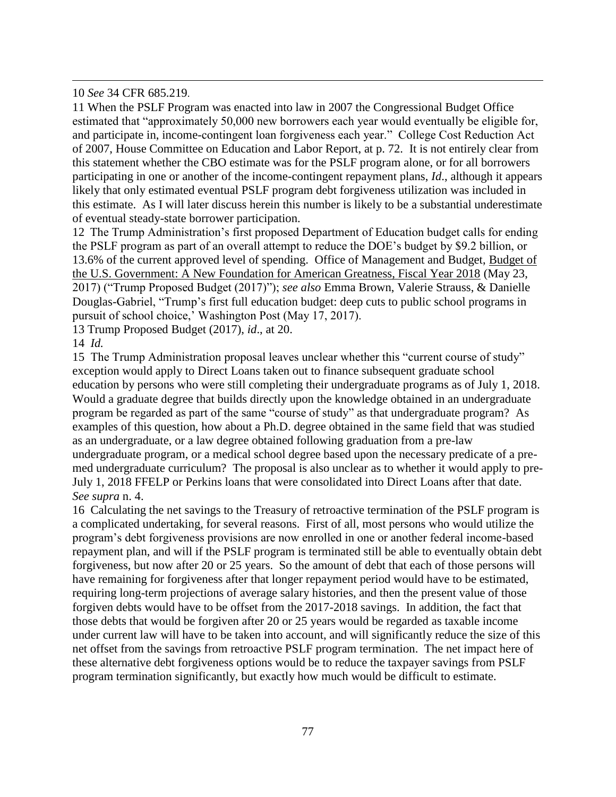10 *See* 34 CFR 685.219.

 $\overline{a}$ 

11 When the PSLF Program was enacted into law in 2007 the Congressional Budget Office estimated that "approximately 50,000 new borrowers each year would eventually be eligible for, and participate in, income-contingent loan forgiveness each year." College Cost Reduction Act of 2007, House Committee on Education and Labor Report, at p. 72. It is not entirely clear from this statement whether the CBO estimate was for the PSLF program alone, or for all borrowers participating in one or another of the income-contingent repayment plans, *Id*., although it appears likely that only estimated eventual PSLF program debt forgiveness utilization was included in this estimate. As I will later discuss herein this number is likely to be a substantial underestimate of eventual steady-state borrower participation.

12 The Trump Administration's first proposed Department of Education budget calls for ending the PSLF program as part of an overall attempt to reduce the DOE's budget by \$9.2 billion, or 13.6% of the current approved level of spending. Office of Management and Budget, Budget of the U.S. Government: A New Foundation for American Greatness, Fiscal Year 2018 (May 23, 2017) ("Trump Proposed Budget (2017)"); *see also* Emma Brown, Valerie Strauss, & Danielle Douglas-Gabriel, "Trump's first full education budget: deep cuts to public school programs in pursuit of school choice,' Washington Post (May 17, 2017).

13 Trump Proposed Budget (2017), *id*., at 20.

14 *Id.*

15 The Trump Administration proposal leaves unclear whether this "current course of study" exception would apply to Direct Loans taken out to finance subsequent graduate school education by persons who were still completing their undergraduate programs as of July 1, 2018. Would a graduate degree that builds directly upon the knowledge obtained in an undergraduate program be regarded as part of the same "course of study" as that undergraduate program? As examples of this question, how about a Ph.D. degree obtained in the same field that was studied as an undergraduate, or a law degree obtained following graduation from a pre-law undergraduate program, or a medical school degree based upon the necessary predicate of a premed undergraduate curriculum? The proposal is also unclear as to whether it would apply to pre-July 1, 2018 FFELP or Perkins loans that were consolidated into Direct Loans after that date. *See supra* n. 4.

16 Calculating the net savings to the Treasury of retroactive termination of the PSLF program is a complicated undertaking, for several reasons. First of all, most persons who would utilize the program's debt forgiveness provisions are now enrolled in one or another federal income-based repayment plan, and will if the PSLF program is terminated still be able to eventually obtain debt forgiveness, but now after 20 or 25 years. So the amount of debt that each of those persons will have remaining for forgiveness after that longer repayment period would have to be estimated, requiring long-term projections of average salary histories, and then the present value of those forgiven debts would have to be offset from the 2017-2018 savings. In addition, the fact that those debts that would be forgiven after 20 or 25 years would be regarded as taxable income under current law will have to be taken into account, and will significantly reduce the size of this net offset from the savings from retroactive PSLF program termination. The net impact here of these alternative debt forgiveness options would be to reduce the taxpayer savings from PSLF program termination significantly, but exactly how much would be difficult to estimate.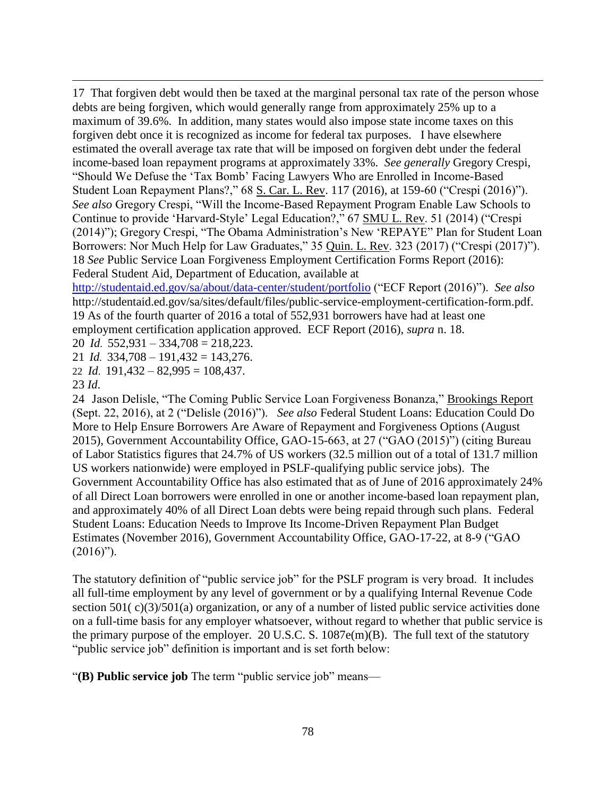17 That forgiven debt would then be taxed at the marginal personal tax rate of the person whose debts are being forgiven, which would generally range from approximately 25% up to a maximum of 39.6%. In addition, many states would also impose state income taxes on this forgiven debt once it is recognized as income for federal tax purposes. I have elsewhere estimated the overall average tax rate that will be imposed on forgiven debt under the federal income-based loan repayment programs at approximately 33%. *See generally* Gregory Crespi, "Should We Defuse the 'Tax Bomb' Facing Lawyers Who are Enrolled in Income-Based Student Loan Repayment Plans?," 68 S. Car. L. Rev. 117 (2016), at 159-60 ("Crespi (2016)"). *See also* Gregory Crespi, "Will the Income-Based Repayment Program Enable Law Schools to Continue to provide 'Harvard-Style' Legal Education?," 67 SMU L. Rev. 51 (2014) ("Crespi (2014)"); Gregory Crespi, "The Obama Administration's New 'REPAYE" Plan for Student Loan Borrowers: Nor Much Help for Law Graduates," 35 Quin. L. Rev. 323 (2017) ("Crespi (2017)"). 18 *See* Public Service Loan Forgiveness Employment Certification Forms Report (2016): Federal Student Aid, Department of Education, available at

<http://studentaid.ed.gov/sa/about/data-center/student/portfolio> ("ECF Report (2016)"). *See also* http://studentaid.ed.gov/sa/sites/default/files/public-service-employment-certification-form.pdf. 19 As of the fourth quarter of 2016 a total of 552,931 borrowers have had at least one employment certification application approved. ECF Report (2016), *supra* n. 18.

20 *Id*. 552,931 – 334,708 = 218,223.

21 *Id.* 334,708 – 191,432 = 143,276.

22 *Id*. 191,432 – 82,995 = 108,437.

23 *Id*.

 $\overline{a}$ 

24 Jason Delisle, "The Coming Public Service Loan Forgiveness Bonanza," Brookings Report (Sept. 22, 2016), at 2 ("Delisle (2016)"). *See also* Federal Student Loans: Education Could Do More to Help Ensure Borrowers Are Aware of Repayment and Forgiveness Options (August 2015), Government Accountability Office, GAO-15-663, at 27 ("GAO (2015)") (citing Bureau of Labor Statistics figures that 24.7% of US workers (32.5 million out of a total of 131.7 million US workers nationwide) were employed in PSLF-qualifying public service jobs). The Government Accountability Office has also estimated that as of June of 2016 approximately 24% of all Direct Loan borrowers were enrolled in one or another income-based loan repayment plan, and approximately 40% of all Direct Loan debts were being repaid through such plans. Federal Student Loans: Education Needs to Improve Its Income-Driven Repayment Plan Budget Estimates (November 2016), Government Accountability Office, GAO-17-22, at 8-9 ("GAO  $(2016)$ ").

The statutory definition of "public service job" for the PSLF program is very broad. It includes all full-time employment by any level of government or by a qualifying Internal Revenue Code section 501(c)(3)/501(a) organization, or any of a number of listed public service activities done on a full-time basis for any employer whatsoever, without regard to whether that public service is the primary purpose of the employer. 20 U.S.C. S. 1087e(m)(B). The full text of the statutory "public service job" definition is important and is set forth below:

"**(B) Public service job** The term "public service job" means—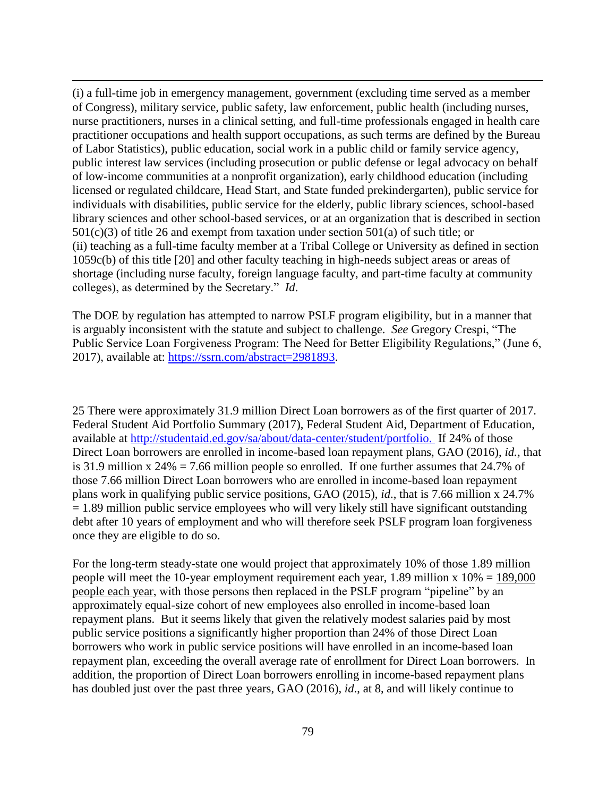(i) a full-time job in emergency management, government (excluding time served as a member of Congress), military service, public safety, law enforcement, public health (including nurses, nurse practitioners, nurses in a clinical setting, and full-time professionals engaged in health care practitioner occupations and health support occupations, as such terms are defined by the Bureau of Labor Statistics), public education, social work in a public child or family service agency, public interest law services (including prosecution or public defense or legal advocacy on behalf of low-income communities at a nonprofit organization), early childhood education (including licensed or regulated childcare, Head Start, and State funded prekindergarten), public service for individuals with disabilities, public service for the elderly, public library sciences, school-based library sciences and other school-based services, or at an organization that is described in section 501(c)(3) of title 26 and exempt from taxation under section 501(a) of such title; or (ii) teaching as a full-time faculty member at a Tribal College or University as defined in section 1059c(b) of this title [20] and other faculty teaching in high-needs subject areas or areas of shortage (including nurse faculty, foreign language faculty, and part-time faculty at community colleges), as determined by the Secretary." *Id*.

 $\overline{a}$ 

The DOE by regulation has attempted to narrow PSLF program eligibility, but in a manner that is arguably inconsistent with the statute and subject to challenge. *See* Gregory Crespi, "The Public Service Loan Forgiveness Program: The Need for Better Eligibility Regulations," (June 6, 2017), available at: [https://ssrn.com/abstract=2981893.](https://ssrn.com/abstract=2981893)

25 There were approximately 31.9 million Direct Loan borrowers as of the first quarter of 2017. Federal Student Aid Portfolio Summary (2017), Federal Student Aid, Department of Education, available at [http://studentaid.ed.gov/sa/about/data-center/student/portfolio.](http://studentaid.ed.gov/sa/about/data-center/student/portfolio) If 24% of those Direct Loan borrowers are enrolled in income-based loan repayment plans, GAO (2016), *id.,* that is 31.9 million x 24% = 7.66 million people so enrolled. If one further assumes that 24.7% of those 7.66 million Direct Loan borrowers who are enrolled in income-based loan repayment plans work in qualifying public service positions, GAO (2015), *id*., that is 7.66 million x 24.7%  $= 1.89$  million public service employees who will very likely still have significant outstanding debt after 10 years of employment and who will therefore seek PSLF program loan forgiveness once they are eligible to do so.

For the long-term steady-state one would project that approximately 10% of those 1.89 million people will meet the 10-year employment requirement each year, 1.89 million x  $10\% = 189,000$ people each year, with those persons then replaced in the PSLF program "pipeline" by an approximately equal-size cohort of new employees also enrolled in income-based loan repayment plans. But it seems likely that given the relatively modest salaries paid by most public service positions a significantly higher proportion than 24% of those Direct Loan borrowers who work in public service positions will have enrolled in an income-based loan repayment plan, exceeding the overall average rate of enrollment for Direct Loan borrowers. In addition, the proportion of Direct Loan borrowers enrolling in income-based repayment plans has doubled just over the past three years, GAO (2016), *id*., at 8, and will likely continue to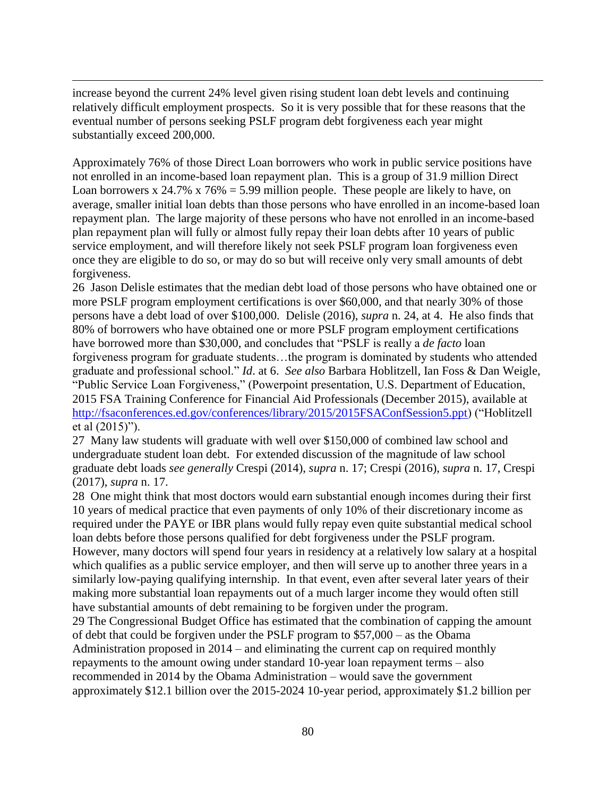increase beyond the current 24% level given rising student loan debt levels and continuing relatively difficult employment prospects. So it is very possible that for these reasons that the eventual number of persons seeking PSLF program debt forgiveness each year might substantially exceed 200,000.

 $\overline{a}$ 

Approximately 76% of those Direct Loan borrowers who work in public service positions have not enrolled in an income-based loan repayment plan. This is a group of 31.9 million Direct Loan borrowers x 24.7% x 76% = 5.99 million people. These people are likely to have, on average, smaller initial loan debts than those persons who have enrolled in an income-based loan repayment plan. The large majority of these persons who have not enrolled in an income-based plan repayment plan will fully or almost fully repay their loan debts after 10 years of public service employment, and will therefore likely not seek PSLF program loan forgiveness even once they are eligible to do so, or may do so but will receive only very small amounts of debt forgiveness.

26 Jason Delisle estimates that the median debt load of those persons who have obtained one or more PSLF program employment certifications is over \$60,000, and that nearly 30% of those persons have a debt load of over \$100,000. Delisle (2016), *supra* n. 24, at 4. He also finds that 80% of borrowers who have obtained one or more PSLF program employment certifications have borrowed more than \$30,000, and concludes that "PSLF is really a *de facto* loan forgiveness program for graduate students…the program is dominated by students who attended graduate and professional school." *Id*. at 6. *See also* Barbara Hoblitzell, Ian Foss & Dan Weigle, "Public Service Loan Forgiveness," (Powerpoint presentation, U.S. Department of Education, 2015 FSA Training Conference for Financial Aid Professionals (December 2015), available at [http://fsaconferences.ed.gov/conferences/library/2015/2015FSAConfSession5.ppt\)](http://fsaconferences.ed.gov/conferences/library/2015/2015FSAConfSession5.ppt) ("Hoblitzell et al (2015)").

27 Many law students will graduate with well over \$150,000 of combined law school and undergraduate student loan debt. For extended discussion of the magnitude of law school graduate debt loads *see generally* Crespi (2014), *supra* n. 17; Crespi (2016), *supra* n. 17, Crespi (2017), *supra* n. 17.

28 One might think that most doctors would earn substantial enough incomes during their first 10 years of medical practice that even payments of only 10% of their discretionary income as required under the PAYE or IBR plans would fully repay even quite substantial medical school loan debts before those persons qualified for debt forgiveness under the PSLF program. However, many doctors will spend four years in residency at a relatively low salary at a hospital which qualifies as a public service employer, and then will serve up to another three years in a similarly low-paying qualifying internship. In that event, even after several later years of their making more substantial loan repayments out of a much larger income they would often still have substantial amounts of debt remaining to be forgiven under the program.

29 The Congressional Budget Office has estimated that the combination of capping the amount of debt that could be forgiven under the PSLF program to \$57,000 – as the Obama Administration proposed in 2014 – and eliminating the current cap on required monthly repayments to the amount owing under standard 10-year loan repayment terms – also recommended in 2014 by the Obama Administration – would save the government approximately \$12.1 billion over the 2015-2024 10-year period, approximately \$1.2 billion per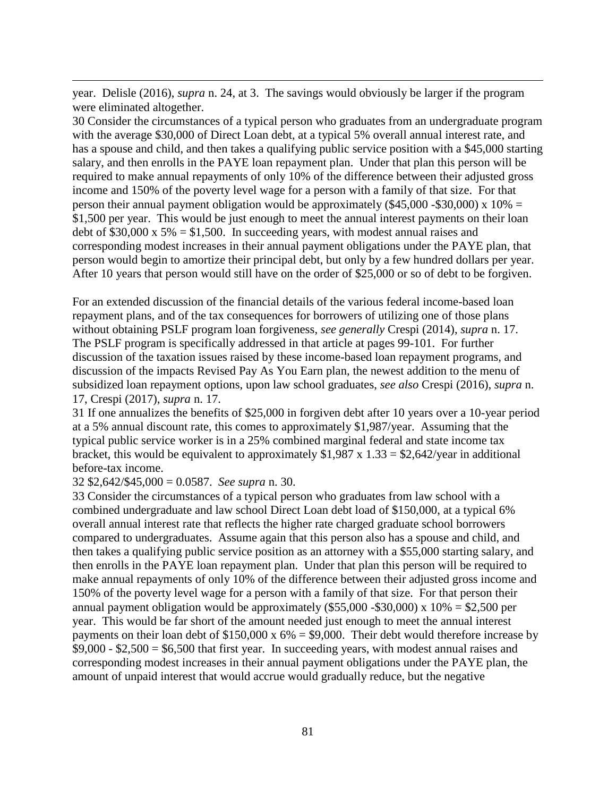year. Delisle (2016), *supra* n. 24, at 3. The savings would obviously be larger if the program were eliminated altogether.

30 Consider the circumstances of a typical person who graduates from an undergraduate program with the average \$30,000 of Direct Loan debt, at a typical 5% overall annual interest rate, and has a spouse and child, and then takes a qualifying public service position with a \$45,000 starting salary, and then enrolls in the PAYE loan repayment plan. Under that plan this person will be required to make annual repayments of only 10% of the difference between their adjusted gross income and 150% of the poverty level wage for a person with a family of that size. For that person their annual payment obligation would be approximately (\$45,000 -\$30,000) x  $10\%$  = \$1,500 per year. This would be just enough to meet the annual interest payments on their loan debt of \$30,000 x  $5\% = $1,500$ . In succeeding years, with modest annual raises and corresponding modest increases in their annual payment obligations under the PAYE plan, that person would begin to amortize their principal debt, but only by a few hundred dollars per year. After 10 years that person would still have on the order of \$25,000 or so of debt to be forgiven.

For an extended discussion of the financial details of the various federal income-based loan repayment plans, and of the tax consequences for borrowers of utilizing one of those plans without obtaining PSLF program loan forgiveness, *see generally* Crespi (2014), *supra* n. 17. The PSLF program is specifically addressed in that article at pages 99-101. For further discussion of the taxation issues raised by these income-based loan repayment programs, and discussion of the impacts Revised Pay As You Earn plan, the newest addition to the menu of subsidized loan repayment options, upon law school graduates, *see also* Crespi (2016), *supra* n. 17, Crespi (2017), *supra* n. 17.

31 If one annualizes the benefits of \$25,000 in forgiven debt after 10 years over a 10-year period at a 5% annual discount rate, this comes to approximately \$1,987/year. Assuming that the typical public service worker is in a 25% combined marginal federal and state income tax bracket, this would be equivalent to approximately  $$1,987 \times 1.33 = $2,642$ /year in additional before-tax income.

32 \$2,642/\$45,000 = 0.0587. *See supra* n. 30.

 $\overline{a}$ 

33 Consider the circumstances of a typical person who graduates from law school with a combined undergraduate and law school Direct Loan debt load of \$150,000, at a typical 6% overall annual interest rate that reflects the higher rate charged graduate school borrowers compared to undergraduates. Assume again that this person also has a spouse and child, and then takes a qualifying public service position as an attorney with a \$55,000 starting salary, and then enrolls in the PAYE loan repayment plan. Under that plan this person will be required to make annual repayments of only 10% of the difference between their adjusted gross income and 150% of the poverty level wage for a person with a family of that size. For that person their annual payment obligation would be approximately  $(\$55,000 - \$30,000)$  x  $10\% = \$2,500$  per year. This would be far short of the amount needed just enough to meet the annual interest payments on their loan debt of  $$150,000 \times 6\% = $9,000$ . Their debt would therefore increase by  $$9,000 - $2,500 = $6,500$  that first year. In succeeding years, with modest annual raises and corresponding modest increases in their annual payment obligations under the PAYE plan, the amount of unpaid interest that would accrue would gradually reduce, but the negative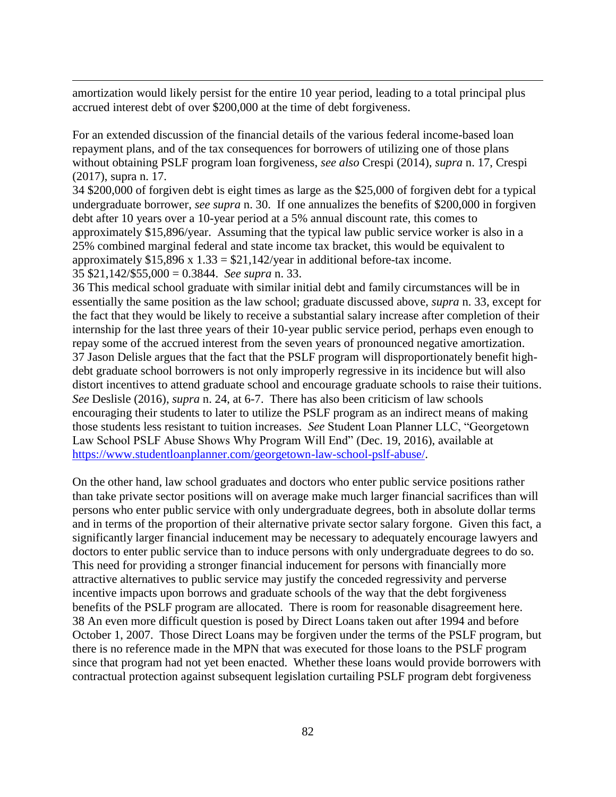amortization would likely persist for the entire 10 year period, leading to a total principal plus accrued interest debt of over \$200,000 at the time of debt forgiveness.

 $\overline{a}$ 

For an extended discussion of the financial details of the various federal income-based loan repayment plans, and of the tax consequences for borrowers of utilizing one of those plans without obtaining PSLF program loan forgiveness, *see also* Crespi (2014), *supra* n. 17, Crespi (2017), supra n. 17.

34 \$200,000 of forgiven debt is eight times as large as the \$25,000 of forgiven debt for a typical undergraduate borrower, *see supra* n. 30. If one annualizes the benefits of \$200,000 in forgiven debt after 10 years over a 10-year period at a 5% annual discount rate, this comes to approximately \$15,896/year. Assuming that the typical law public service worker is also in a 25% combined marginal federal and state income tax bracket, this would be equivalent to approximately  $$15,896 \times 1.33 = $21,142/\text{year}$  in additional before-tax income. 35 \$21,142/\$55,000 = 0.3844. *See supra* n. 33.

36 This medical school graduate with similar initial debt and family circumstances will be in essentially the same position as the law school; graduate discussed above, *supra* n. 33, except for the fact that they would be likely to receive a substantial salary increase after completion of their internship for the last three years of their 10-year public service period, perhaps even enough to repay some of the accrued interest from the seven years of pronounced negative amortization. 37 Jason Delisle argues that the fact that the PSLF program will disproportionately benefit highdebt graduate school borrowers is not only improperly regressive in its incidence but will also distort incentives to attend graduate school and encourage graduate schools to raise their tuitions. *See* Deslisle (2016), *supra* n. 24, at 6-7. There has also been criticism of law schools encouraging their students to later to utilize the PSLF program as an indirect means of making those students less resistant to tuition increases. *See* Student Loan Planner LLC, "Georgetown Law School PSLF Abuse Shows Why Program Will End" (Dec. 19, 2016), available at [https://www.studentloanplanner.com/georgetown-law-school-pslf-abuse/.](https://www.studentloanplanner.com/georgetown-law-school-pslf-abuse/)

On the other hand, law school graduates and doctors who enter public service positions rather than take private sector positions will on average make much larger financial sacrifices than will persons who enter public service with only undergraduate degrees, both in absolute dollar terms and in terms of the proportion of their alternative private sector salary forgone. Given this fact, a significantly larger financial inducement may be necessary to adequately encourage lawyers and doctors to enter public service than to induce persons with only undergraduate degrees to do so. This need for providing a stronger financial inducement for persons with financially more attractive alternatives to public service may justify the conceded regressivity and perverse incentive impacts upon borrows and graduate schools of the way that the debt forgiveness benefits of the PSLF program are allocated. There is room for reasonable disagreement here. 38 An even more difficult question is posed by Direct Loans taken out after 1994 and before October 1, 2007. Those Direct Loans may be forgiven under the terms of the PSLF program, but there is no reference made in the MPN that was executed for those loans to the PSLF program since that program had not yet been enacted. Whether these loans would provide borrowers with contractual protection against subsequent legislation curtailing PSLF program debt forgiveness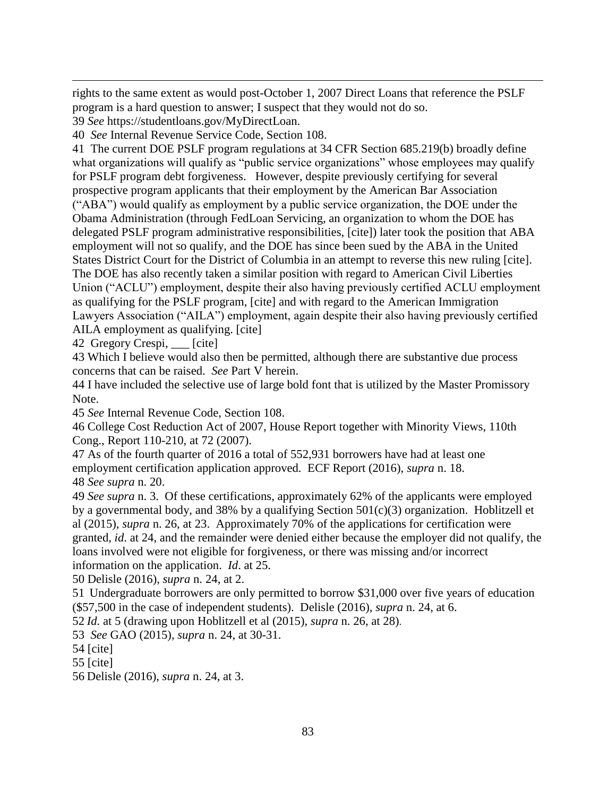rights to the same extent as would post-October 1, 2007 Direct Loans that reference the PSLF program is a hard question to answer; I suspect that they would not do so.

39 *See* https://studentloans.gov/MyDirectLoan.

 $\overline{a}$ 

40 *See* Internal Revenue Service Code, Section 108.

41 The current DOE PSLF program regulations at 34 CFR Section 685.219(b) broadly define what organizations will qualify as "public service organizations" whose employees may qualify for PSLF program debt forgiveness. However, despite previously certifying for several prospective program applicants that their employment by the American Bar Association ("ABA") would qualify as employment by a public service organization, the DOE under the Obama Administration (through FedLoan Servicing, an organization to whom the DOE has delegated PSLF program administrative responsibilities, [cite]) later took the position that ABA employment will not so qualify, and the DOE has since been sued by the ABA in the United States District Court for the District of Columbia in an attempt to reverse this new ruling [cite]. The DOE has also recently taken a similar position with regard to American Civil Liberties Union ("ACLU") employment, despite their also having previously certified ACLU employment as qualifying for the PSLF program, [cite] and with regard to the American Immigration Lawyers Association ("AILA") employment, again despite their also having previously certified AILA employment as qualifying. [cite]

42 Gregory Crespi, \_\_\_ [cite]

43 Which I believe would also then be permitted, although there are substantive due process concerns that can be raised. *See* Part V herein.

44 I have included the selective use of large bold font that is utilized by the Master Promissory Note.

45 *See* Internal Revenue Code, Section 108.

46 College Cost Reduction Act of 2007, House Report together with Minority Views, 110th Cong., Report 110-210, at 72 (2007).

47 As of the fourth quarter of 2016 a total of 552,931 borrowers have had at least one employment certification application approved. ECF Report (2016), *supra* n. 18. 48 *See supra* n. 20.

49 *See supra* n. 3. Of these certifications, approximately 62% of the applicants were employed by a governmental body, and 38% by a qualifying Section 501(c)(3) organization. Hoblitzell et al (2015), *supra* n. 26, at 23. Approximately 70% of the applications for certification were granted, *id*. at 24, and the remainder were denied either because the employer did not qualify, the loans involved were not eligible for forgiveness, or there was missing and/or incorrect information on the application. *Id*. at 25.

50 Delisle (2016), *supra* n. 24, at 2.

51 Undergraduate borrowers are only permitted to borrow \$31,000 over five years of education (\$57,500 in the case of independent students). Delisle (2016), *supra* n. 24, at 6.

52 *Id.* at 5 (drawing upon Hoblitzell et al (2015), *supra* n. 26, at 28).

53 *See* GAO (2015), *supra* n. 24, at 30-31.

54 [cite]

55 [cite]

56 Delisle (2016), *supra* n. 24, at 3.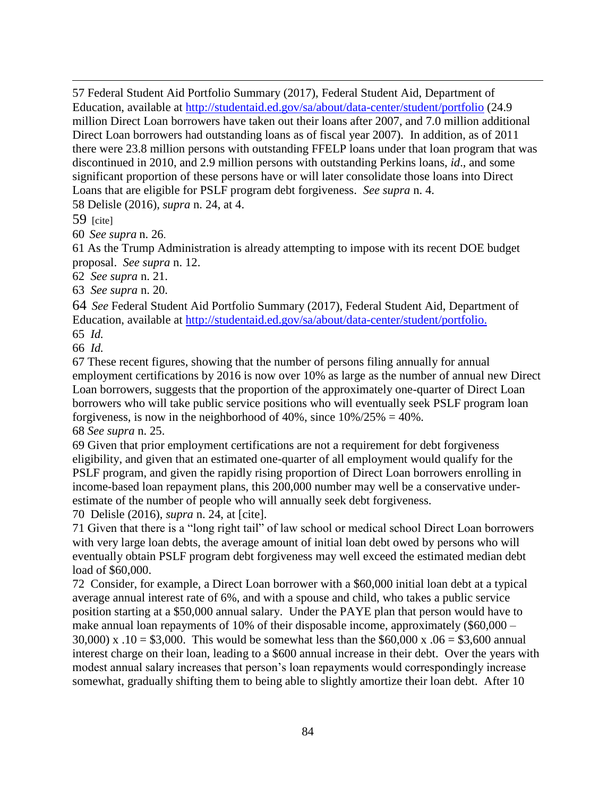57 Federal Student Aid Portfolio Summary (2017), Federal Student Aid, Department of Education, available at<http://studentaid.ed.gov/sa/about/data-center/student/portfolio> (24.9 million Direct Loan borrowers have taken out their loans after 2007, and 7.0 million additional Direct Loan borrowers had outstanding loans as of fiscal year 2007). In addition, as of 2011 there were 23.8 million persons with outstanding FFELP loans under that loan program that was discontinued in 2010, and 2.9 million persons with outstanding Perkins loans, *id*., and some significant proportion of these persons have or will later consolidate those loans into Direct Loans that are eligible for PSLF program debt forgiveness. *See supra* n. 4.

58 Delisle (2016), *supra* n. 24, at 4.

59 [cite]

 $\overline{a}$ 

60 *See supra* n. 26.

61 As the Trump Administration is already attempting to impose with its recent DOE budget proposal. *See supra* n. 12.

62 *See supra* n. 21.

63 *See supra* n. 20.

64 *See* Federal Student Aid Portfolio Summary (2017), Federal Student Aid, Department of Education, available at [http://studentaid.ed.gov/sa/about/data-center/student/portfolio.](http://studentaid.ed.gov/sa/about/data-center/student/portfolio)

65 *Id.*

66 *Id.*

67 These recent figures, showing that the number of persons filing annually for annual employment certifications by 2016 is now over 10% as large as the number of annual new Direct Loan borrowers, suggests that the proportion of the approximately one-quarter of Direct Loan borrowers who will take public service positions who will eventually seek PSLF program loan forgiveness, is now in the neighborhood of 40%, since  $10\%/25\% = 40\%$ . 68 *See supra* n. 25.

69 Given that prior employment certifications are not a requirement for debt forgiveness eligibility, and given that an estimated one-quarter of all employment would qualify for the PSLF program, and given the rapidly rising proportion of Direct Loan borrowers enrolling in income-based loan repayment plans, this 200,000 number may well be a conservative underestimate of the number of people who will annually seek debt forgiveness.

70 Delisle (2016), *supra* n. 24, at [cite].

71 Given that there is a "long right tail" of law school or medical school Direct Loan borrowers with very large loan debts, the average amount of initial loan debt owed by persons who will eventually obtain PSLF program debt forgiveness may well exceed the estimated median debt load of \$60,000.

72 Consider, for example, a Direct Loan borrower with a \$60,000 initial loan debt at a typical average annual interest rate of 6%, and with a spouse and child, who takes a public service position starting at a \$50,000 annual salary. Under the PAYE plan that person would have to make annual loan repayments of 10% of their disposable income, approximately (\$60,000 – 30,000) x .10 = \$3,000. This would be somewhat less than the \$60,000 x .06 = \$3,600 annual interest charge on their loan, leading to a \$600 annual increase in their debt. Over the years with modest annual salary increases that person's loan repayments would correspondingly increase somewhat, gradually shifting them to being able to slightly amortize their loan debt. After 10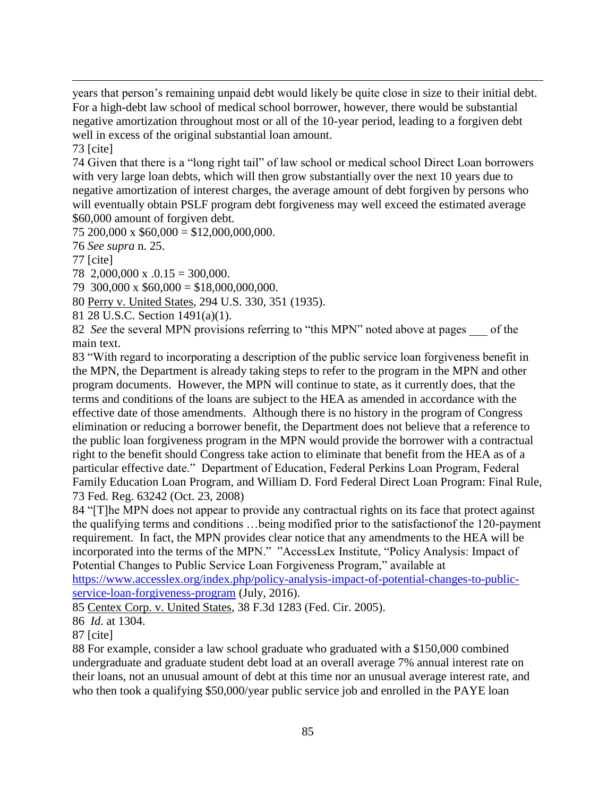years that person's remaining unpaid debt would likely be quite close in size to their initial debt. For a high-debt law school of medical school borrower, however, there would be substantial negative amortization throughout most or all of the 10-year period, leading to a forgiven debt well in excess of the original substantial loan amount.

73 [cite]

 $\overline{a}$ 

74 Given that there is a "long right tail" of law school or medical school Direct Loan borrowers with very large loan debts, which will then grow substantially over the next 10 years due to negative amortization of interest charges, the average amount of debt forgiven by persons who will eventually obtain PSLF program debt forgiveness may well exceed the estimated average \$60,000 amount of forgiven debt.

75 200,000 x  $$60,000 = $12,000,000,000$ .

76 *See supra* n. 25.

77 [cite]

78 2,000,000 x .0.15 = 300,000.

79 300,000 x \$60,000 = \$18,000,000,000.

80 Perry v. United States, 294 U.S. 330, 351 (1935).

81 28 U.S.C. Section 1491(a)(1).

82 *See* the several MPN provisions referring to "this MPN" noted above at pages \_\_\_ of the main text.

83 "With regard to incorporating a description of the public service loan forgiveness benefit in the MPN, the Department is already taking steps to refer to the program in the MPN and other program documents. However, the MPN will continue to state, as it currently does, that the terms and conditions of the loans are subject to the HEA as amended in accordance with the effective date of those amendments. Although there is no history in the program of Congress elimination or reducing a borrower benefit, the Department does not believe that a reference to the public loan forgiveness program in the MPN would provide the borrower with a contractual right to the benefit should Congress take action to eliminate that benefit from the HEA as of a particular effective date." Department of Education, Federal Perkins Loan Program, Federal Family Education Loan Program, and William D. Ford Federal Direct Loan Program: Final Rule, 73 Fed. Reg. 63242 (Oct. 23, 2008)

84 "[T]he MPN does not appear to provide any contractual rights on its face that protect against the qualifying terms and conditions …being modified prior to the satisfactionof the 120-payment requirement. In fact, the MPN provides clear notice that any amendments to the HEA will be incorporated into the terms of the MPN." "AccessLex Institute, "Policy Analysis: Impact of Potential Changes to Public Service Loan Forgiveness Program," available at [https://www.accesslex.org/index.php/policy-analysis-impact-of-potential-changes-to-public-](https://www.accesslex.org/index.php/policy-analysis-impact-of-potential-changes-to-public-service-loan-forgiveness-program)

[service-loan-forgiveness-program](https://www.accesslex.org/index.php/policy-analysis-impact-of-potential-changes-to-public-service-loan-forgiveness-program) (July, 2016).

85 Centex Corp. v. United States, 38 F.3d 1283 (Fed. Cir. 2005).

86 *Id*. at 1304.

87 [cite]

88 For example, consider a law school graduate who graduated with a \$150,000 combined undergraduate and graduate student debt load at an overall average 7% annual interest rate on their loans, not an unusual amount of debt at this time nor an unusual average interest rate, and who then took a qualifying \$50,000/year public service job and enrolled in the PAYE loan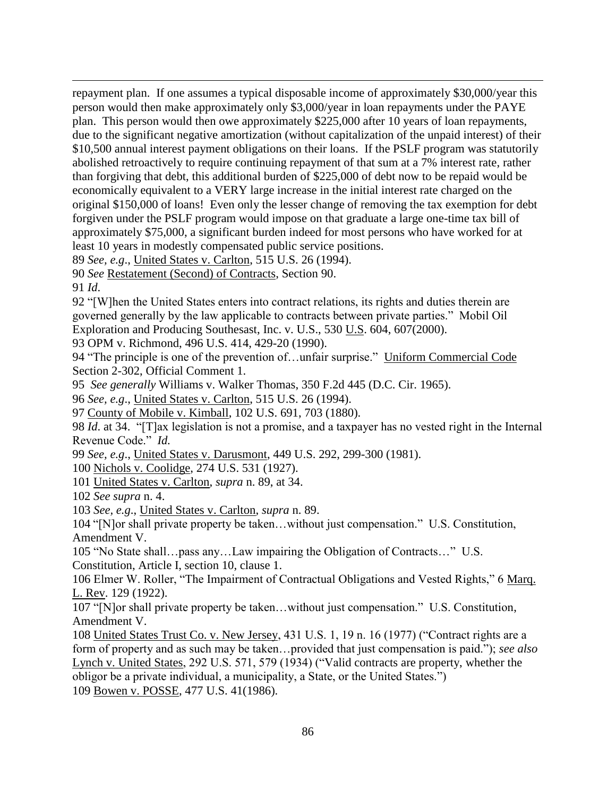$\overline{a}$ repayment plan. If one assumes a typical disposable income of approximately \$30,000/year this person would then make approximately only \$3,000/year in loan repayments under the PAYE plan. This person would then owe approximately \$225,000 after 10 years of loan repayments, due to the significant negative amortization (without capitalization of the unpaid interest) of their \$10,500 annual interest payment obligations on their loans. If the PSLF program was statutorily abolished retroactively to require continuing repayment of that sum at a 7% interest rate, rather than forgiving that debt, this additional burden of \$225,000 of debt now to be repaid would be economically equivalent to a VERY large increase in the initial interest rate charged on the original \$150,000 of loans! Even only the lesser change of removing the tax exemption for debt forgiven under the PSLF program would impose on that graduate a large one-time tax bill of approximately \$75,000, a significant burden indeed for most persons who have worked for at least 10 years in modestly compensated public service positions.

89 *See, e.g*., United States v. Carlton, 515 U.S. 26 (1994).

90 *See* Restatement (Second) of Contracts, Section 90.

91 *Id*.

92 "[W]hen the United States enters into contract relations, its rights and duties therein are governed generally by the law applicable to contracts between private parties." Mobil Oil Exploration and Producing Southesast, Inc. v. U.S., 530 U.S. 604, 607(2000).

93 OPM v. Richmond, 496 U.S. 414, 429-20 (1990).

94 "The principle is one of the prevention of…unfair surprise." Uniform Commercial Code Section 2-302, Official Comment 1.

95 *See generally* Williams v. Walker Thomas, 350 F.2d 445 (D.C. Cir. 1965).

96 *See, e.g*., United States v. Carlton, 515 U.S. 26 (1994).

97 County of Mobile v. Kimball, 102 U.S. 691, 703 (1880).

98 *Id*. at 34. "[T]ax legislation is not a promise, and a taxpayer has no vested right in the Internal Revenue Code." *Id.*

99 *See, e.g*., United States v. Darusmont, 449 U.S. 292, 299-300 (1981).

100 Nichols v. Coolidge, 274 U.S. 531 (1927).

101 United States v. Carlton, *supra* n. 89, at 34.

102 *See supra* n. 4.

103 *See, e.g*., United States v. Carlton, *supra* n. 89.

104 "[N]or shall private property be taken…without just compensation." U.S. Constitution, Amendment V.

105 "No State shall…pass any…Law impairing the Obligation of Contracts…" U.S. Constitution, Article I, section 10, clause 1.

106 Elmer W. Roller, "The Impairment of Contractual Obligations and Vested Rights," 6 Marq. L. Rev. 129 (1922).

107 "[N]or shall private property be taken…without just compensation." U.S. Constitution, Amendment V.

108 United States Trust Co. v. New Jersey, 431 U.S. 1, 19 n. 16 (1977) ("Contract rights are a form of property and as such may be taken…provided that just compensation is paid."); *see also* Lynch v. United States, 292 U.S. 571, 579 (1934) ("Valid contracts are property, whether the obligor be a private individual, a municipality, a State, or the United States.") 109 Bowen v. POSSE, 477 U.S. 41(1986).